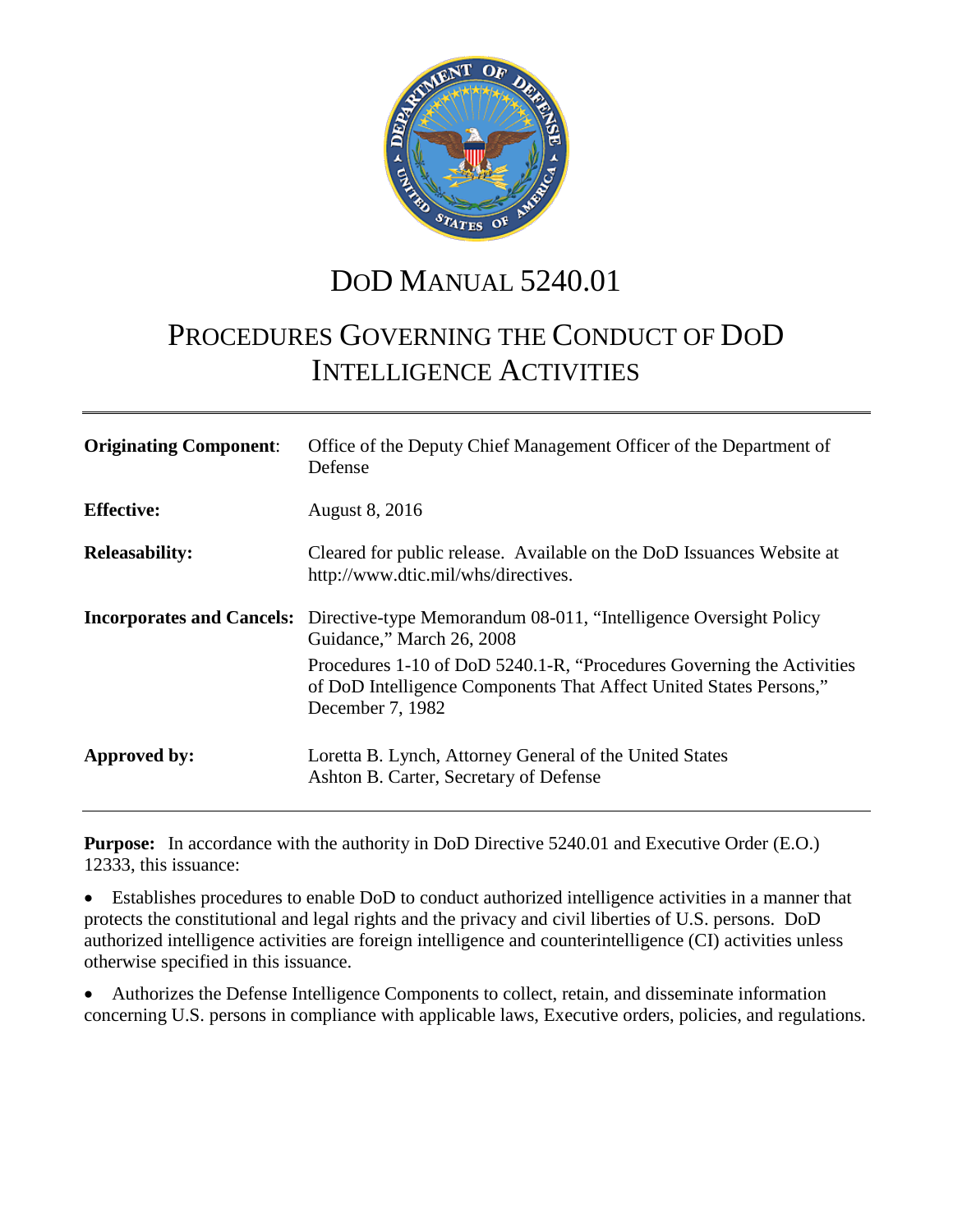

# DOD MANUAL 5240.01

# PROCEDURES GOVERNING THE CONDUCT OF DOD INTELLIGENCE ACTIVITIES

| <b>Originating Component:</b> | Office of the Deputy Chief Management Officer of the Department of<br>Defense                                                                                    |
|-------------------------------|------------------------------------------------------------------------------------------------------------------------------------------------------------------|
| <b>Effective:</b>             | <b>August 8, 2016</b>                                                                                                                                            |
| <b>Releasability:</b>         | Cleared for public release. Available on the DoD Issuances Website at<br>http://www.dtic.mil/whs/directives.                                                     |
|                               | <b>Incorporates and Cancels:</b> Directive-type Memorandum 08-011, "Intelligence Oversight Policy"<br>Guidance," March 26, 2008                                  |
|                               | Procedures 1-10 of DoD 5240.1-R, "Procedures Governing the Activities"<br>of DoD Intelligence Components That Affect United States Persons,"<br>December 7, 1982 |
| Approved by:                  | Loretta B. Lynch, Attorney General of the United States<br>Ashton B. Carter, Secretary of Defense                                                                |

**Purpose:** In accordance with the authority in DoD Directive 5240.01 and Executive Order (E.O.) 12333, this issuance:

• Establishes procedures to enable DoD to conduct authorized intelligence activities in a manner that protects the constitutional and legal rights and the privacy and civil liberties of U.S. persons. DoD authorized intelligence activities are foreign intelligence and counterintelligence (CI) activities unless otherwise specified in this issuance.

• Authorizes the Defense Intelligence Components to collect, retain, and disseminate information concerning U.S. persons in compliance with applicable laws, Executive orders, policies, and regulations.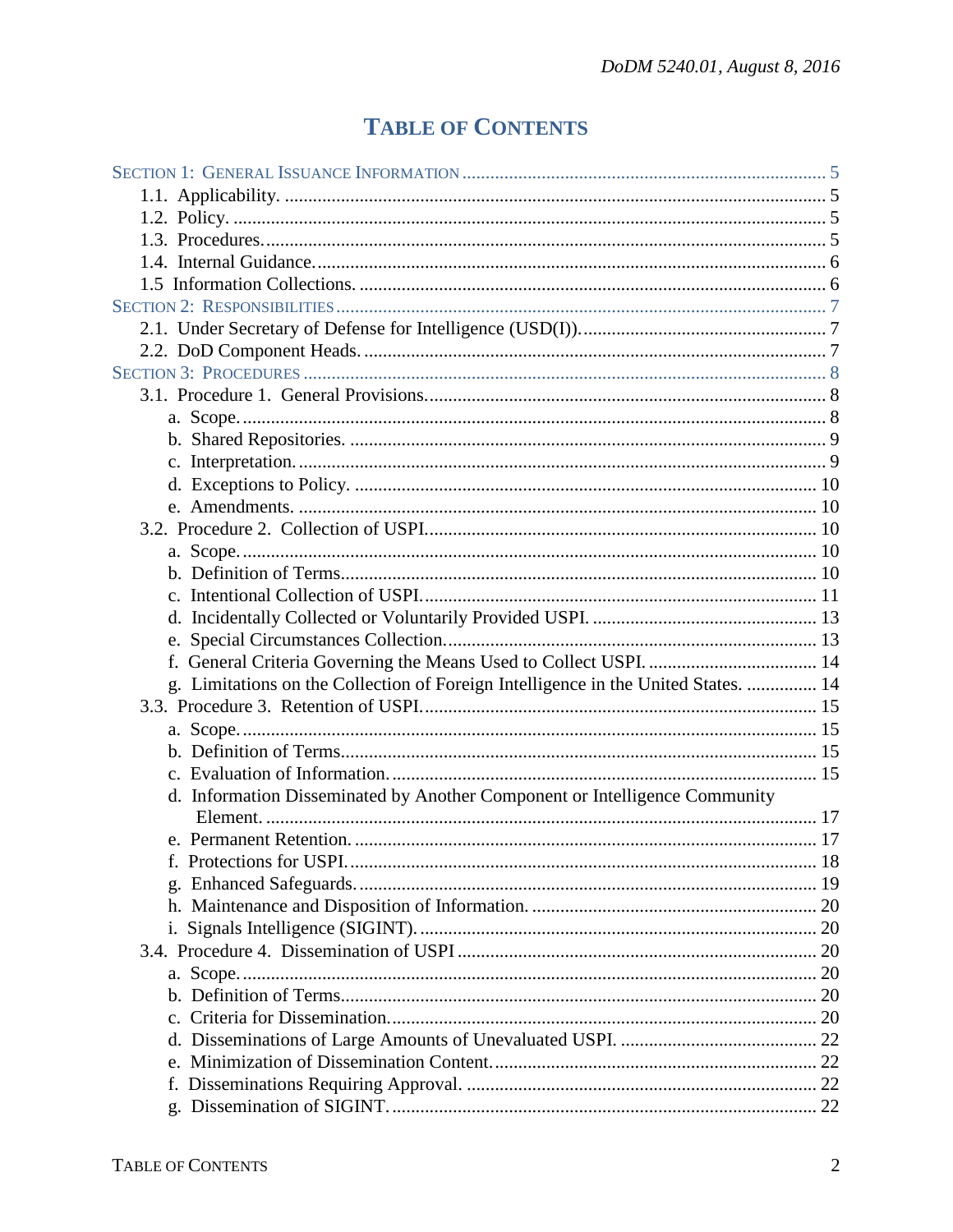# **TABLE OF CONTENTS**

| g. Limitations on the Collection of Foreign Intelligence in the United States.  14<br>d. Information Disseminated by Another Component or Intelligence Community |
|------------------------------------------------------------------------------------------------------------------------------------------------------------------|
|                                                                                                                                                                  |
|                                                                                                                                                                  |
|                                                                                                                                                                  |
|                                                                                                                                                                  |
|                                                                                                                                                                  |
|                                                                                                                                                                  |
|                                                                                                                                                                  |
|                                                                                                                                                                  |
|                                                                                                                                                                  |
|                                                                                                                                                                  |
|                                                                                                                                                                  |
|                                                                                                                                                                  |
|                                                                                                                                                                  |
|                                                                                                                                                                  |
|                                                                                                                                                                  |
|                                                                                                                                                                  |
|                                                                                                                                                                  |
|                                                                                                                                                                  |
|                                                                                                                                                                  |
|                                                                                                                                                                  |
|                                                                                                                                                                  |
|                                                                                                                                                                  |
|                                                                                                                                                                  |
|                                                                                                                                                                  |
|                                                                                                                                                                  |
|                                                                                                                                                                  |
|                                                                                                                                                                  |
|                                                                                                                                                                  |
|                                                                                                                                                                  |
|                                                                                                                                                                  |
|                                                                                                                                                                  |
|                                                                                                                                                                  |
|                                                                                                                                                                  |
|                                                                                                                                                                  |
|                                                                                                                                                                  |
|                                                                                                                                                                  |
|                                                                                                                                                                  |
|                                                                                                                                                                  |
|                                                                                                                                                                  |
|                                                                                                                                                                  |
|                                                                                                                                                                  |
|                                                                                                                                                                  |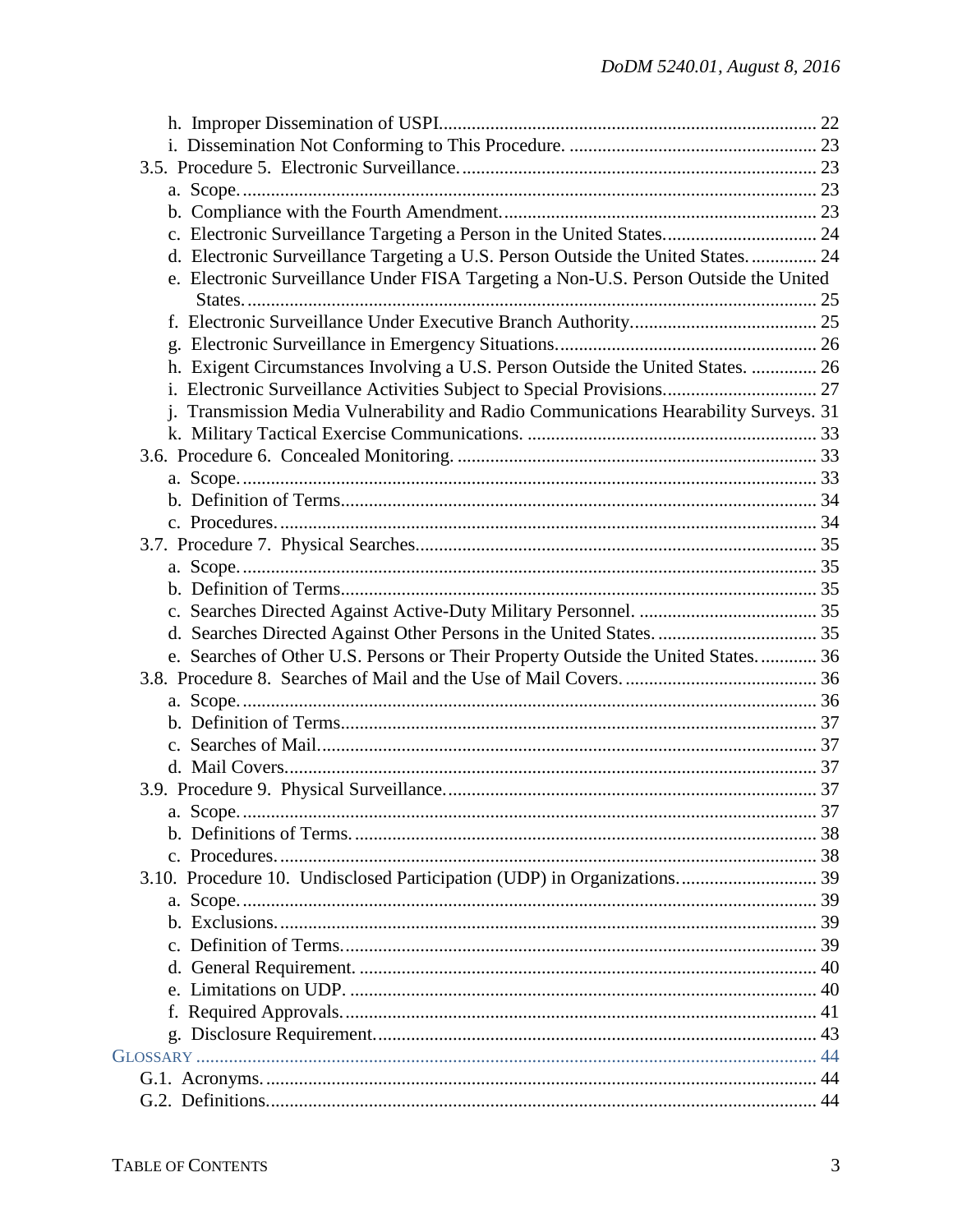| d. Electronic Surveillance Targeting a U.S. Person Outside the United States 24      |  |
|--------------------------------------------------------------------------------------|--|
| e. Electronic Surveillance Under FISA Targeting a Non-U.S. Person Outside the United |  |
|                                                                                      |  |
|                                                                                      |  |
|                                                                                      |  |
| h. Exigent Circumstances Involving a U.S. Person Outside the United States.  26      |  |
| i. Electronic Surveillance Activities Subject to Special Provisions 27               |  |
| j. Transmission Media Vulnerability and Radio Communications Hearability Surveys. 31 |  |
|                                                                                      |  |
|                                                                                      |  |
|                                                                                      |  |
|                                                                                      |  |
|                                                                                      |  |
|                                                                                      |  |
|                                                                                      |  |
|                                                                                      |  |
|                                                                                      |  |
|                                                                                      |  |
| e. Searches of Other U.S. Persons or Their Property Outside the United States 36     |  |
|                                                                                      |  |
|                                                                                      |  |
|                                                                                      |  |
|                                                                                      |  |
|                                                                                      |  |
|                                                                                      |  |
|                                                                                      |  |
|                                                                                      |  |
|                                                                                      |  |
| 3.10. Procedure 10. Undisclosed Participation (UDP) in Organizations 39              |  |
|                                                                                      |  |
|                                                                                      |  |
|                                                                                      |  |
|                                                                                      |  |
|                                                                                      |  |
|                                                                                      |  |
|                                                                                      |  |
|                                                                                      |  |
|                                                                                      |  |
|                                                                                      |  |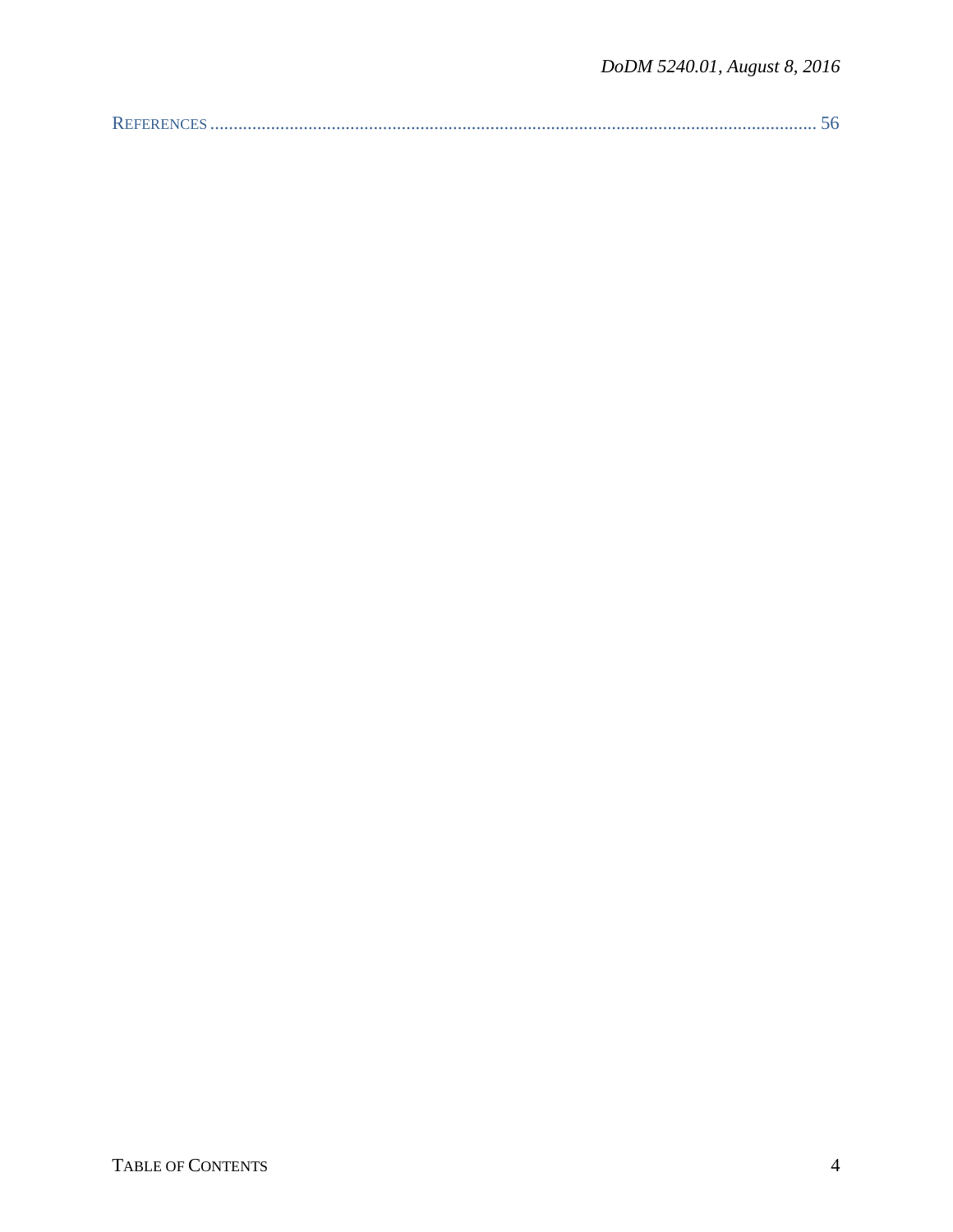|--|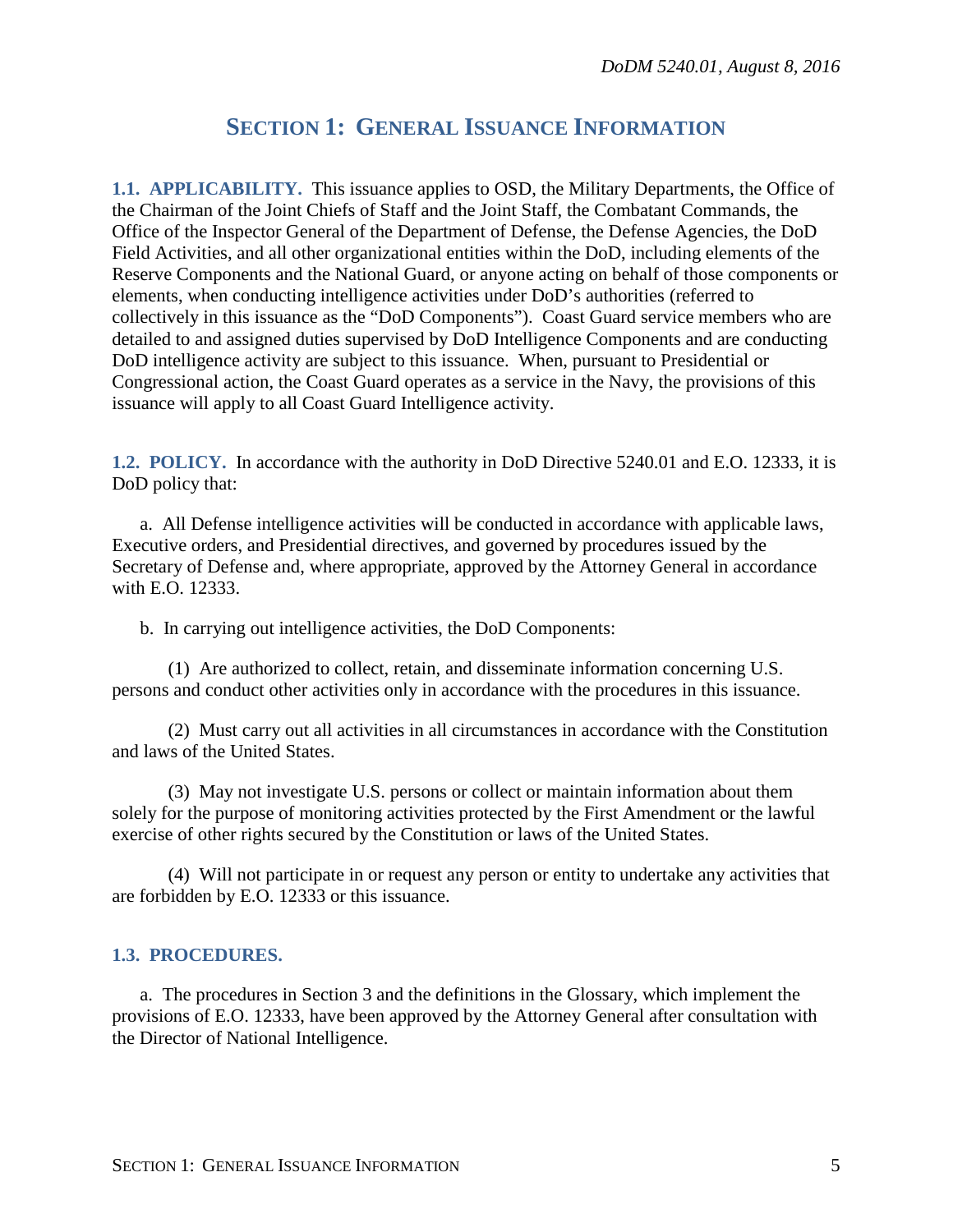# **SECTION 1: GENERAL ISSUANCE INFORMATION**

<span id="page-4-1"></span><span id="page-4-0"></span>**1.1. APPLICABILITY.** This issuance applies to OSD, the Military Departments, the Office of the Chairman of the Joint Chiefs of Staff and the Joint Staff, the Combatant Commands, the Office of the Inspector General of the Department of Defense, the Defense Agencies, the DoD Field Activities, and all other organizational entities within the DoD, including elements of the Reserve Components and the National Guard, or anyone acting on behalf of those components or elements, when conducting intelligence activities under DoD's authorities (referred to collectively in this issuance as the "DoD Components"). Coast Guard service members who are detailed to and assigned duties supervised by DoD Intelligence Components and are conducting DoD intelligence activity are subject to this issuance. When, pursuant to Presidential or Congressional action, the Coast Guard operates as a service in the Navy, the provisions of this issuance will apply to all Coast Guard Intelligence activity.

<span id="page-4-2"></span>**1.2. POLICY.** In accordance with the authority in DoD Directive 5240.01 and E.O. 12333, it is DoD policy that:

a. All Defense intelligence activities will be conducted in accordance with applicable laws, Executive orders, and Presidential directives, and governed by procedures issued by the Secretary of Defense and, where appropriate, approved by the Attorney General in accordance with E.O. 12333.

b. In carrying out intelligence activities, the DoD Components:

(1) Are authorized to collect, retain, and disseminate information concerning U.S. persons and conduct other activities only in accordance with the procedures in this issuance.

(2) Must carry out all activities in all circumstances in accordance with the Constitution and laws of the United States.

(3) May not investigate U.S. persons or collect or maintain information about them solely for the purpose of monitoring activities protected by the First Amendment or the lawful exercise of other rights secured by the Constitution or laws of the United States.

(4) Will not participate in or request any person or entity to undertake any activities that are forbidden by E.O. 12333 or this issuance.

## <span id="page-4-3"></span>**1.3. PROCEDURES.**

a. The procedures in Section 3 and the definitions in the Glossary, which implement the provisions of E.O. 12333, have been approved by the Attorney General after consultation with the Director of National Intelligence.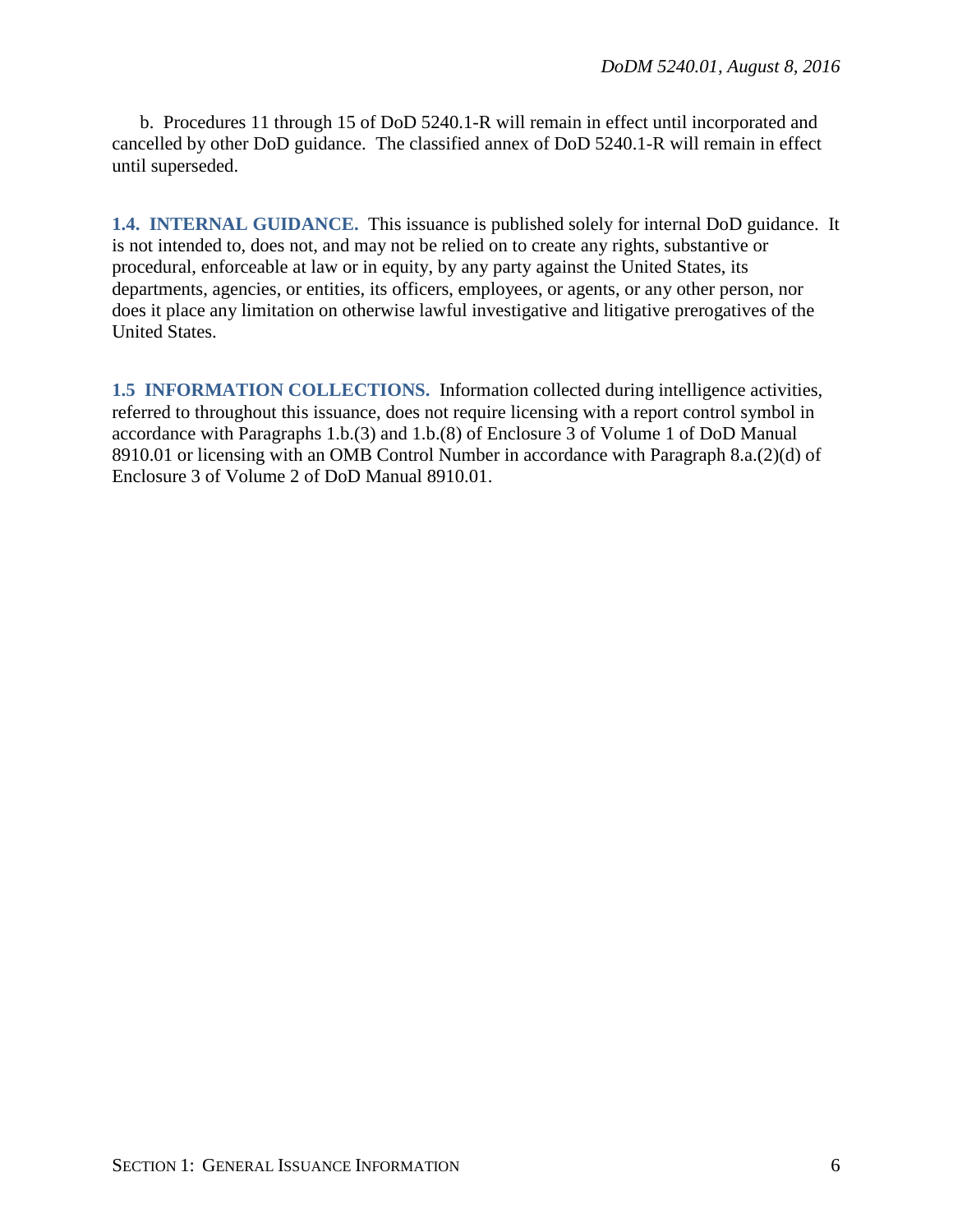b. Procedures 11 through 15 of DoD 5240.1-R will remain in effect until incorporated and cancelled by other DoD guidance. The classified annex of DoD 5240.1-R will remain in effect until superseded.

<span id="page-5-0"></span>**1.4. INTERNAL GUIDANCE.** This issuance is published solely for internal DoD guidance. It is not intended to, does not, and may not be relied on to create any rights, substantive or procedural, enforceable at law or in equity, by any party against the United States, its departments, agencies, or entities, its officers, employees, or agents, or any other person, nor does it place any limitation on otherwise lawful investigative and litigative prerogatives of the United States.

<span id="page-5-1"></span>**1.5 INFORMATION COLLECTIONS.** Information collected during intelligence activities, referred to throughout this issuance, does not require licensing with a report control symbol in accordance with Paragraphs 1.b.(3) and 1.b.(8) of Enclosure 3 of Volume 1 of DoD Manual 8910.01 or licensing with an OMB Control Number in accordance with Paragraph 8.a.(2)(d) of Enclosure 3 of Volume 2 of DoD Manual 8910.01.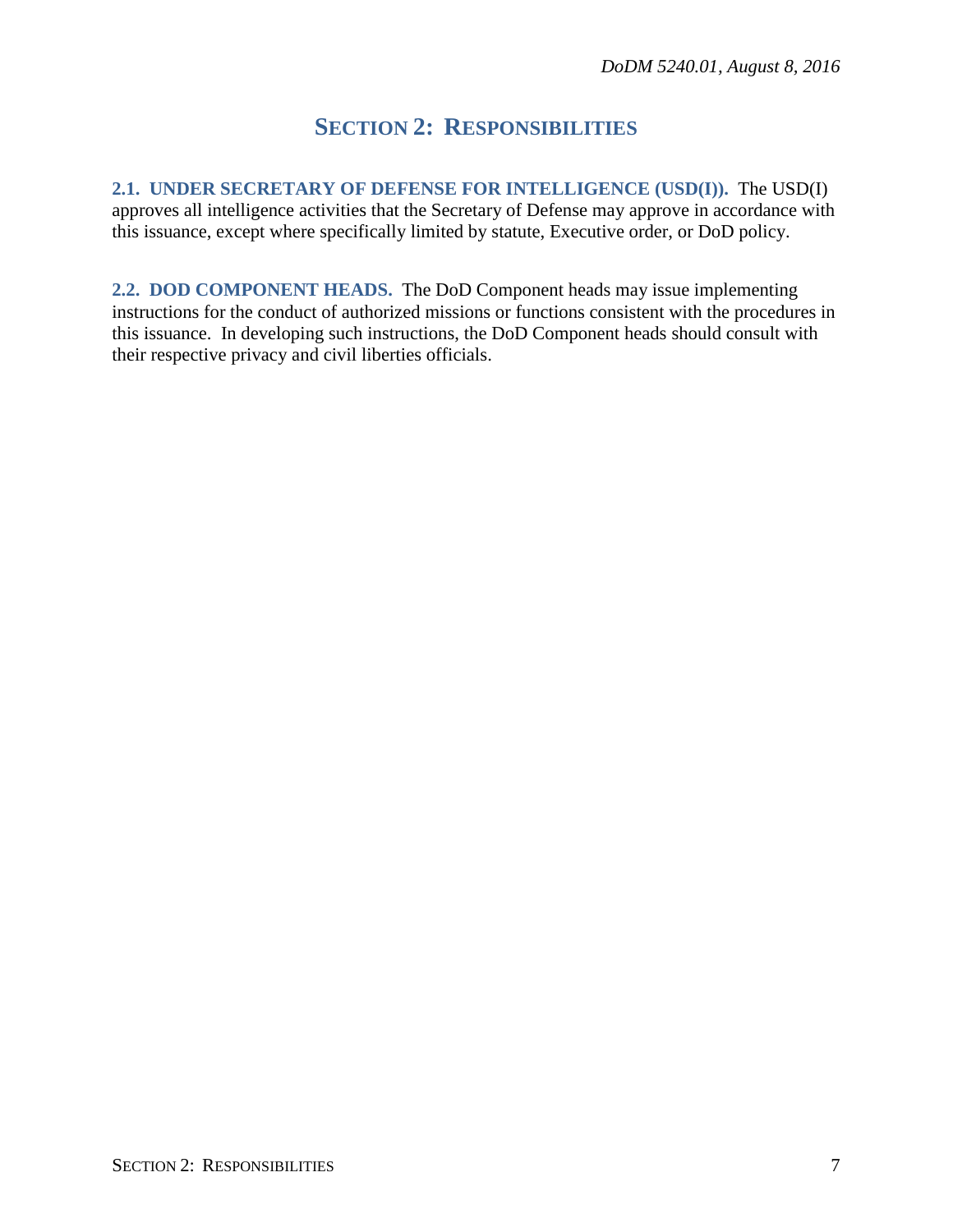# **SECTION 2: RESPONSIBILITIES**

<span id="page-6-1"></span><span id="page-6-0"></span>**2.1. UNDER SECRETARY OF DEFENSE FOR INTELLIGENCE (USD(I)).** The USD(I) approves all intelligence activities that the Secretary of Defense may approve in accordance with this issuance, except where specifically limited by statute, Executive order, or DoD policy.

<span id="page-6-2"></span>**2.2. DOD COMPONENT HEADS.** The DoD Component heads may issue implementing instructions for the conduct of authorized missions or functions consistent with the procedures in this issuance. In developing such instructions, the DoD Component heads should consult with their respective privacy and civil liberties officials.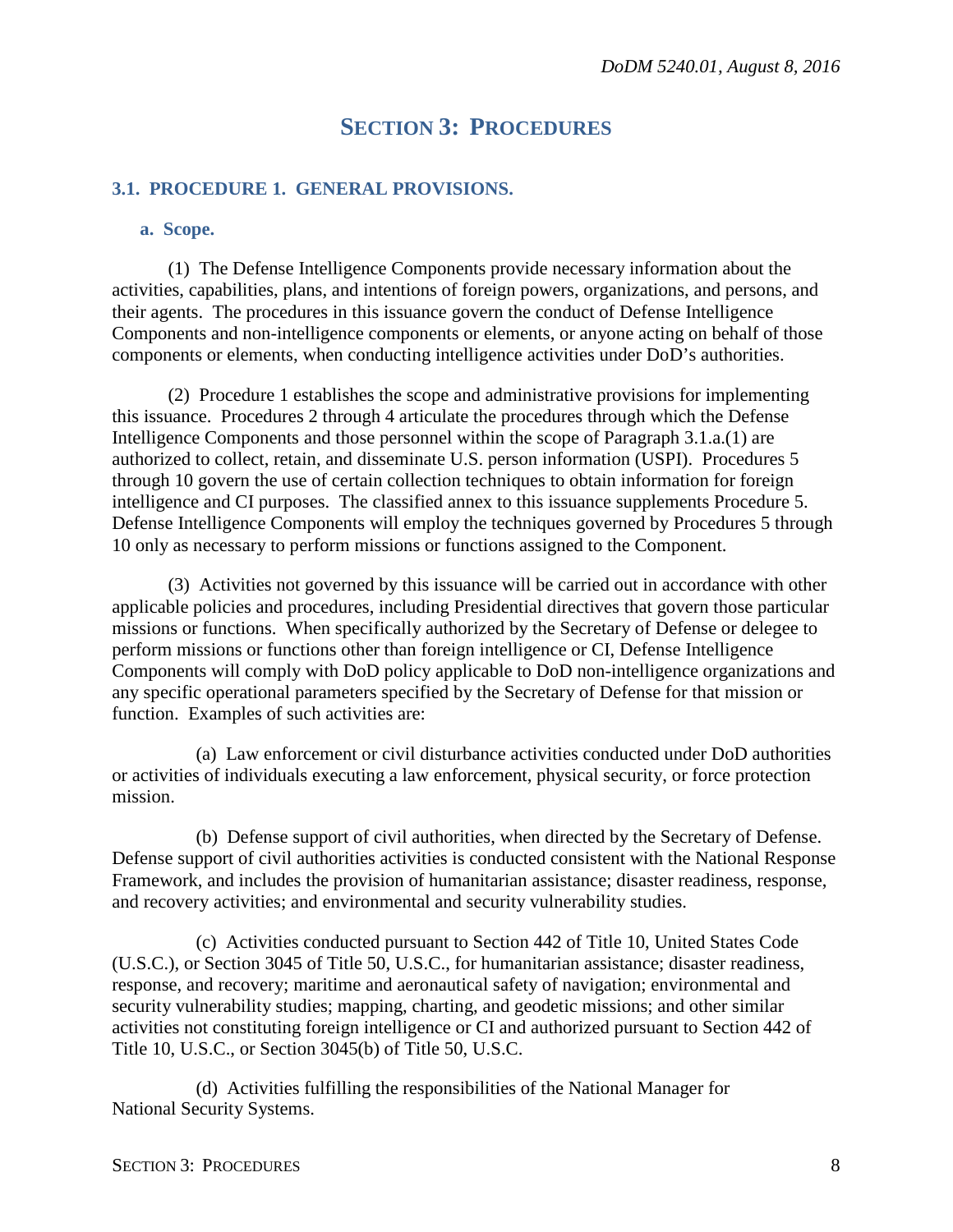## **SECTION 3: PROCEDURES**

#### <span id="page-7-1"></span><span id="page-7-0"></span>**3.1. PROCEDURE 1. GENERAL PROVISIONS.**

#### <span id="page-7-2"></span>**a. Scope.**

(1) The Defense Intelligence Components provide necessary information about the activities, capabilities, plans, and intentions of foreign powers, organizations, and persons, and their agents. The procedures in this issuance govern the conduct of Defense Intelligence Components and non-intelligence components or elements, or anyone acting on behalf of those components or elements, when conducting intelligence activities under DoD's authorities.

(2) Procedure 1 establishes the scope and administrative provisions for implementing this issuance. Procedures 2 through 4 articulate the procedures through which the Defense Intelligence Components and those personnel within the scope of Paragraph 3.1.a.(1) are authorized to collect, retain, and disseminate U.S. person information (USPI). Procedures 5 through 10 govern the use of certain collection techniques to obtain information for foreign intelligence and CI purposes. The classified annex to this issuance supplements Procedure 5. Defense Intelligence Components will employ the techniques governed by Procedures 5 through 10 only as necessary to perform missions or functions assigned to the Component.

(3) Activities not governed by this issuance will be carried out in accordance with other applicable policies and procedures, including Presidential directives that govern those particular missions or functions. When specifically authorized by the Secretary of Defense or delegee to perform missions or functions other than foreign intelligence or CI, Defense Intelligence Components will comply with DoD policy applicable to DoD non-intelligence organizations and any specific operational parameters specified by the Secretary of Defense for that mission or function. Examples of such activities are:

(a) Law enforcement or civil disturbance activities conducted under DoD authorities or activities of individuals executing a law enforcement, physical security, or force protection mission.

(b) Defense support of civil authorities, when directed by the Secretary of Defense. Defense support of civil authorities activities is conducted consistent with the National Response Framework, and includes the provision of humanitarian assistance; disaster readiness, response, and recovery activities; and environmental and security vulnerability studies.

(c) Activities conducted pursuant to Section 442 of Title 10, United States Code (U.S.C.), or Section 3045 of Title 50, U.S.C., for humanitarian assistance; disaster readiness, response, and recovery; maritime and aeronautical safety of navigation; environmental and security vulnerability studies; mapping, charting, and geodetic missions; and other similar activities not constituting foreign intelligence or CI and authorized pursuant to Section 442 of Title 10, U.S.C., or Section 3045(b) of Title 50, U.S.C.

(d) Activities fulfilling the responsibilities of the National Manager for National Security Systems.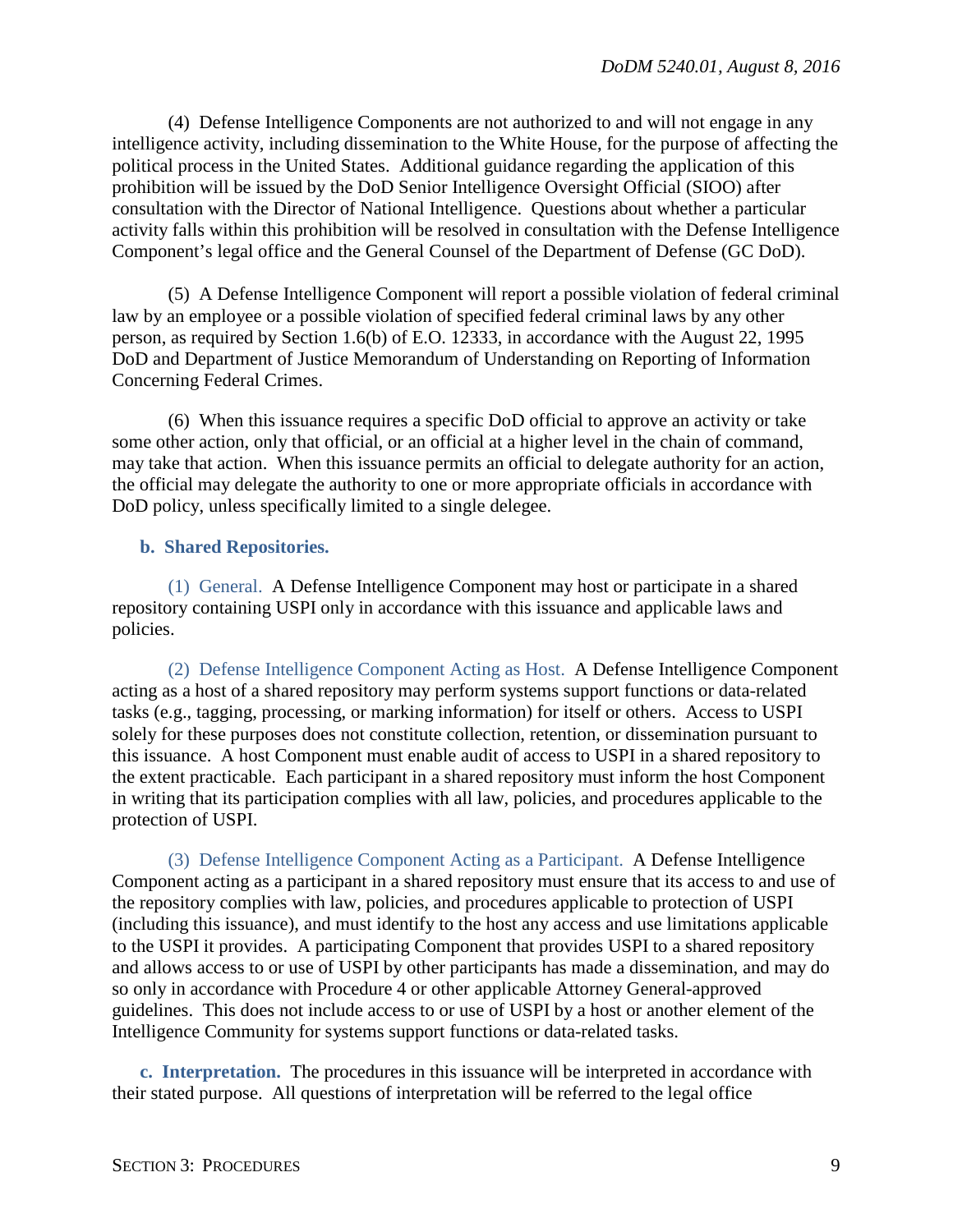(4) Defense Intelligence Components are not authorized to and will not engage in any intelligence activity, including dissemination to the White House, for the purpose of affecting the political process in the United States. Additional guidance regarding the application of this prohibition will be issued by the DoD Senior Intelligence Oversight Official (SIOO) after consultation with the Director of National Intelligence. Questions about whether a particular activity falls within this prohibition will be resolved in consultation with the Defense Intelligence Component's legal office and the General Counsel of the Department of Defense (GC DoD).

(5) A Defense Intelligence Component will report a possible violation of federal criminal law by an employee or a possible violation of specified federal criminal laws by any other person, as required by Section 1.6(b) of E.O. 12333, in accordance with the August 22, 1995 DoD and Department of Justice Memorandum of Understanding on Reporting of Information Concerning Federal Crimes.

(6) When this issuance requires a specific DoD official to approve an activity or take some other action, only that official, or an official at a higher level in the chain of command, may take that action. When this issuance permits an official to delegate authority for an action, the official may delegate the authority to one or more appropriate officials in accordance with DoD policy, unless specifically limited to a single delegee.

## <span id="page-8-0"></span>**b. Shared Repositories.**

(1) General. A Defense Intelligence Component may host or participate in a shared repository containing USPI only in accordance with this issuance and applicable laws and policies.

(2) Defense Intelligence Component Acting as Host. A Defense Intelligence Component acting as a host of a shared repository may perform systems support functions or data-related tasks (e.g., tagging, processing, or marking information) for itself or others. Access to USPI solely for these purposes does not constitute collection, retention, or dissemination pursuant to this issuance. A host Component must enable audit of access to USPI in a shared repository to the extent practicable. Each participant in a shared repository must inform the host Component in writing that its participation complies with all law, policies, and procedures applicable to the protection of USPI.

(3) Defense Intelligence Component Acting as a Participant. A Defense Intelligence Component acting as a participant in a shared repository must ensure that its access to and use of the repository complies with law, policies, and procedures applicable to protection of USPI (including this issuance), and must identify to the host any access and use limitations applicable to the USPI it provides. A participating Component that provides USPI to a shared repository and allows access to or use of USPI by other participants has made a dissemination, and may do so only in accordance with Procedure 4 or other applicable Attorney General-approved guidelines. This does not include access to or use of USPI by a host or another element of the Intelligence Community for systems support functions or data-related tasks.

<span id="page-8-1"></span>**c. Interpretation.** The procedures in this issuance will be interpreted in accordance with their stated purpose. All questions of interpretation will be referred to the legal office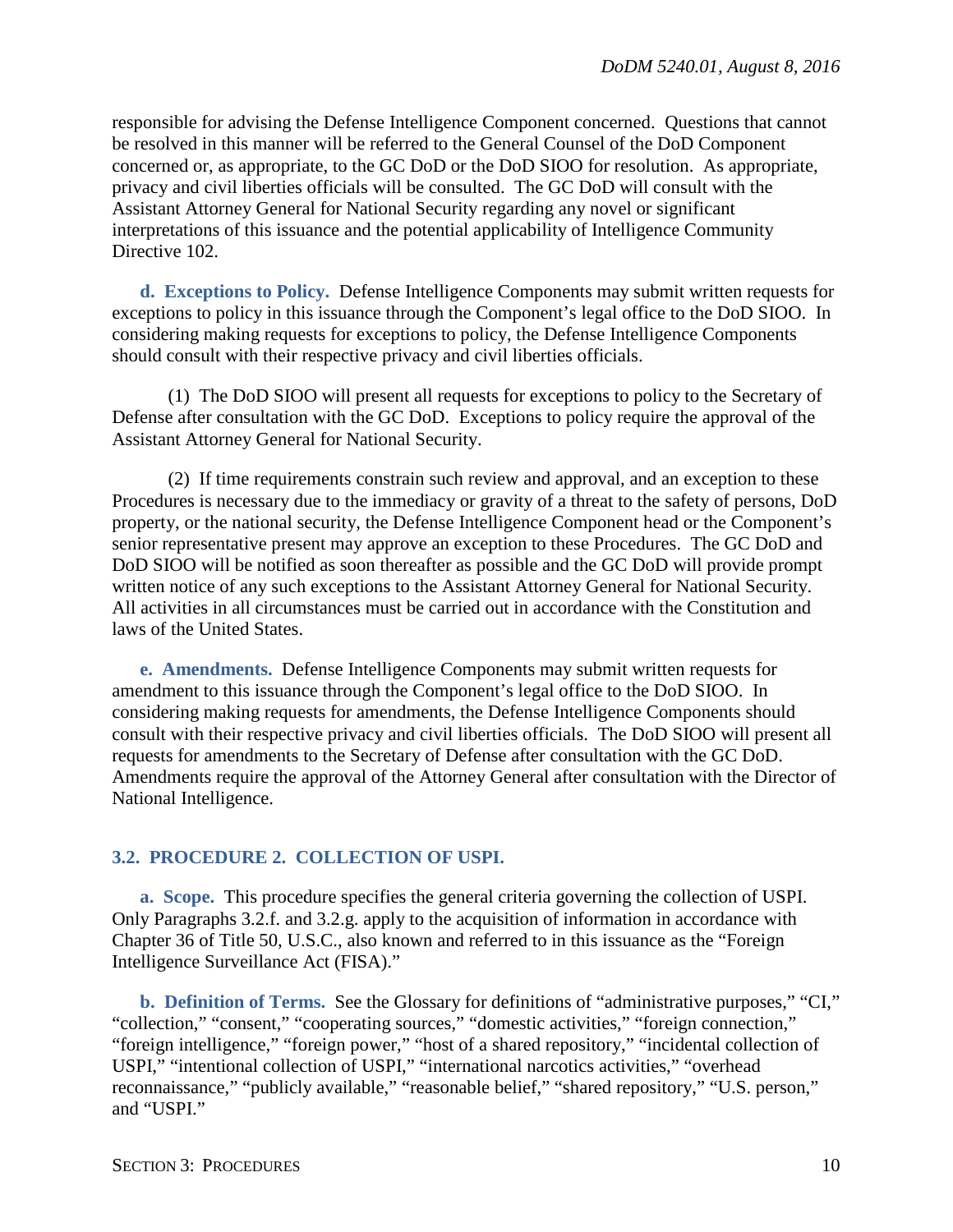responsible for advising the Defense Intelligence Component concerned. Questions that cannot be resolved in this manner will be referred to the General Counsel of the DoD Component concerned or, as appropriate, to the GC DoD or the DoD SIOO for resolution. As appropriate, privacy and civil liberties officials will be consulted. The GC DoD will consult with the Assistant Attorney General for National Security regarding any novel or significant interpretations of this issuance and the potential applicability of Intelligence Community Directive 102.

<span id="page-9-0"></span>**d. Exceptions to Policy.** Defense Intelligence Components may submit written requests for exceptions to policy in this issuance through the Component's legal office to the DoD SIOO. In considering making requests for exceptions to policy, the Defense Intelligence Components should consult with their respective privacy and civil liberties officials.

(1) The DoD SIOO will present all requests for exceptions to policy to the Secretary of Defense after consultation with the GC DoD. Exceptions to policy require the approval of the Assistant Attorney General for National Security.

(2) If time requirements constrain such review and approval, and an exception to these Procedures is necessary due to the immediacy or gravity of a threat to the safety of persons, DoD property, or the national security, the Defense Intelligence Component head or the Component's senior representative present may approve an exception to these Procedures. The GC DoD and DoD SIOO will be notified as soon thereafter as possible and the GC DoD will provide prompt written notice of any such exceptions to the Assistant Attorney General for National Security. All activities in all circumstances must be carried out in accordance with the Constitution and laws of the United States.

<span id="page-9-1"></span>**e. Amendments.** Defense Intelligence Components may submit written requests for amendment to this issuance through the Component's legal office to the DoD SIOO. In considering making requests for amendments, the Defense Intelligence Components should consult with their respective privacy and civil liberties officials. The DoD SIOO will present all requests for amendments to the Secretary of Defense after consultation with the GC DoD. Amendments require the approval of the Attorney General after consultation with the Director of National Intelligence.

#### <span id="page-9-2"></span>**3.2. PROCEDURE 2. COLLECTION OF USPI.**

<span id="page-9-3"></span>**a. Scope.** This procedure specifies the general criteria governing the collection of USPI. Only Paragraphs 3.2.f. and 3.2.g. apply to the acquisition of information in accordance with Chapter 36 of Title 50, U.S.C., also known and referred to in this issuance as the "Foreign Intelligence Surveillance Act (FISA)."

<span id="page-9-4"></span>**b. Definition of Terms.** See the Glossary for definitions of "administrative purposes," "CI," "collection," "consent," "cooperating sources," "domestic activities," "foreign connection," "foreign intelligence," "foreign power," "host of a shared repository," "incidental collection of USPI," "intentional collection of USPI," "international narcotics activities," "overhead reconnaissance," "publicly available," "reasonable belief," "shared repository," "U.S. person," and "USPI."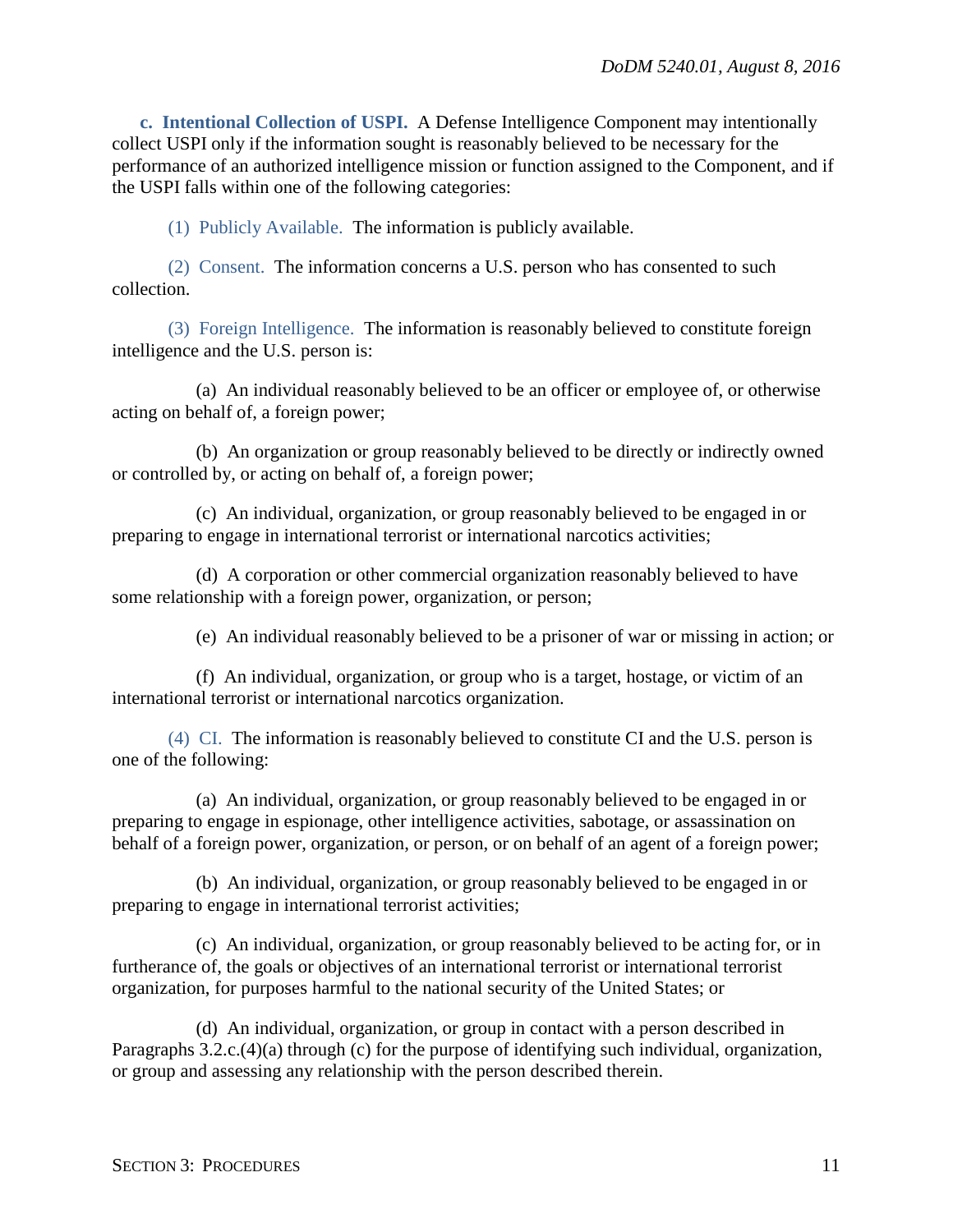<span id="page-10-0"></span>**c. Intentional Collection of USPI.** A Defense Intelligence Component may intentionally collect USPI only if the information sought is reasonably believed to be necessary for the performance of an authorized intelligence mission or function assigned to the Component, and if the USPI falls within one of the following categories:

(1) Publicly Available. The information is publicly available.

(2) Consent. The information concerns a U.S. person who has consented to such collection.

(3) Foreign Intelligence. The information is reasonably believed to constitute foreign intelligence and the U.S. person is:

(a) An individual reasonably believed to be an officer or employee of, or otherwise acting on behalf of, a foreign power;

(b) An organization or group reasonably believed to be directly or indirectly owned or controlled by, or acting on behalf of, a foreign power;

(c) An individual, organization, or group reasonably believed to be engaged in or preparing to engage in international terrorist or international narcotics activities;

(d) A corporation or other commercial organization reasonably believed to have some relationship with a foreign power, organization, or person;

(e) An individual reasonably believed to be a prisoner of war or missing in action; or

(f) An individual, organization, or group who is a target, hostage, or victim of an international terrorist or international narcotics organization.

(4) CI. The information is reasonably believed to constitute CI and the U.S. person is one of the following:

(a) An individual, organization, or group reasonably believed to be engaged in or preparing to engage in espionage, other intelligence activities, sabotage, or assassination on behalf of a foreign power, organization, or person, or on behalf of an agent of a foreign power;

(b) An individual, organization, or group reasonably believed to be engaged in or preparing to engage in international terrorist activities;

(c) An individual, organization, or group reasonably believed to be acting for, or in furtherance of, the goals or objectives of an international terrorist or international terrorist organization, for purposes harmful to the national security of the United States; or

(d) An individual, organization, or group in contact with a person described in Paragraphs 3.2.c.(4)(a) through (c) for the purpose of identifying such individual, organization, or group and assessing any relationship with the person described therein.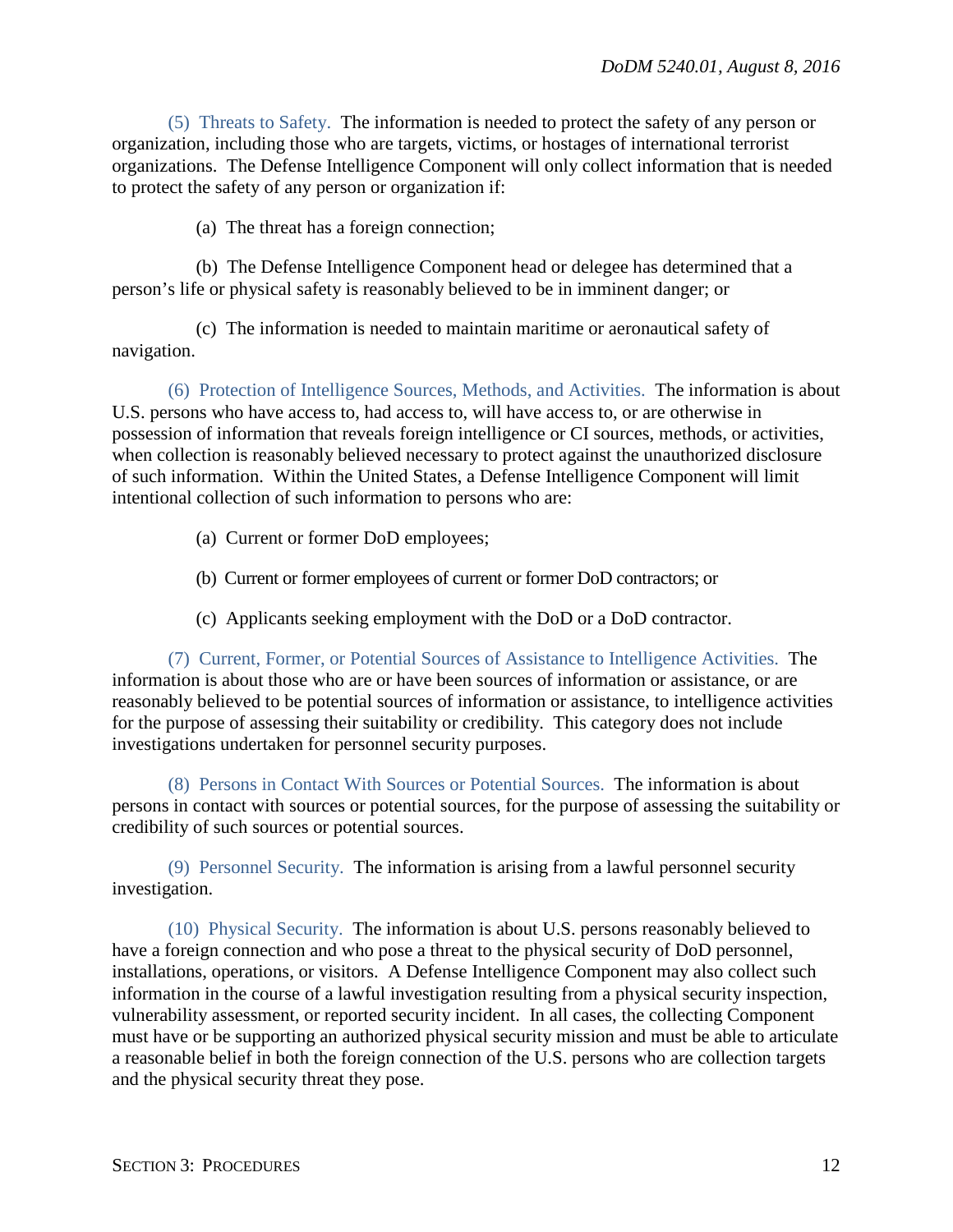(5) Threats to Safety. The information is needed to protect the safety of any person or organization, including those who are targets, victims, or hostages of international terrorist organizations. The Defense Intelligence Component will only collect information that is needed to protect the safety of any person or organization if:

(a) The threat has a foreign connection;

(b) The Defense Intelligence Component head or delegee has determined that a person's life or physical safety is reasonably believed to be in imminent danger; or

(c) The information is needed to maintain maritime or aeronautical safety of navigation.

(6) Protection of Intelligence Sources, Methods, and Activities. The information is about U.S. persons who have access to, had access to, will have access to, or are otherwise in possession of information that reveals foreign intelligence or CI sources, methods, or activities, when collection is reasonably believed necessary to protect against the unauthorized disclosure of such information. Within the United States, a Defense Intelligence Component will limit intentional collection of such information to persons who are:

- (a) Current or former DoD employees;
- (b) Current or former employees of current or former DoD contractors; or
- (c) Applicants seeking employment with the DoD or a DoD contractor.

(7) Current, Former, or Potential Sources of Assistance to Intelligence Activities. The information is about those who are or have been sources of information or assistance, or are reasonably believed to be potential sources of information or assistance, to intelligence activities for the purpose of assessing their suitability or credibility. This category does not include investigations undertaken for personnel security purposes.

(8) Persons in Contact With Sources or Potential Sources. The information is about persons in contact with sources or potential sources, for the purpose of assessing the suitability or credibility of such sources or potential sources.

(9) Personnel Security. The information is arising from a lawful personnel security investigation.

(10) Physical Security. The information is about U.S. persons reasonably believed to have a foreign connection and who pose a threat to the physical security of DoD personnel, installations, operations, or visitors. A Defense Intelligence Component may also collect such information in the course of a lawful investigation resulting from a physical security inspection, vulnerability assessment, or reported security incident. In all cases, the collecting Component must have or be supporting an authorized physical security mission and must be able to articulate a reasonable belief in both the foreign connection of the U.S. persons who are collection targets and the physical security threat they pose.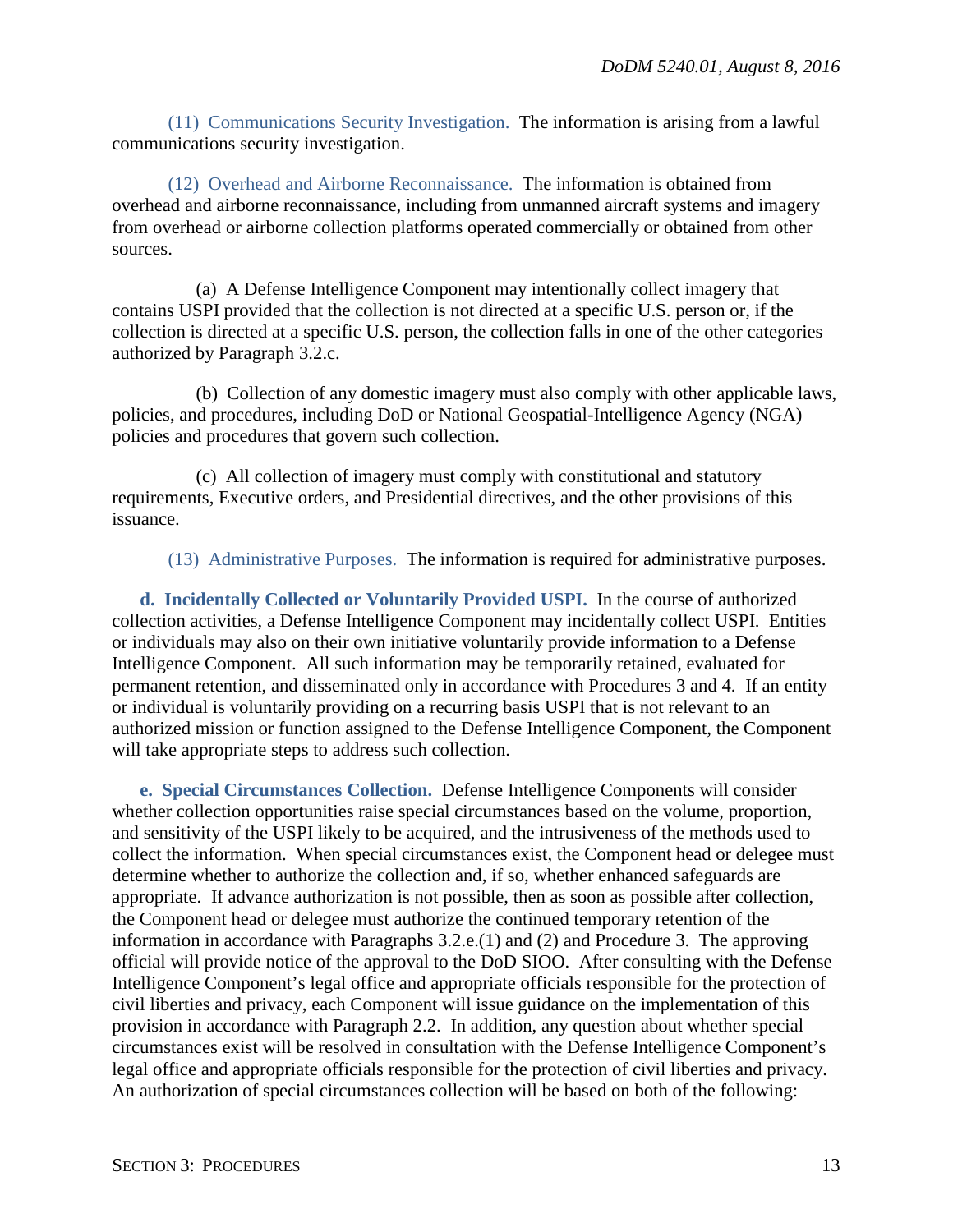(11) Communications Security Investigation. The information is arising from a lawful communications security investigation.

(12) Overhead and Airborne Reconnaissance. The information is obtained from overhead and airborne reconnaissance, including from unmanned aircraft systems and imagery from overhead or airborne collection platforms operated commercially or obtained from other sources.

(a) A Defense Intelligence Component may intentionally collect imagery that contains USPI provided that the collection is not directed at a specific U.S. person or, if the collection is directed at a specific U.S. person, the collection falls in one of the other categories authorized by Paragraph 3.2.c.

(b) Collection of any domestic imagery must also comply with other applicable laws, policies, and procedures, including DoD or National Geospatial-Intelligence Agency (NGA) policies and procedures that govern such collection.

(c) All collection of imagery must comply with constitutional and statutory requirements, Executive orders, and Presidential directives, and the other provisions of this issuance.

(13) Administrative Purposes. The information is required for administrative purposes.

<span id="page-12-0"></span>**d. Incidentally Collected or Voluntarily Provided USPI.** In the course of authorized collection activities, a Defense Intelligence Component may incidentally collect USPI. Entities or individuals may also on their own initiative voluntarily provide information to a Defense Intelligence Component. All such information may be temporarily retained, evaluated for permanent retention, and disseminated only in accordance with Procedures 3 and 4. If an entity or individual is voluntarily providing on a recurring basis USPI that is not relevant to an authorized mission or function assigned to the Defense Intelligence Component, the Component will take appropriate steps to address such collection.

<span id="page-12-1"></span>**e. Special Circumstances Collection.** Defense Intelligence Components will consider whether collection opportunities raise special circumstances based on the volume, proportion, and sensitivity of the USPI likely to be acquired, and the intrusiveness of the methods used to collect the information. When special circumstances exist, the Component head or delegee must determine whether to authorize the collection and, if so, whether enhanced safeguards are appropriate. If advance authorization is not possible, then as soon as possible after collection, the Component head or delegee must authorize the continued temporary retention of the information in accordance with Paragraphs 3.2.e.(1) and (2) and Procedure 3. The approving official will provide notice of the approval to the DoD SIOO. After consulting with the Defense Intelligence Component's legal office and appropriate officials responsible for the protection of civil liberties and privacy, each Component will issue guidance on the implementation of this provision in accordance with Paragraph 2.2. In addition, any question about whether special circumstances exist will be resolved in consultation with the Defense Intelligence Component's legal office and appropriate officials responsible for the protection of civil liberties and privacy. An authorization of special circumstances collection will be based on both of the following: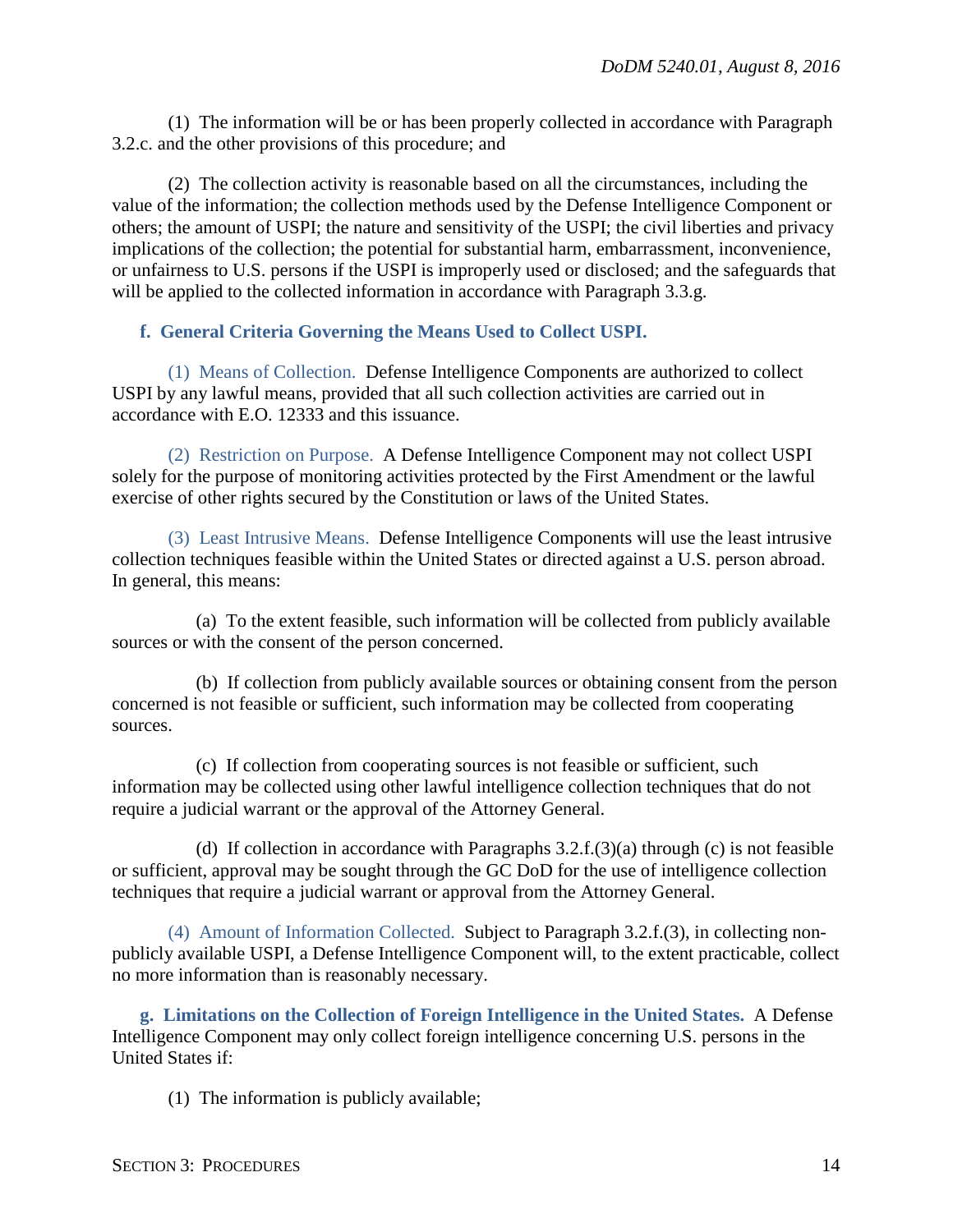(1) The information will be or has been properly collected in accordance with Paragraph 3.2.c. and the other provisions of this procedure; and

(2) The collection activity is reasonable based on all the circumstances, including the value of the information; the collection methods used by the Defense Intelligence Component or others; the amount of USPI; the nature and sensitivity of the USPI; the civil liberties and privacy implications of the collection; the potential for substantial harm, embarrassment, inconvenience, or unfairness to U.S. persons if the USPI is improperly used or disclosed; and the safeguards that will be applied to the collected information in accordance with Paragraph 3.3.g.

## <span id="page-13-0"></span>**f. General Criteria Governing the Means Used to Collect USPI.**

(1) Means of Collection. Defense Intelligence Components are authorized to collect USPI by any lawful means, provided that all such collection activities are carried out in accordance with E.O. 12333 and this issuance.

(2) Restriction on Purpose. A Defense Intelligence Component may not collect USPI solely for the purpose of monitoring activities protected by the First Amendment or the lawful exercise of other rights secured by the Constitution or laws of the United States.

(3) Least Intrusive Means. Defense Intelligence Components will use the least intrusive collection techniques feasible within the United States or directed against a U.S. person abroad. In general, this means:

(a) To the extent feasible, such information will be collected from publicly available sources or with the consent of the person concerned.

(b) If collection from publicly available sources or obtaining consent from the person concerned is not feasible or sufficient, such information may be collected from cooperating sources.

(c) If collection from cooperating sources is not feasible or sufficient, such information may be collected using other lawful intelligence collection techniques that do not require a judicial warrant or the approval of the Attorney General.

(d) If collection in accordance with Paragraphs 3.2.f.(3)(a) through (c) is not feasible or sufficient, approval may be sought through the GC DoD for the use of intelligence collection techniques that require a judicial warrant or approval from the Attorney General.

(4) Amount of Information Collected. Subject to Paragraph 3.2.f.(3), in collecting nonpublicly available USPI, a Defense Intelligence Component will, to the extent practicable, collect no more information than is reasonably necessary.

<span id="page-13-1"></span>**g. Limitations on the Collection of Foreign Intelligence in the United States.** A Defense Intelligence Component may only collect foreign intelligence concerning U.S. persons in the United States if:

(1) The information is publicly available;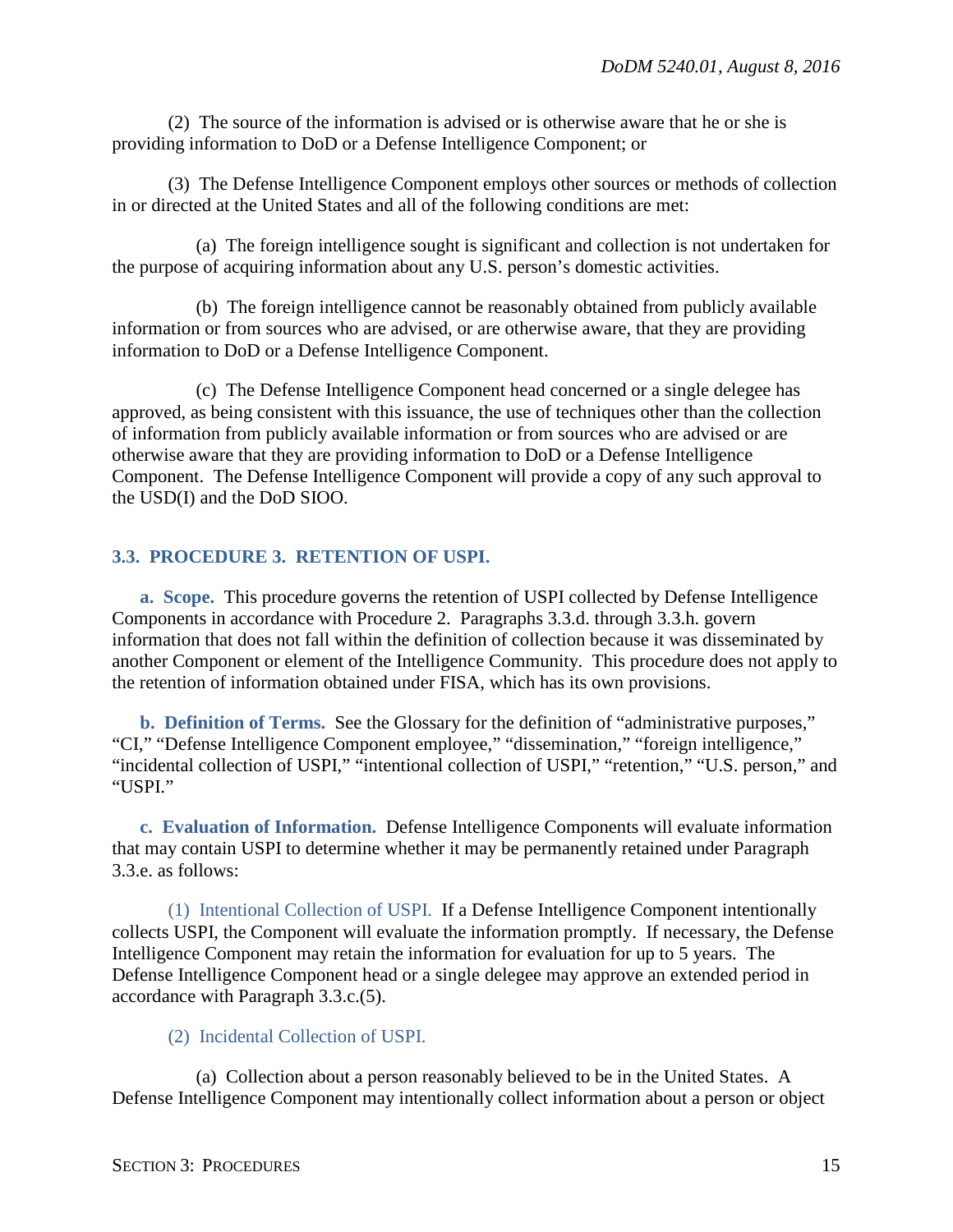(2) The source of the information is advised or is otherwise aware that he or she is providing information to DoD or a Defense Intelligence Component; or

(3) The Defense Intelligence Component employs other sources or methods of collection in or directed at the United States and all of the following conditions are met:

(a) The foreign intelligence sought is significant and collection is not undertaken for the purpose of acquiring information about any U.S. person's domestic activities.

(b) The foreign intelligence cannot be reasonably obtained from publicly available information or from sources who are advised, or are otherwise aware, that they are providing information to DoD or a Defense Intelligence Component.

(c) The Defense Intelligence Component head concerned or a single delegee has approved, as being consistent with this issuance, the use of techniques other than the collection of information from publicly available information or from sources who are advised or are otherwise aware that they are providing information to DoD or a Defense Intelligence Component. The Defense Intelligence Component will provide a copy of any such approval to the USD(I) and the DoD SIOO.

## <span id="page-14-0"></span>**3.3. PROCEDURE 3. RETENTION OF USPI.**

<span id="page-14-1"></span>**a. Scope.** This procedure governs the retention of USPI collected by Defense Intelligence Components in accordance with Procedure 2. Paragraphs 3.3.d. through 3.3.h. govern information that does not fall within the definition of collection because it was disseminated by another Component or element of the Intelligence Community. This procedure does not apply to the retention of information obtained under FISA, which has its own provisions.

<span id="page-14-2"></span>**b. Definition of Terms.** See the Glossary for the definition of "administrative purposes," "CI," "Defense Intelligence Component employee," "dissemination," "foreign intelligence," "incidental collection of USPI," "intentional collection of USPI," "retention," "U.S. person," and "USPI."

<span id="page-14-3"></span>**c. Evaluation of Information.** Defense Intelligence Components will evaluate information that may contain USPI to determine whether it may be permanently retained under Paragraph 3.3.e. as follows:

(1) Intentional Collection of USPI. If a Defense Intelligence Component intentionally collects USPI, the Component will evaluate the information promptly. If necessary, the Defense Intelligence Component may retain the information for evaluation for up to 5 years. The Defense Intelligence Component head or a single delegee may approve an extended period in accordance with Paragraph 3.3.c.(5).

## (2) Incidental Collection of USPI.

(a) Collection about a person reasonably believed to be in the United States. A Defense Intelligence Component may intentionally collect information about a person or object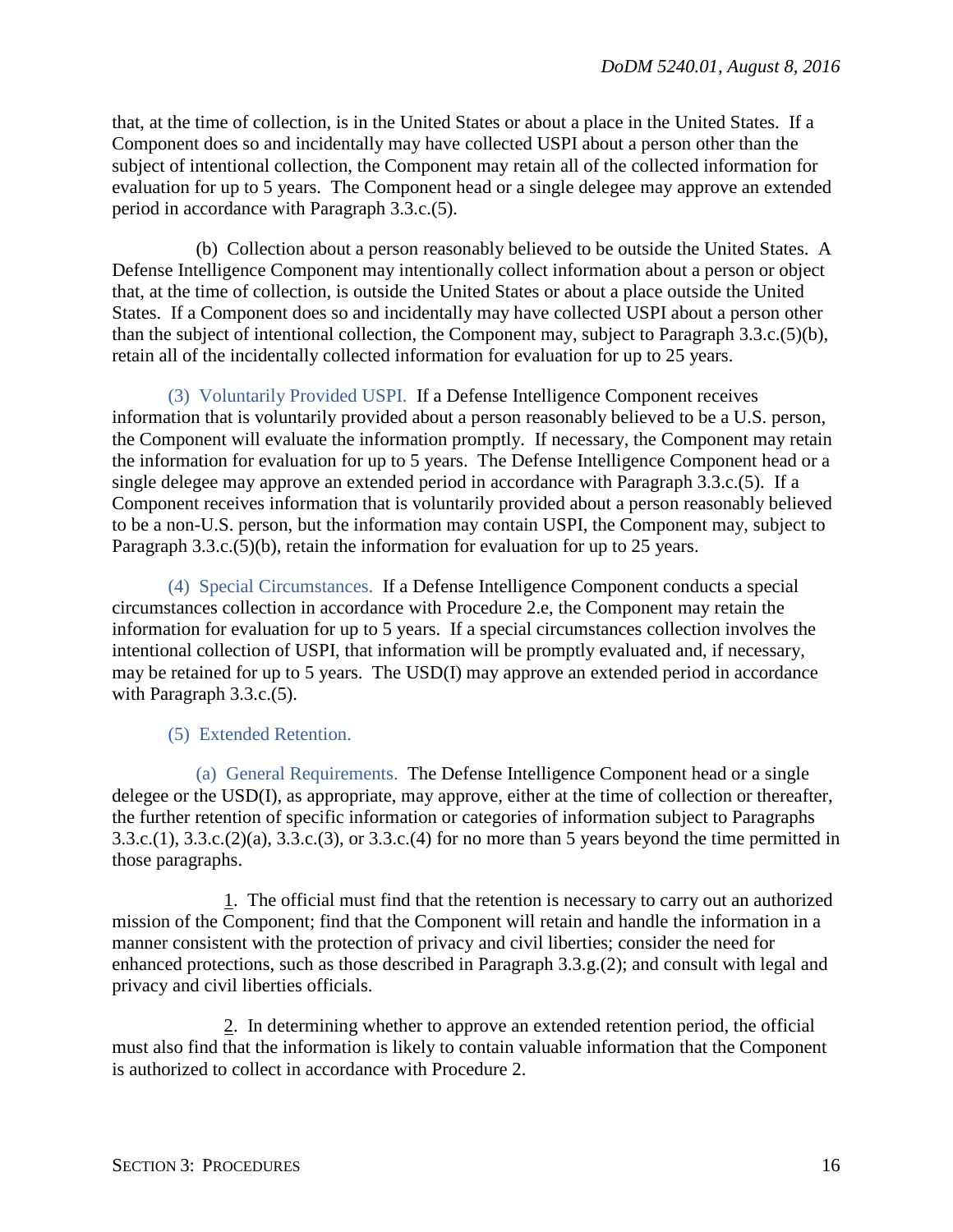that, at the time of collection, is in the United States or about a place in the United States. If a Component does so and incidentally may have collected USPI about a person other than the subject of intentional collection, the Component may retain all of the collected information for evaluation for up to 5 years. The Component head or a single delegee may approve an extended period in accordance with Paragraph 3.3.c.(5).

(b) Collection about a person reasonably believed to be outside the United States. A Defense Intelligence Component may intentionally collect information about a person or object that, at the time of collection, is outside the United States or about a place outside the United States. If a Component does so and incidentally may have collected USPI about a person other than the subject of intentional collection, the Component may, subject to Paragraph 3.3.c.(5)(b), retain all of the incidentally collected information for evaluation for up to 25 years.

(3) Voluntarily Provided USPI. If a Defense Intelligence Component receives information that is voluntarily provided about a person reasonably believed to be a U.S. person, the Component will evaluate the information promptly. If necessary, the Component may retain the information for evaluation for up to 5 years. The Defense Intelligence Component head or a single delegee may approve an extended period in accordance with Paragraph 3.3.c.(5). If a Component receives information that is voluntarily provided about a person reasonably believed to be a non-U.S. person, but the information may contain USPI, the Component may, subject to Paragraph 3.3.c.(5)(b), retain the information for evaluation for up to 25 years.

(4) Special Circumstances. If a Defense Intelligence Component conducts a special circumstances collection in accordance with Procedure 2.e, the Component may retain the information for evaluation for up to 5 years. If a special circumstances collection involves the intentional collection of USPI, that information will be promptly evaluated and, if necessary, may be retained for up to 5 years. The USD(I) may approve an extended period in accordance with Paragraph 3.3.c.(5).

## (5) Extended Retention.

(a) General Requirements. The Defense Intelligence Component head or a single delegee or the USD(I), as appropriate, may approve, either at the time of collection or thereafter, the further retention of specific information or categories of information subject to Paragraphs 3.3.c.(1), 3.3.c.(2)(a), 3.3.c.(3), or 3.3.c.(4) for no more than 5 years beyond the time permitted in those paragraphs.

1. The official must find that the retention is necessary to carry out an authorized mission of the Component; find that the Component will retain and handle the information in a manner consistent with the protection of privacy and civil liberties; consider the need for enhanced protections, such as those described in Paragraph 3.3.g.(2); and consult with legal and privacy and civil liberties officials.

2. In determining whether to approve an extended retention period, the official must also find that the information is likely to contain valuable information that the Component is authorized to collect in accordance with Procedure 2.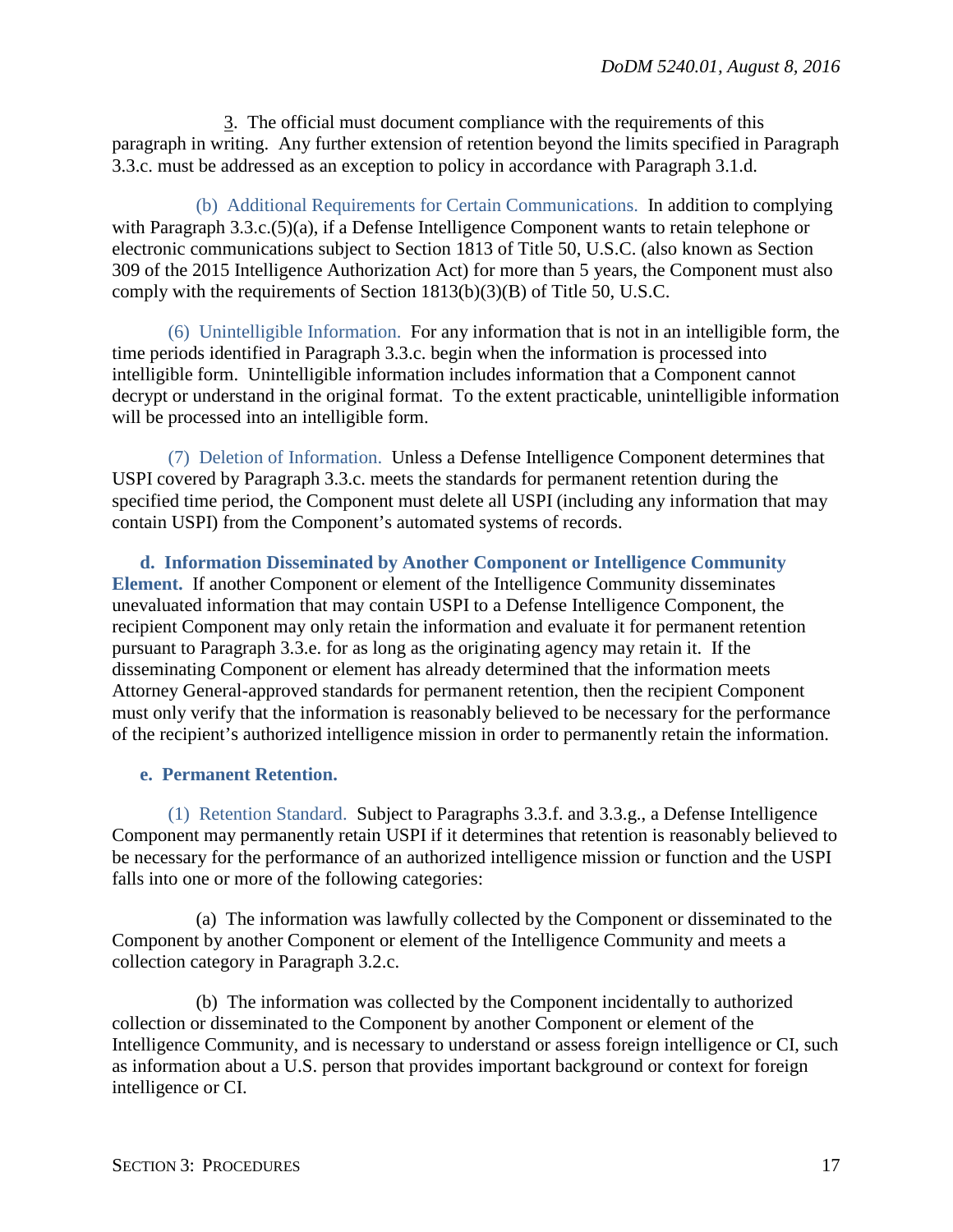3. The official must document compliance with the requirements of this paragraph in writing. Any further extension of retention beyond the limits specified in Paragraph 3.3.c. must be addressed as an exception to policy in accordance with Paragraph 3.1.d.

(b) Additional Requirements for Certain Communications. In addition to complying with Paragraph 3.3.c.(5)(a), if a Defense Intelligence Component wants to retain telephone or electronic communications subject to Section 1813 of Title 50, U.S.C. (also known as Section 309 of the 2015 Intelligence Authorization Act) for more than 5 years, the Component must also comply with the requirements of Section 1813(b)(3)(B) of Title 50, U.S.C.

(6) Unintelligible Information. For any information that is not in an intelligible form, the time periods identified in Paragraph 3.3.c. begin when the information is processed into intelligible form. Unintelligible information includes information that a Component cannot decrypt or understand in the original format. To the extent practicable, unintelligible information will be processed into an intelligible form.

(7) Deletion of Information. Unless a Defense Intelligence Component determines that USPI covered by Paragraph 3.3.c. meets the standards for permanent retention during the specified time period, the Component must delete all USPI (including any information that may contain USPI) from the Component's automated systems of records.

<span id="page-16-0"></span>**d. Information Disseminated by Another Component or Intelligence Community Element.** If another Component or element of the Intelligence Community disseminates unevaluated information that may contain USPI to a Defense Intelligence Component, the recipient Component may only retain the information and evaluate it for permanent retention pursuant to Paragraph 3.3.e. for as long as the originating agency may retain it. If the disseminating Component or element has already determined that the information meets Attorney General-approved standards for permanent retention, then the recipient Component must only verify that the information is reasonably believed to be necessary for the performance of the recipient's authorized intelligence mission in order to permanently retain the information.

## <span id="page-16-1"></span>**e. Permanent Retention.**

(1) Retention Standard. Subject to Paragraphs 3.3.f. and 3.3.g., a Defense Intelligence Component may permanently retain USPI if it determines that retention is reasonably believed to be necessary for the performance of an authorized intelligence mission or function and the USPI falls into one or more of the following categories:

(a) The information was lawfully collected by the Component or disseminated to the Component by another Component or element of the Intelligence Community and meets a collection category in Paragraph 3.2.c.

(b) The information was collected by the Component incidentally to authorized collection or disseminated to the Component by another Component or element of the Intelligence Community, and is necessary to understand or assess foreign intelligence or CI, such as information about a U.S. person that provides important background or context for foreign intelligence or CI.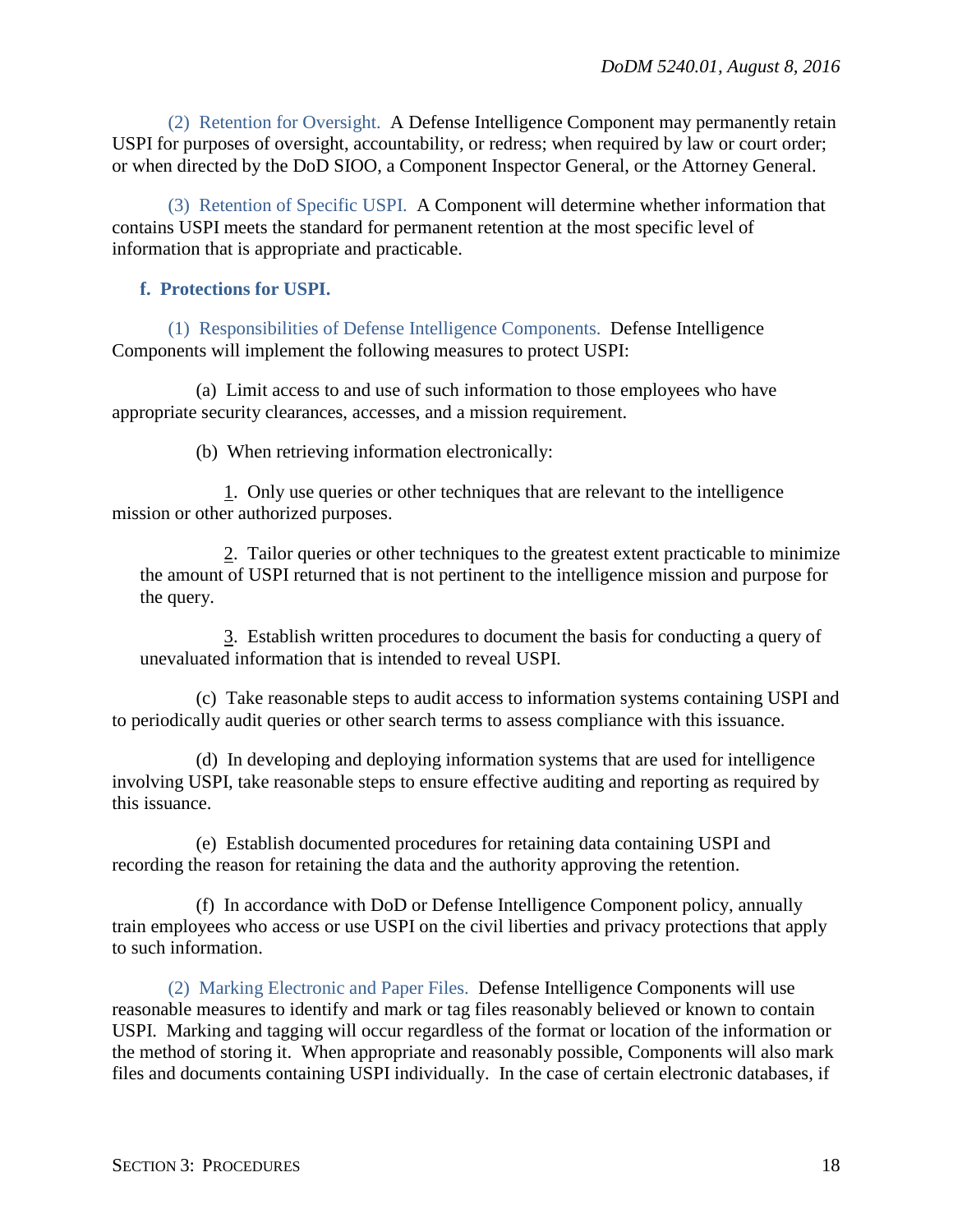(2) Retention for Oversight. A Defense Intelligence Component may permanently retain USPI for purposes of oversight, accountability, or redress; when required by law or court order; or when directed by the DoD SIOO, a Component Inspector General, or the Attorney General.

(3) Retention of Specific USPI. A Component will determine whether information that contains USPI meets the standard for permanent retention at the most specific level of information that is appropriate and practicable.

## <span id="page-17-0"></span>**f. Protections for USPI.**

(1) Responsibilities of Defense Intelligence Components. Defense Intelligence Components will implement the following measures to protect USPI:

(a) Limit access to and use of such information to those employees who have appropriate security clearances, accesses, and a mission requirement.

(b) When retrieving information electronically:

1. Only use queries or other techniques that are relevant to the intelligence mission or other authorized purposes.

2. Tailor queries or other techniques to the greatest extent practicable to minimize the amount of USPI returned that is not pertinent to the intelligence mission and purpose for the query.

3. Establish written procedures to document the basis for conducting a query of unevaluated information that is intended to reveal USPI.

(c) Take reasonable steps to audit access to information systems containing USPI and to periodically audit queries or other search terms to assess compliance with this issuance.

(d) In developing and deploying information systems that are used for intelligence involving USPI, take reasonable steps to ensure effective auditing and reporting as required by this issuance.

(e) Establish documented procedures for retaining data containing USPI and recording the reason for retaining the data and the authority approving the retention.

(f) In accordance with DoD or Defense Intelligence Component policy, annually train employees who access or use USPI on the civil liberties and privacy protections that apply to such information.

(2) Marking Electronic and Paper Files. Defense Intelligence Components will use reasonable measures to identify and mark or tag files reasonably believed or known to contain USPI. Marking and tagging will occur regardless of the format or location of the information or the method of storing it. When appropriate and reasonably possible, Components will also mark files and documents containing USPI individually. In the case of certain electronic databases, if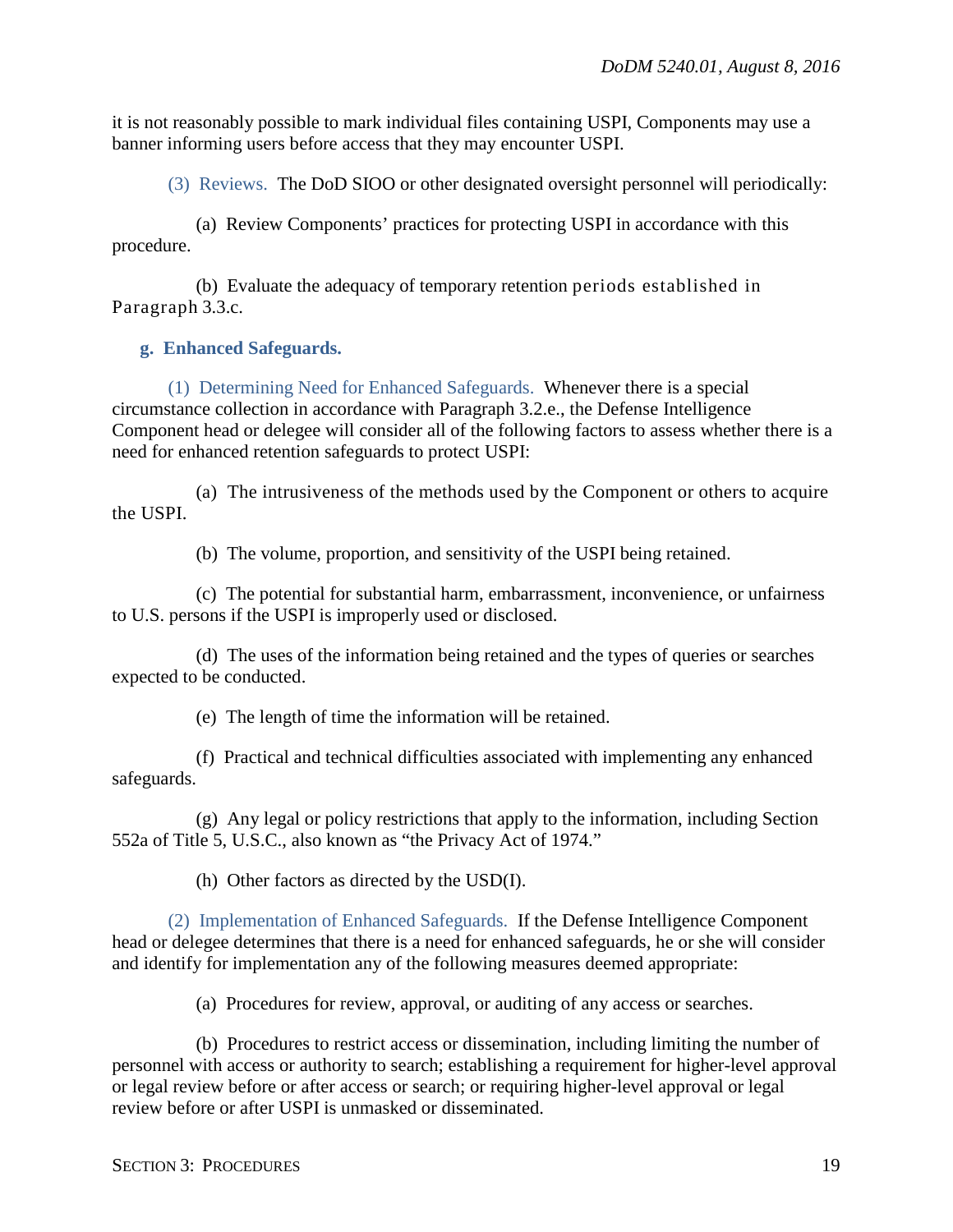it is not reasonably possible to mark individual files containing USPI, Components may use a banner informing users before access that they may encounter USPI.

(3) Reviews. The DoD SIOO or other designated oversight personnel will periodically:

(a) Review Components' practices for protecting USPI in accordance with this procedure.

(b) Evaluate the adequacy of temporary retention periods established in Paragraph 3.3.c.

## <span id="page-18-0"></span>**g. Enhanced Safeguards.**

(1) Determining Need for Enhanced Safeguards. Whenever there is a special circumstance collection in accordance with Paragraph 3.2.e., the Defense Intelligence Component head or delegee will consider all of the following factors to assess whether there is a need for enhanced retention safeguards to protect USPI:

(a) The intrusiveness of the methods used by the Component or others to acquire the USPI.

(b) The volume, proportion, and sensitivity of the USPI being retained.

(c) The potential for substantial harm, embarrassment, inconvenience, or unfairness to U.S. persons if the USPI is improperly used or disclosed.

(d) The uses of the information being retained and the types of queries or searches expected to be conducted.

(e) The length of time the information will be retained.

(f) Practical and technical difficulties associated with implementing any enhanced safeguards.

(g) Any legal or policy restrictions that apply to the information, including Section 552a of Title 5, U.S.C., also known as "the Privacy Act of 1974."

(h) Other factors as directed by the USD(I).

(2) Implementation of Enhanced Safeguards. If the Defense Intelligence Component head or delegee determines that there is a need for enhanced safeguards, he or she will consider and identify for implementation any of the following measures deemed appropriate:

(a) Procedures for review, approval, or auditing of any access or searches.

(b) Procedures to restrict access or dissemination, including limiting the number of personnel with access or authority to search; establishing a requirement for higher-level approval or legal review before or after access or search; or requiring higher-level approval or legal review before or after USPI is unmasked or disseminated.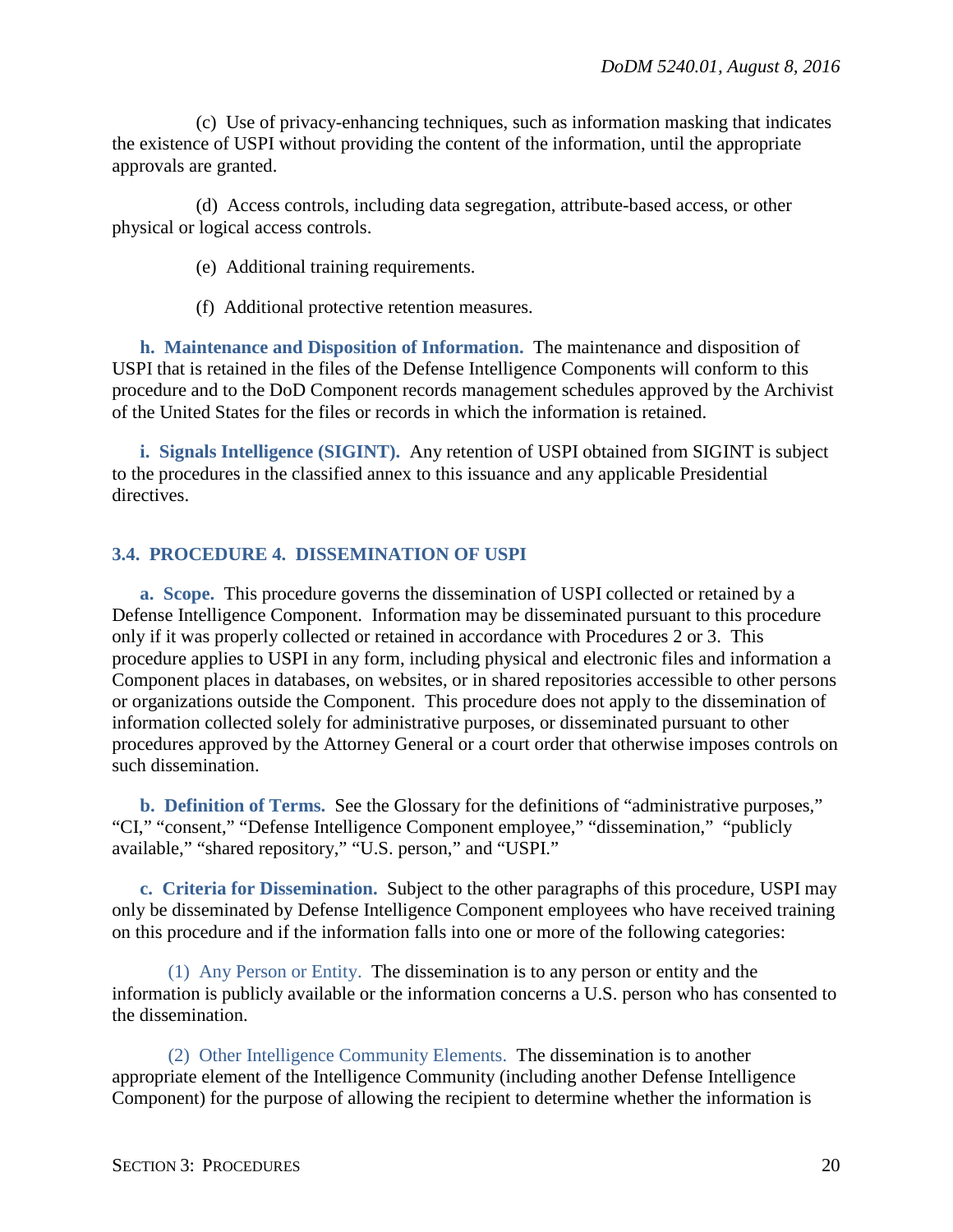(c) Use of privacy-enhancing techniques, such as information masking that indicates the existence of USPI without providing the content of the information, until the appropriate approvals are granted.

(d) Access controls, including data segregation, attribute-based access, or other physical or logical access controls.

(e) Additional training requirements.

(f) Additional protective retention measures.

<span id="page-19-0"></span>**h. Maintenance and Disposition of Information.** The maintenance and disposition of USPI that is retained in the files of the Defense Intelligence Components will conform to this procedure and to the DoD Component records management schedules approved by the Archivist of the United States for the files or records in which the information is retained.

<span id="page-19-1"></span>**i. Signals Intelligence (SIGINT).** Any retention of USPI obtained from SIGINT is subject to the procedures in the classified annex to this issuance and any applicable Presidential directives.

## <span id="page-19-2"></span>**3.4. PROCEDURE 4. DISSEMINATION OF USPI**

<span id="page-19-3"></span>**a. Scope.** This procedure governs the dissemination of USPI collected or retained by a Defense Intelligence Component. Information may be disseminated pursuant to this procedure only if it was properly collected or retained in accordance with Procedures 2 or 3. This procedure applies to USPI in any form, including physical and electronic files and information a Component places in databases, on websites, or in shared repositories accessible to other persons or organizations outside the Component. This procedure does not apply to the dissemination of information collected solely for administrative purposes, or disseminated pursuant to other procedures approved by the Attorney General or a court order that otherwise imposes controls on such dissemination.

<span id="page-19-4"></span>**b. Definition of Terms.** See the Glossary for the definitions of "administrative purposes," "CI," "consent," "Defense Intelligence Component employee," "dissemination," "publicly available," "shared repository," "U.S. person," and "USPI."

<span id="page-19-5"></span>**c. Criteria for Dissemination.** Subject to the other paragraphs of this procedure, USPI may only be disseminated by Defense Intelligence Component employees who have received training on this procedure and if the information falls into one or more of the following categories:

(1) Any Person or Entity. The dissemination is to any person or entity and the information is publicly available or the information concerns a U.S. person who has consented to the dissemination.

(2) Other Intelligence Community Elements. The dissemination is to another appropriate element of the Intelligence Community (including another Defense Intelligence Component) for the purpose of allowing the recipient to determine whether the information is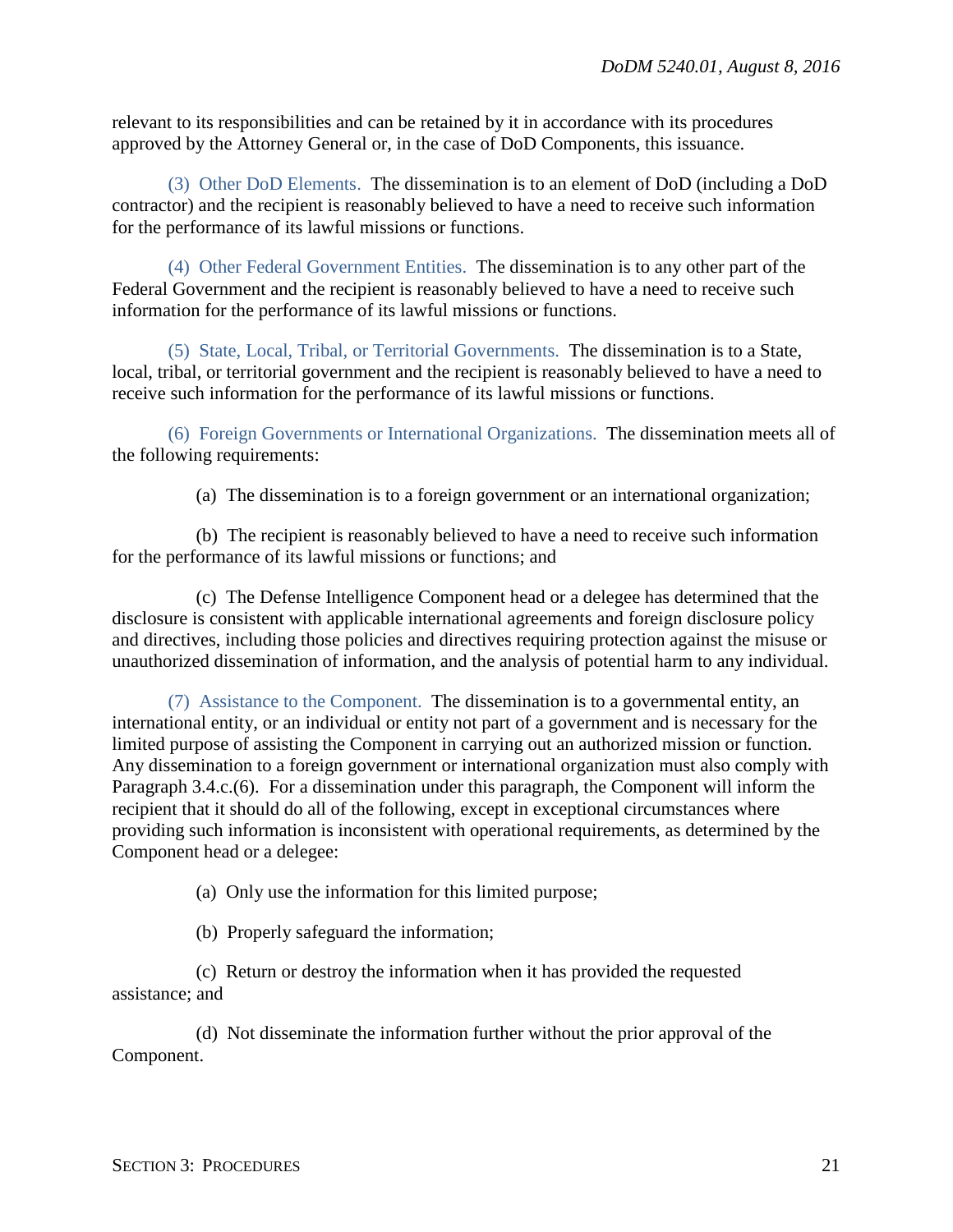relevant to its responsibilities and can be retained by it in accordance with its procedures approved by the Attorney General or, in the case of DoD Components, this issuance.

(3) Other DoD Elements. The dissemination is to an element of DoD (including a DoD contractor) and the recipient is reasonably believed to have a need to receive such information for the performance of its lawful missions or functions.

(4) Other Federal Government Entities. The dissemination is to any other part of the Federal Government and the recipient is reasonably believed to have a need to receive such information for the performance of its lawful missions or functions.

(5) State, Local, Tribal, or Territorial Governments. The dissemination is to a State, local, tribal, or territorial government and the recipient is reasonably believed to have a need to receive such information for the performance of its lawful missions or functions.

(6) Foreign Governments or International Organizations. The dissemination meets all of the following requirements:

(a) The dissemination is to a foreign government or an international organization;

(b) The recipient is reasonably believed to have a need to receive such information for the performance of its lawful missions or functions; and

(c) The Defense Intelligence Component head or a delegee has determined that the disclosure is consistent with applicable international agreements and foreign disclosure policy and directives, including those policies and directives requiring protection against the misuse or unauthorized dissemination of information, and the analysis of potential harm to any individual.

(7) Assistance to the Component. The dissemination is to a governmental entity, an international entity, or an individual or entity not part of a government and is necessary for the limited purpose of assisting the Component in carrying out an authorized mission or function. Any dissemination to a foreign government or international organization must also comply with Paragraph 3.4.c.(6). For a dissemination under this paragraph, the Component will inform the recipient that it should do all of the following, except in exceptional circumstances where providing such information is inconsistent with operational requirements, as determined by the Component head or a delegee:

(a) Only use the information for this limited purpose;

(b) Properly safeguard the information;

(c) Return or destroy the information when it has provided the requested assistance; and

(d) Not disseminate the information further without the prior approval of the Component.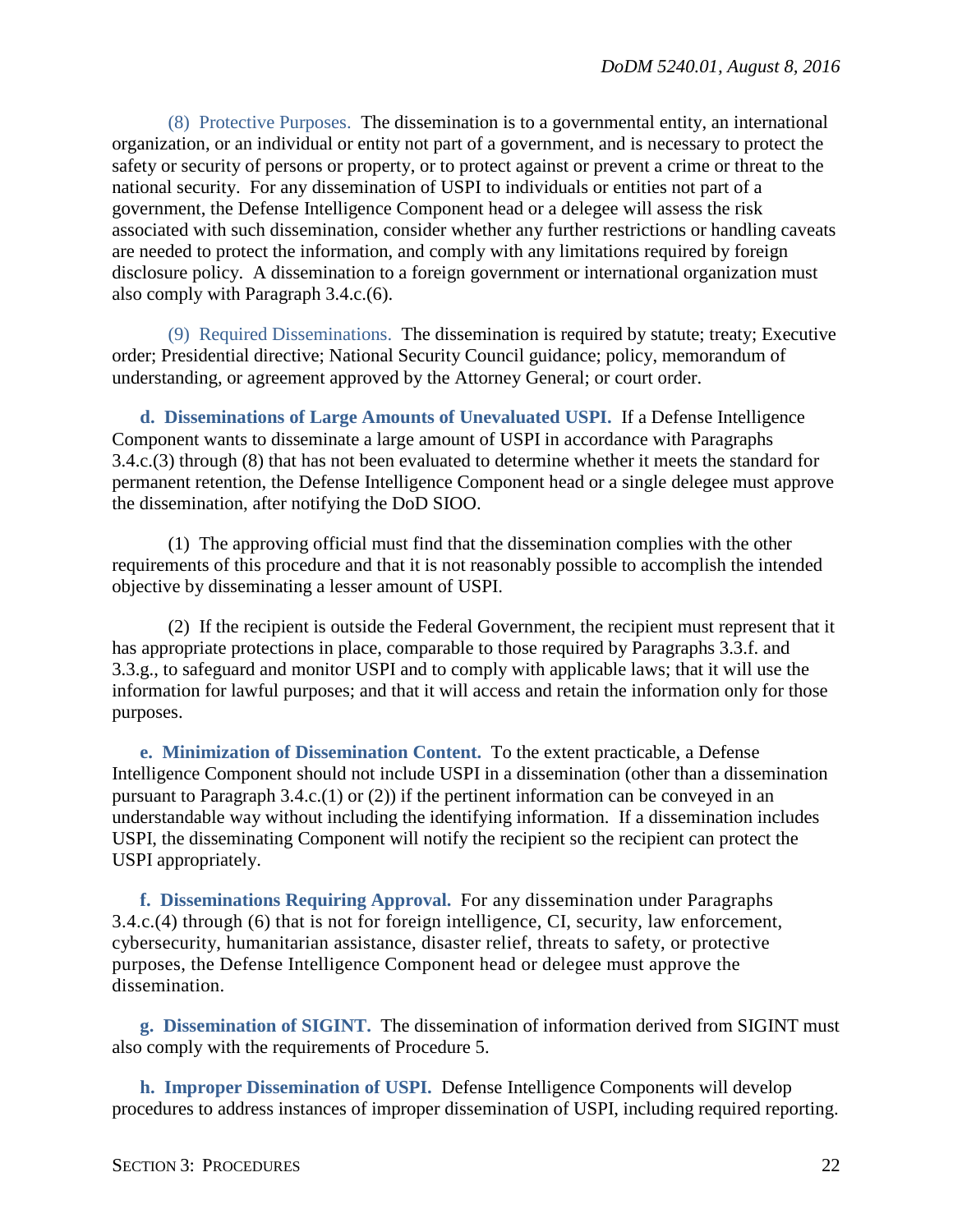(8) Protective Purposes. The dissemination is to a governmental entity, an international organization, or an individual or entity not part of a government, and is necessary to protect the safety or security of persons or property, or to protect against or prevent a crime or threat to the national security. For any dissemination of USPI to individuals or entities not part of a government, the Defense Intelligence Component head or a delegee will assess the risk associated with such dissemination, consider whether any further restrictions or handling caveats are needed to protect the information, and comply with any limitations required by foreign disclosure policy. A dissemination to a foreign government or international organization must also comply with Paragraph 3.4.c.(6).

(9) Required Disseminations. The dissemination is required by statute; treaty; Executive order; Presidential directive; National Security Council guidance; policy, memorandum of understanding, or agreement approved by the Attorney General; or court order.

<span id="page-21-0"></span>**d. Disseminations of Large Amounts of Unevaluated USPI.** If a Defense Intelligence Component wants to disseminate a large amount of USPI in accordance with Paragraphs 3.4.c.(3) through (8) that has not been evaluated to determine whether it meets the standard for permanent retention, the Defense Intelligence Component head or a single delegee must approve the dissemination, after notifying the DoD SIOO.

(1) The approving official must find that the dissemination complies with the other requirements of this procedure and that it is not reasonably possible to accomplish the intended objective by disseminating a lesser amount of USPI.

(2) If the recipient is outside the Federal Government, the recipient must represent that it has appropriate protections in place, comparable to those required by Paragraphs 3.3.f. and 3.3.g., to safeguard and monitor USPI and to comply with applicable laws; that it will use the information for lawful purposes; and that it will access and retain the information only for those purposes.

<span id="page-21-1"></span>**e. Minimization of Dissemination Content.** To the extent practicable, a Defense Intelligence Component should not include USPI in a dissemination (other than a dissemination pursuant to Paragraph 3.4.c.(1) or (2)) if the pertinent information can be conveyed in an understandable way without including the identifying information. If a dissemination includes USPI, the disseminating Component will notify the recipient so the recipient can protect the USPI appropriately.

<span id="page-21-2"></span>**f. Disseminations Requiring Approval.** For any dissemination under Paragraphs 3.4.c.(4) through (6) that is not for foreign intelligence, CI, security, law enforcement, cybersecurity, humanitarian assistance, disaster relief, threats to safety, or protective purposes, the Defense Intelligence Component head or delegee must approve the dissemination.

<span id="page-21-3"></span>**g. Dissemination of SIGINT.** The dissemination of information derived from SIGINT must also comply with the requirements of Procedure 5.

<span id="page-21-4"></span>**h. Improper Dissemination of USPI.** Defense Intelligence Components will develop procedures to address instances of improper dissemination of USPI, including required reporting.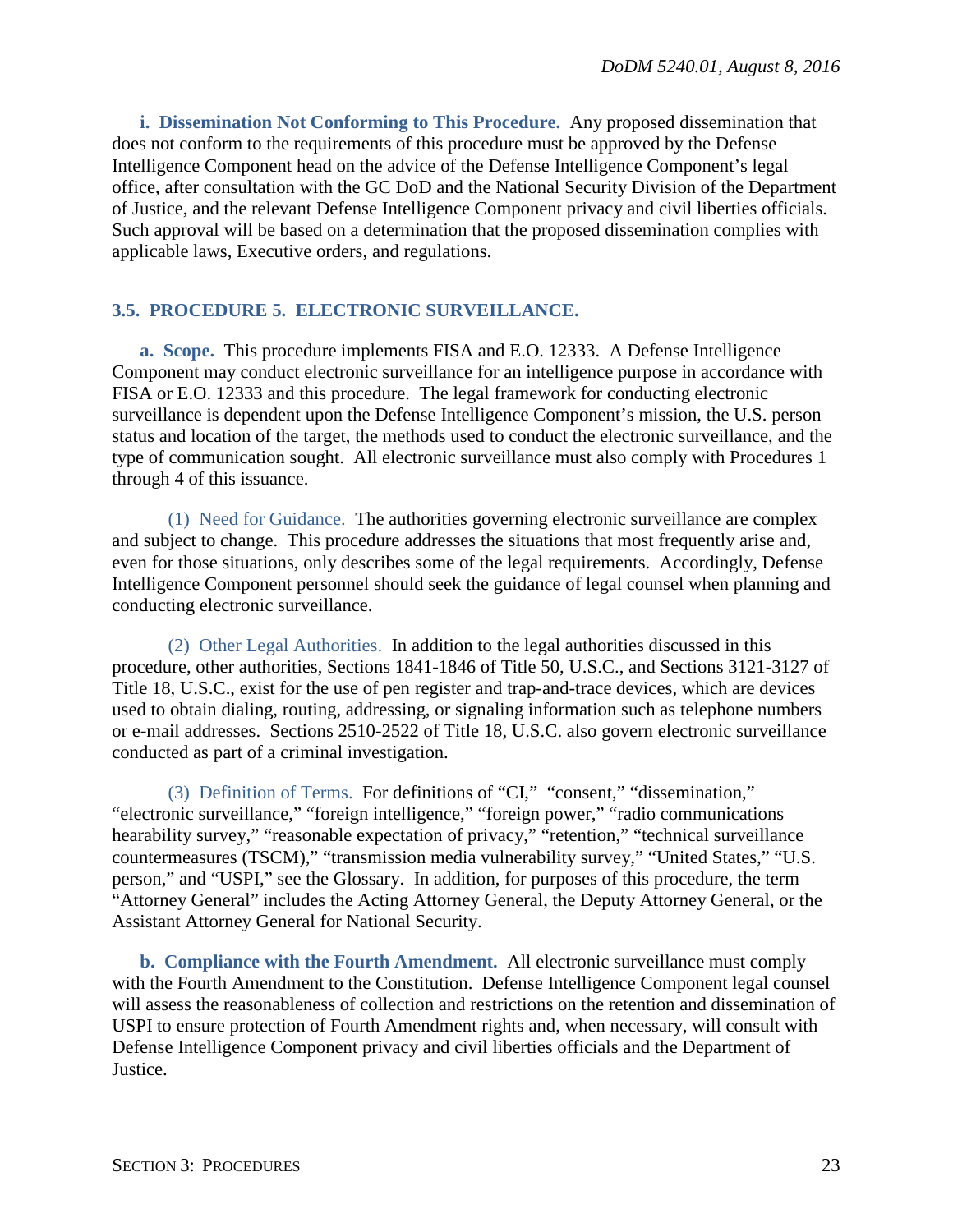<span id="page-22-0"></span>**i. Dissemination Not Conforming to This Procedure.** Any proposed dissemination that does not conform to the requirements of this procedure must be approved by the Defense Intelligence Component head on the advice of the Defense Intelligence Component's legal office, after consultation with the GC DoD and the National Security Division of the Department of Justice, and the relevant Defense Intelligence Component privacy and civil liberties officials. Such approval will be based on a determination that the proposed dissemination complies with applicable laws, Executive orders, and regulations.

## <span id="page-22-1"></span>**3.5. PROCEDURE 5. ELECTRONIC SURVEILLANCE.**

<span id="page-22-2"></span>**a. Scope.** This procedure implements FISA and E.O. 12333. A Defense Intelligence Component may conduct electronic surveillance for an intelligence purpose in accordance with FISA or E.O. 12333 and this procedure. The legal framework for conducting electronic surveillance is dependent upon the Defense Intelligence Component's mission, the U.S. person status and location of the target, the methods used to conduct the electronic surveillance, and the type of communication sought. All electronic surveillance must also comply with Procedures 1 through 4 of this issuance.

(1) Need for Guidance. The authorities governing electronic surveillance are complex and subject to change. This procedure addresses the situations that most frequently arise and, even for those situations, only describes some of the legal requirements. Accordingly, Defense Intelligence Component personnel should seek the guidance of legal counsel when planning and conducting electronic surveillance.

(2) Other Legal Authorities. In addition to the legal authorities discussed in this procedure, other authorities, Sections 1841-1846 of Title 50, U.S.C., and Sections 3121-3127 of Title 18, U.S.C., exist for the use of pen register and trap-and-trace devices, which are devices used to obtain dialing, routing, addressing, or signaling information such as telephone numbers or e-mail addresses. Sections 2510-2522 of Title 18, U.S.C. also govern electronic surveillance conducted as part of a criminal investigation.

(3) Definition of Terms. For definitions of "CI," "consent," "dissemination," "electronic surveillance," "foreign intelligence," "foreign power," "radio communications hearability survey," "reasonable expectation of privacy," "retention," "technical surveillance countermeasures (TSCM)," "transmission media vulnerability survey," "United States," "U.S. person," and "USPI," see the Glossary. In addition, for purposes of this procedure, the term "Attorney General" includes the Acting Attorney General, the Deputy Attorney General, or the Assistant Attorney General for National Security.

<span id="page-22-3"></span>**b. Compliance with the Fourth Amendment.** All electronic surveillance must comply with the Fourth Amendment to the Constitution. Defense Intelligence Component legal counsel will assess the reasonableness of collection and restrictions on the retention and dissemination of USPI to ensure protection of Fourth Amendment rights and, when necessary, will consult with Defense Intelligence Component privacy and civil liberties officials and the Department of Justice.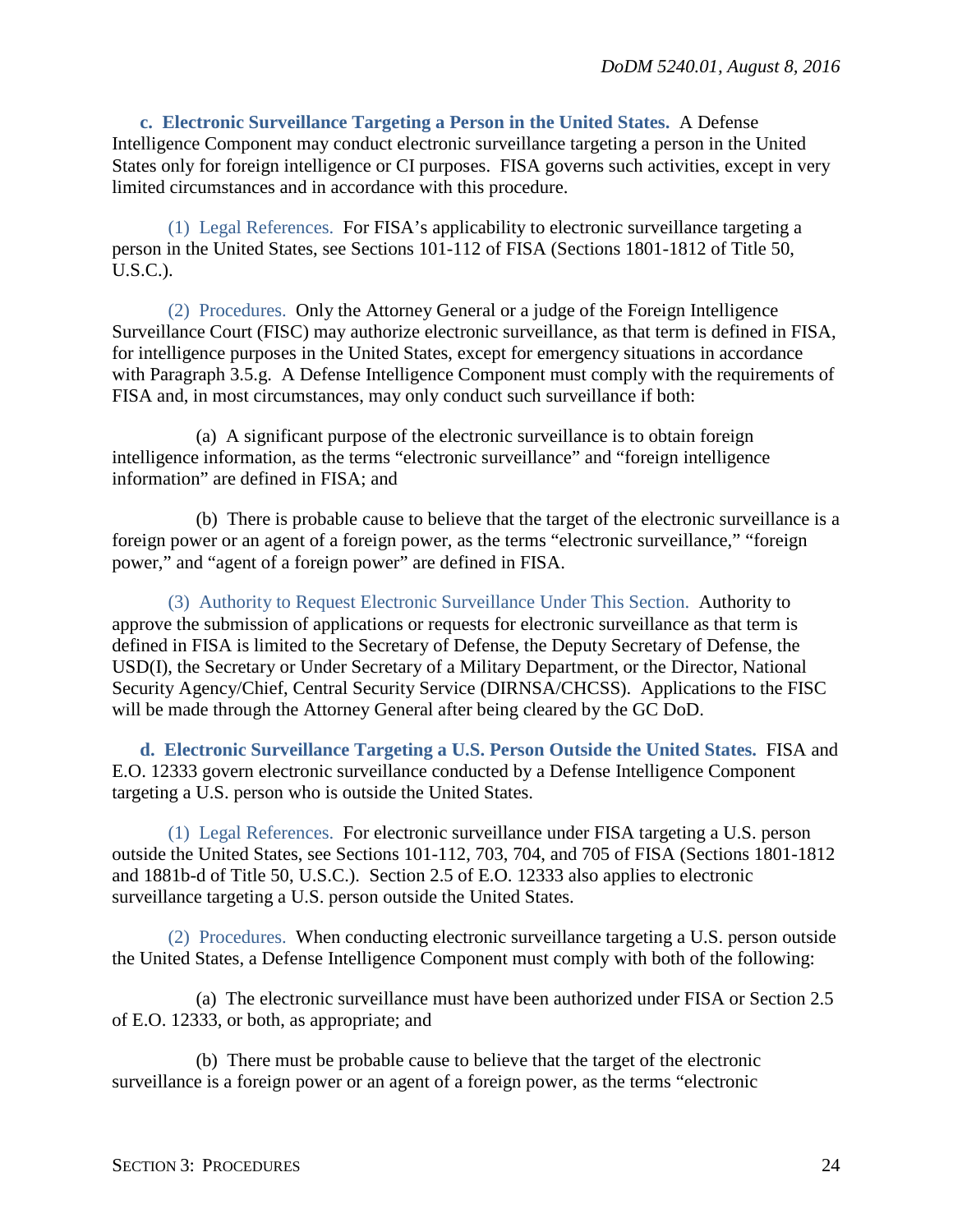<span id="page-23-0"></span>**c. Electronic Surveillance Targeting a Person in the United States.** A Defense Intelligence Component may conduct electronic surveillance targeting a person in the United States only for foreign intelligence or CI purposes. FISA governs such activities, except in very limited circumstances and in accordance with this procedure.

(1) Legal References. For FISA's applicability to electronic surveillance targeting a person in the United States, see Sections 101-112 of FISA (Sections 1801-1812 of Title 50, U.S.C.).

(2) Procedures. Only the Attorney General or a judge of the Foreign Intelligence Surveillance Court (FISC) may authorize electronic surveillance, as that term is defined in FISA, for intelligence purposes in the United States, except for emergency situations in accordance with Paragraph 3.5.g. A Defense Intelligence Component must comply with the requirements of FISA and, in most circumstances, may only conduct such surveillance if both:

(a) A significant purpose of the electronic surveillance is to obtain foreign intelligence information, as the terms "electronic surveillance" and "foreign intelligence information" are defined in FISA; and

(b) There is probable cause to believe that the target of the electronic surveillance is a foreign power or an agent of a foreign power, as the terms "electronic surveillance," "foreign power," and "agent of a foreign power" are defined in FISA.

(3) Authority to Request Electronic Surveillance Under This Section. Authority to approve the submission of applications or requests for electronic surveillance as that term is defined in FISA is limited to the Secretary of Defense, the Deputy Secretary of Defense, the USD(I), the Secretary or Under Secretary of a Military Department, or the Director, National Security Agency/Chief, Central Security Service (DIRNSA/CHCSS). Applications to the FISC will be made through the Attorney General after being cleared by the GC DoD.

<span id="page-23-1"></span>**d. Electronic Surveillance Targeting a U.S. Person Outside the United States.** FISA and E.O. 12333 govern electronic surveillance conducted by a Defense Intelligence Component targeting a U.S. person who is outside the United States.

(1) Legal References. For electronic surveillance under FISA targeting a U.S. person outside the United States, see Sections 101-112, 703, 704, and 705 of FISA (Sections 1801-1812 and 1881b-d of Title 50, U.S.C.). Section 2.5 of E.O. 12333 also applies to electronic surveillance targeting a U.S. person outside the United States.

(2) Procedures. When conducting electronic surveillance targeting a U.S. person outside the United States, a Defense Intelligence Component must comply with both of the following:

(a) The electronic surveillance must have been authorized under FISA or Section 2.5 of E.O. 12333, or both, as appropriate; and

(b) There must be probable cause to believe that the target of the electronic surveillance is a foreign power or an agent of a foreign power, as the terms "electronic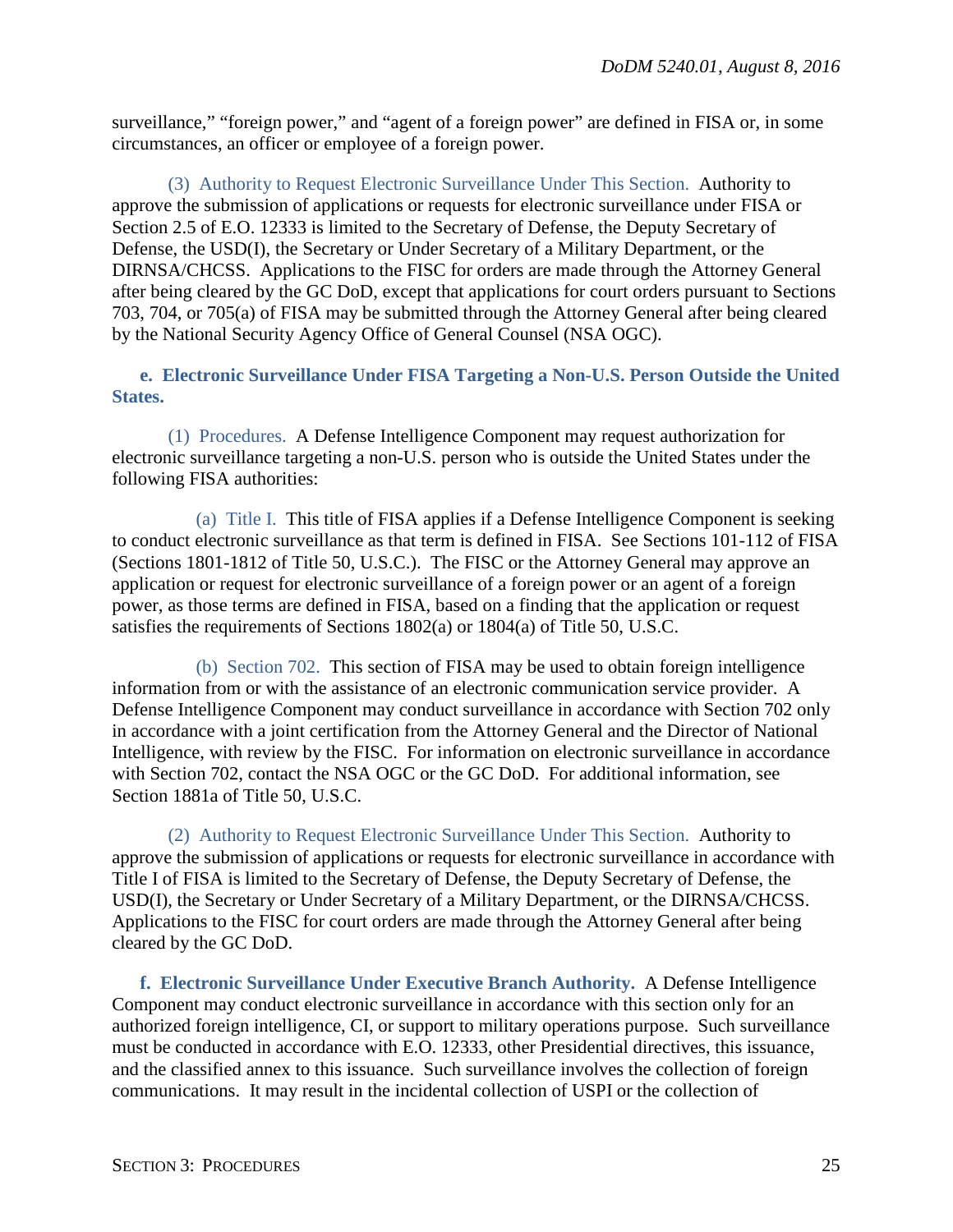surveillance," "foreign power," and "agent of a foreign power" are defined in FISA or, in some circumstances, an officer or employee of a foreign power.

(3) Authority to Request Electronic Surveillance Under This Section. Authority to approve the submission of applications or requests for electronic surveillance under FISA or Section 2.5 of E.O. 12333 is limited to the Secretary of Defense, the Deputy Secretary of Defense, the USD(I), the Secretary or Under Secretary of a Military Department, or the DIRNSA/CHCSS. Applications to the FISC for orders are made through the Attorney General after being cleared by the GC DoD, except that applications for court orders pursuant to Sections 703, 704, or 705(a) of FISA may be submitted through the Attorney General after being cleared by the National Security Agency Office of General Counsel (NSA OGC).

<span id="page-24-0"></span>**e. Electronic Surveillance Under FISA Targeting a Non-U.S. Person Outside the United States.** 

(1) Procedures. A Defense Intelligence Component may request authorization for electronic surveillance targeting a non-U.S. person who is outside the United States under the following FISA authorities:

(a) Title I. This title of FISA applies if a Defense Intelligence Component is seeking to conduct electronic surveillance as that term is defined in FISA. See Sections 101-112 of FISA (Sections 1801-1812 of Title 50, U.S.C.). The FISC or the Attorney General may approve an application or request for electronic surveillance of a foreign power or an agent of a foreign power, as those terms are defined in FISA, based on a finding that the application or request satisfies the requirements of Sections 1802(a) or 1804(a) of Title 50, U.S.C.

(b) Section 702. This section of FISA may be used to obtain foreign intelligence information from or with the assistance of an electronic communication service provider. A Defense Intelligence Component may conduct surveillance in accordance with Section 702 only in accordance with a joint certification from the Attorney General and the Director of National Intelligence, with review by the FISC. For information on electronic surveillance in accordance with Section 702, contact the NSA OGC or the GC DoD. For additional information, see Section 1881a of Title 50, U.S.C.

(2) Authority to Request Electronic Surveillance Under This Section. Authority to approve the submission of applications or requests for electronic surveillance in accordance with Title I of FISA is limited to the Secretary of Defense, the Deputy Secretary of Defense, the USD(I), the Secretary or Under Secretary of a Military Department, or the DIRNSA/CHCSS. Applications to the FISC for court orders are made through the Attorney General after being cleared by the GC DoD.

<span id="page-24-1"></span>**f. Electronic Surveillance Under Executive Branch Authority.** A Defense Intelligence Component may conduct electronic surveillance in accordance with this section only for an authorized foreign intelligence, CI, or support to military operations purpose. Such surveillance must be conducted in accordance with E.O. 12333, other Presidential directives, this issuance, and the classified annex to this issuance. Such surveillance involves the collection of foreign communications. It may result in the incidental collection of USPI or the collection of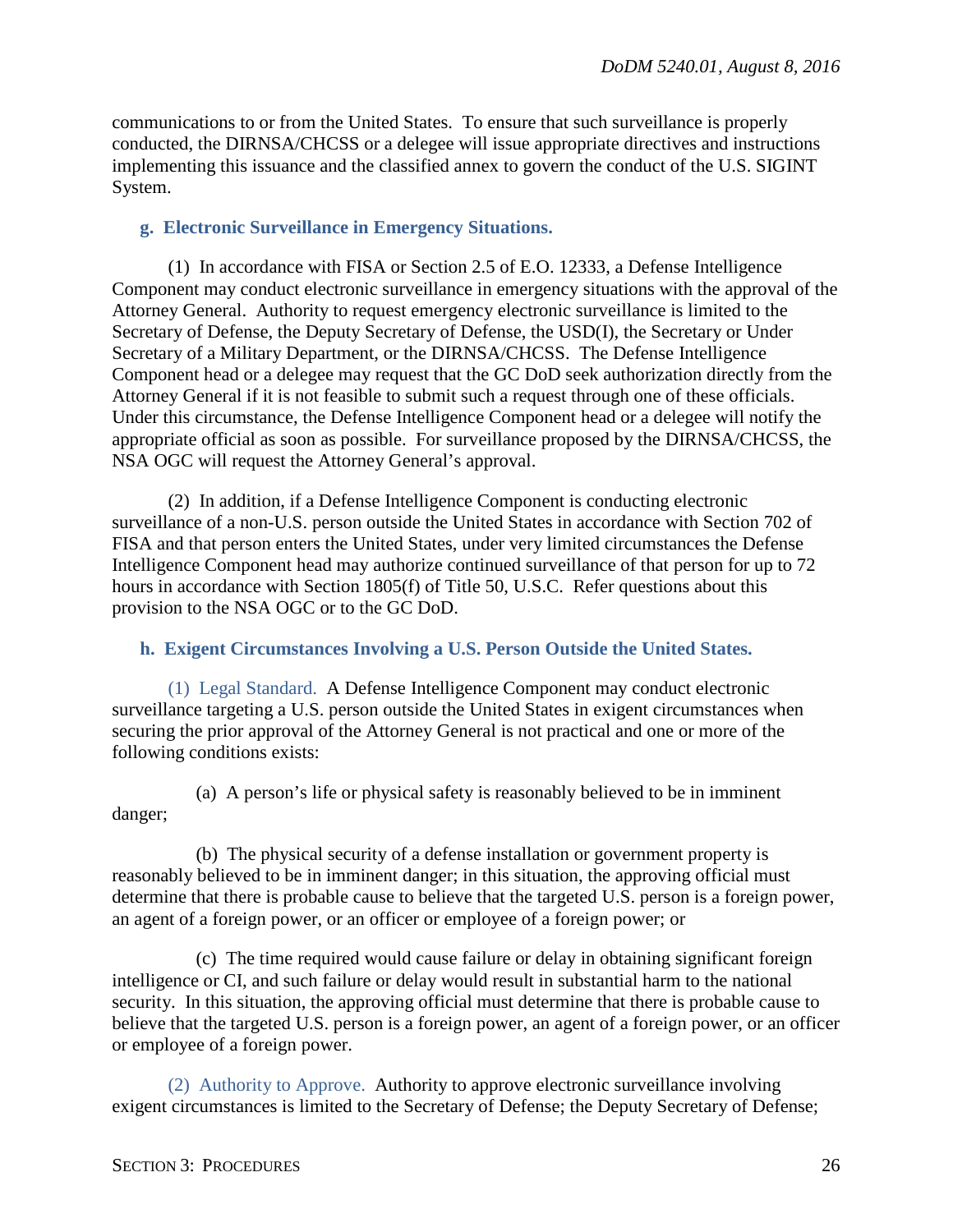communications to or from the United States. To ensure that such surveillance is properly conducted, the DIRNSA/CHCSS or a delegee will issue appropriate directives and instructions implementing this issuance and the classified annex to govern the conduct of the U.S. SIGINT System.

## <span id="page-25-0"></span>**g. Electronic Surveillance in Emergency Situations.**

(1) In accordance with FISA or Section 2.5 of E.O. 12333, a Defense Intelligence Component may conduct electronic surveillance in emergency situations with the approval of the Attorney General. Authority to request emergency electronic surveillance is limited to the Secretary of Defense, the Deputy Secretary of Defense, the USD(I), the Secretary or Under Secretary of a Military Department, or the DIRNSA/CHCSS. The Defense Intelligence Component head or a delegee may request that the GC DoD seek authorization directly from the Attorney General if it is not feasible to submit such a request through one of these officials. Under this circumstance, the Defense Intelligence Component head or a delegee will notify the appropriate official as soon as possible. For surveillance proposed by the DIRNSA/CHCSS, the NSA OGC will request the Attorney General's approval.

(2) In addition, if a Defense Intelligence Component is conducting electronic surveillance of a non-U.S. person outside the United States in accordance with Section 702 of FISA and that person enters the United States, under very limited circumstances the Defense Intelligence Component head may authorize continued surveillance of that person for up to 72 hours in accordance with Section 1805(f) of Title 50, U.S.C. Refer questions about this provision to the NSA OGC or to the GC DoD.

## <span id="page-25-1"></span>**h. Exigent Circumstances Involving a U.S. Person Outside the United States.**

(1) Legal Standard. A Defense Intelligence Component may conduct electronic surveillance targeting a U.S. person outside the United States in exigent circumstances when securing the prior approval of the Attorney General is not practical and one or more of the following conditions exists:

(a) A person's life or physical safety is reasonably believed to be in imminent danger;

(b) The physical security of a defense installation or government property is reasonably believed to be in imminent danger; in this situation, the approving official must determine that there is probable cause to believe that the targeted U.S. person is a foreign power, an agent of a foreign power, or an officer or employee of a foreign power; or

(c) The time required would cause failure or delay in obtaining significant foreign intelligence or CI, and such failure or delay would result in substantial harm to the national security. In this situation, the approving official must determine that there is probable cause to believe that the targeted U.S. person is a foreign power, an agent of a foreign power, or an officer or employee of a foreign power.

(2) Authority to Approve. Authority to approve electronic surveillance involving exigent circumstances is limited to the Secretary of Defense; the Deputy Secretary of Defense;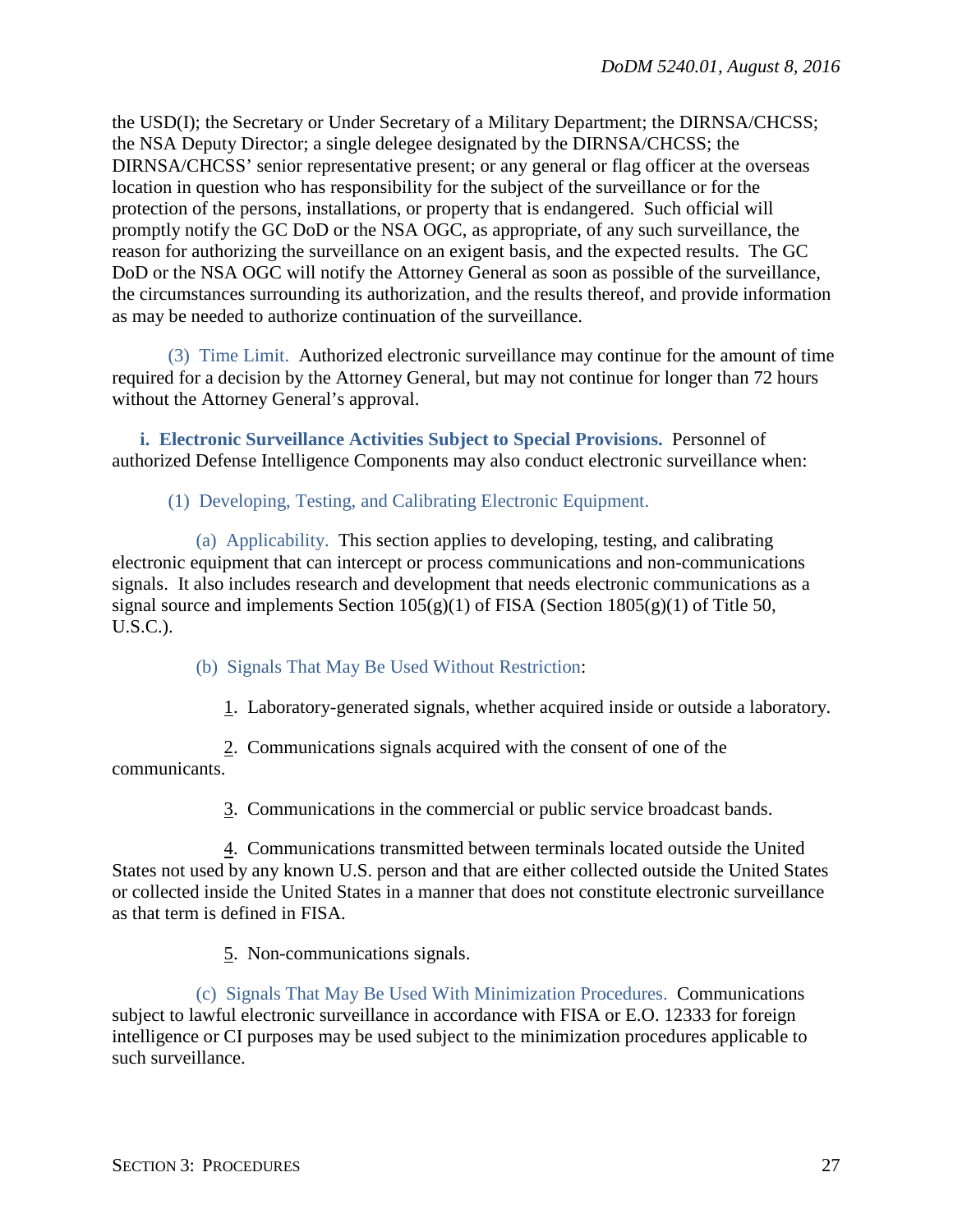the USD(I); the Secretary or Under Secretary of a Military Department; the DIRNSA/CHCSS; the NSA Deputy Director; a single delegee designated by the DIRNSA/CHCSS; the DIRNSA/CHCSS' senior representative present; or any general or flag officer at the overseas location in question who has responsibility for the subject of the surveillance or for the protection of the persons, installations, or property that is endangered. Such official will promptly notify the GC DoD or the NSA OGC, as appropriate, of any such surveillance, the reason for authorizing the surveillance on an exigent basis, and the expected results. The GC DoD or the NSA OGC will notify the Attorney General as soon as possible of the surveillance, the circumstances surrounding its authorization, and the results thereof, and provide information as may be needed to authorize continuation of the surveillance.

(3) Time Limit. Authorized electronic surveillance may continue for the amount of time required for a decision by the Attorney General, but may not continue for longer than 72 hours without the Attorney General's approval.

<span id="page-26-0"></span>**i. Electronic Surveillance Activities Subject to Special Provisions.** Personnel of authorized Defense Intelligence Components may also conduct electronic surveillance when:

(1) Developing, Testing, and Calibrating Electronic Equipment.

(a) Applicability. This section applies to developing, testing, and calibrating electronic equipment that can intercept or process communications and non-communications signals. It also includes research and development that needs electronic communications as a signal source and implements Section  $105(g)(1)$  of FISA (Section  $1805(g)(1)$  of Title 50, U.S.C.).

(b) Signals That May Be Used Without Restriction:

1. Laboratory-generated signals, whether acquired inside or outside a laboratory.

2. Communications signals acquired with the consent of one of the communicants.

3. Communications in the commercial or public service broadcast bands.

4. Communications transmitted between terminals located outside the United States not used by any known U.S. person and that are either collected outside the United States or collected inside the United States in a manner that does not constitute electronic surveillance as that term is defined in FISA.

5. Non-communications signals.

(c) Signals That May Be Used With Minimization Procedures. Communications subject to lawful electronic surveillance in accordance with FISA or E.O. 12333 for foreign intelligence or CI purposes may be used subject to the minimization procedures applicable to such surveillance.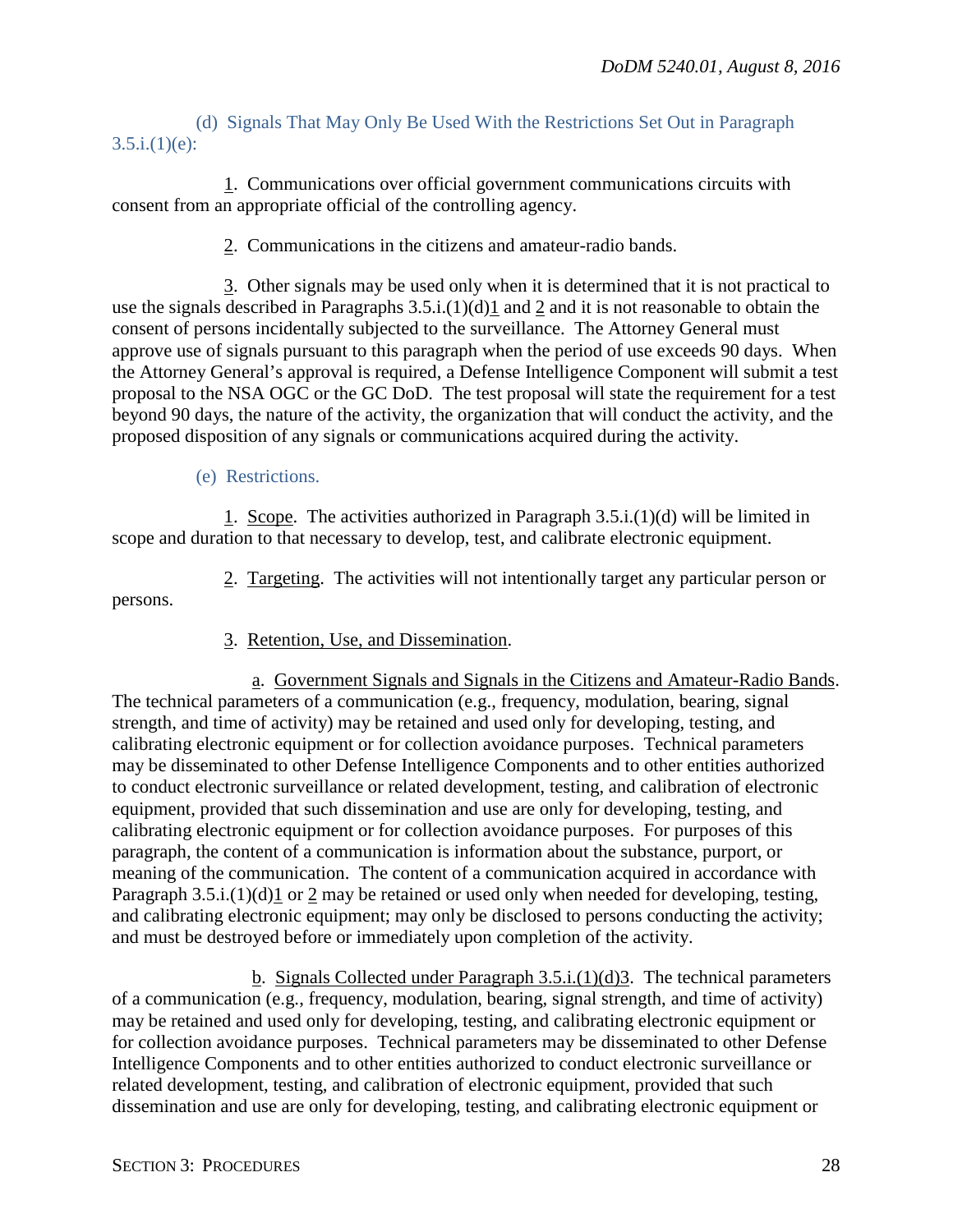## (d) Signals That May Only Be Used With the Restrictions Set Out in Paragraph  $3.5.i.(1)(e)$ :

1. Communications over official government communications circuits with consent from an appropriate official of the controlling agency.

2. Communications in the citizens and amateur-radio bands.

3. Other signals may be used only when it is determined that it is not practical to use the signals described in Paragraphs 3.5.i.(1)(d)1 and 2 and it is not reasonable to obtain the consent of persons incidentally subjected to the surveillance. The Attorney General must approve use of signals pursuant to this paragraph when the period of use exceeds 90 days. When the Attorney General's approval is required, a Defense Intelligence Component will submit a test proposal to the NSA OGC or the GC DoD. The test proposal will state the requirement for a test beyond 90 days, the nature of the activity, the organization that will conduct the activity, and the proposed disposition of any signals or communications acquired during the activity.

(e) Restrictions.

1. Scope. The activities authorized in Paragraph  $3.5.i.(1)(d)$  will be limited in scope and duration to that necessary to develop, test, and calibrate electronic equipment.

2. Targeting. The activities will not intentionally target any particular person or persons.

3. Retention, Use, and Dissemination.

a. Government Signals and Signals in the Citizens and Amateur-Radio Bands. The technical parameters of a communication (e.g., frequency, modulation, bearing, signal strength, and time of activity) may be retained and used only for developing, testing, and calibrating electronic equipment or for collection avoidance purposes. Technical parameters may be disseminated to other Defense Intelligence Components and to other entities authorized to conduct electronic surveillance or related development, testing, and calibration of electronic equipment, provided that such dissemination and use are only for developing, testing, and calibrating electronic equipment or for collection avoidance purposes. For purposes of this paragraph, the content of a communication is information about the substance, purport, or meaning of the communication. The content of a communication acquired in accordance with Paragraph 3.5.i.(1)(d)1 or 2 may be retained or used only when needed for developing, testing, and calibrating electronic equipment; may only be disclosed to persons conducting the activity; and must be destroyed before or immediately upon completion of the activity.

b. Signals Collected under Paragraph 3.5.i.(1)(d)3. The technical parameters of a communication (e.g., frequency, modulation, bearing, signal strength, and time of activity) may be retained and used only for developing, testing, and calibrating electronic equipment or for collection avoidance purposes. Technical parameters may be disseminated to other Defense Intelligence Components and to other entities authorized to conduct electronic surveillance or related development, testing, and calibration of electronic equipment, provided that such dissemination and use are only for developing, testing, and calibrating electronic equipment or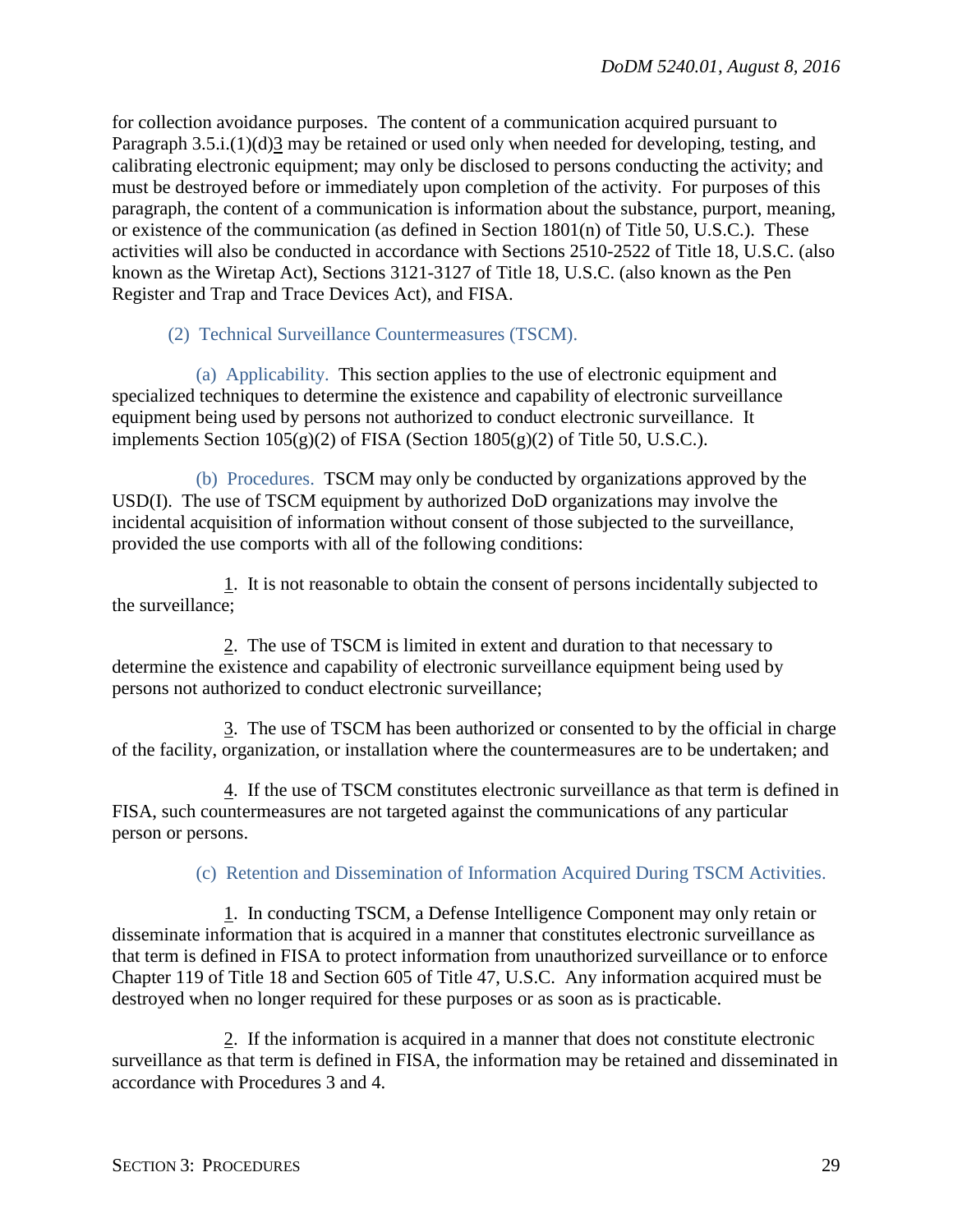for collection avoidance purposes. The content of a communication acquired pursuant to Paragraph 3.5.i.(1)(d)3 may be retained or used only when needed for developing, testing, and calibrating electronic equipment; may only be disclosed to persons conducting the activity; and must be destroyed before or immediately upon completion of the activity. For purposes of this paragraph, the content of a communication is information about the substance, purport, meaning, or existence of the communication (as defined in Section 1801(n) of Title 50, U.S.C.). These activities will also be conducted in accordance with Sections 2510-2522 of Title 18, U.S.C. (also known as the Wiretap Act), Sections 3121-3127 of Title 18, U.S.C. (also known as the Pen Register and Trap and Trace Devices Act), and FISA.

(2) Technical Surveillance Countermeasures (TSCM).

(a) Applicability. This section applies to the use of electronic equipment and specialized techniques to determine the existence and capability of electronic surveillance equipment being used by persons not authorized to conduct electronic surveillance. It implements Section  $105(g)(2)$  of FISA (Section  $1805(g)(2)$  of Title 50, U.S.C.).

(b) Procedures. TSCM may only be conducted by organizations approved by the USD(I). The use of TSCM equipment by authorized DoD organizations may involve the incidental acquisition of information without consent of those subjected to the surveillance, provided the use comports with all of the following conditions:

1. It is not reasonable to obtain the consent of persons incidentally subjected to the surveillance;

2. The use of TSCM is limited in extent and duration to that necessary to determine the existence and capability of electronic surveillance equipment being used by persons not authorized to conduct electronic surveillance;

3. The use of TSCM has been authorized or consented to by the official in charge of the facility, organization, or installation where the countermeasures are to be undertaken; and

4. If the use of TSCM constitutes electronic surveillance as that term is defined in FISA, such countermeasures are not targeted against the communications of any particular person or persons.

## (c) Retention and Dissemination of Information Acquired During TSCM Activities.

1. In conducting TSCM, a Defense Intelligence Component may only retain or disseminate information that is acquired in a manner that constitutes electronic surveillance as that term is defined in FISA to protect information from unauthorized surveillance or to enforce Chapter 119 of Title 18 and Section 605 of Title 47, U.S.C. Any information acquired must be destroyed when no longer required for these purposes or as soon as is practicable.

2. If the information is acquired in a manner that does not constitute electronic surveillance as that term is defined in FISA, the information may be retained and disseminated in accordance with Procedures 3 and 4.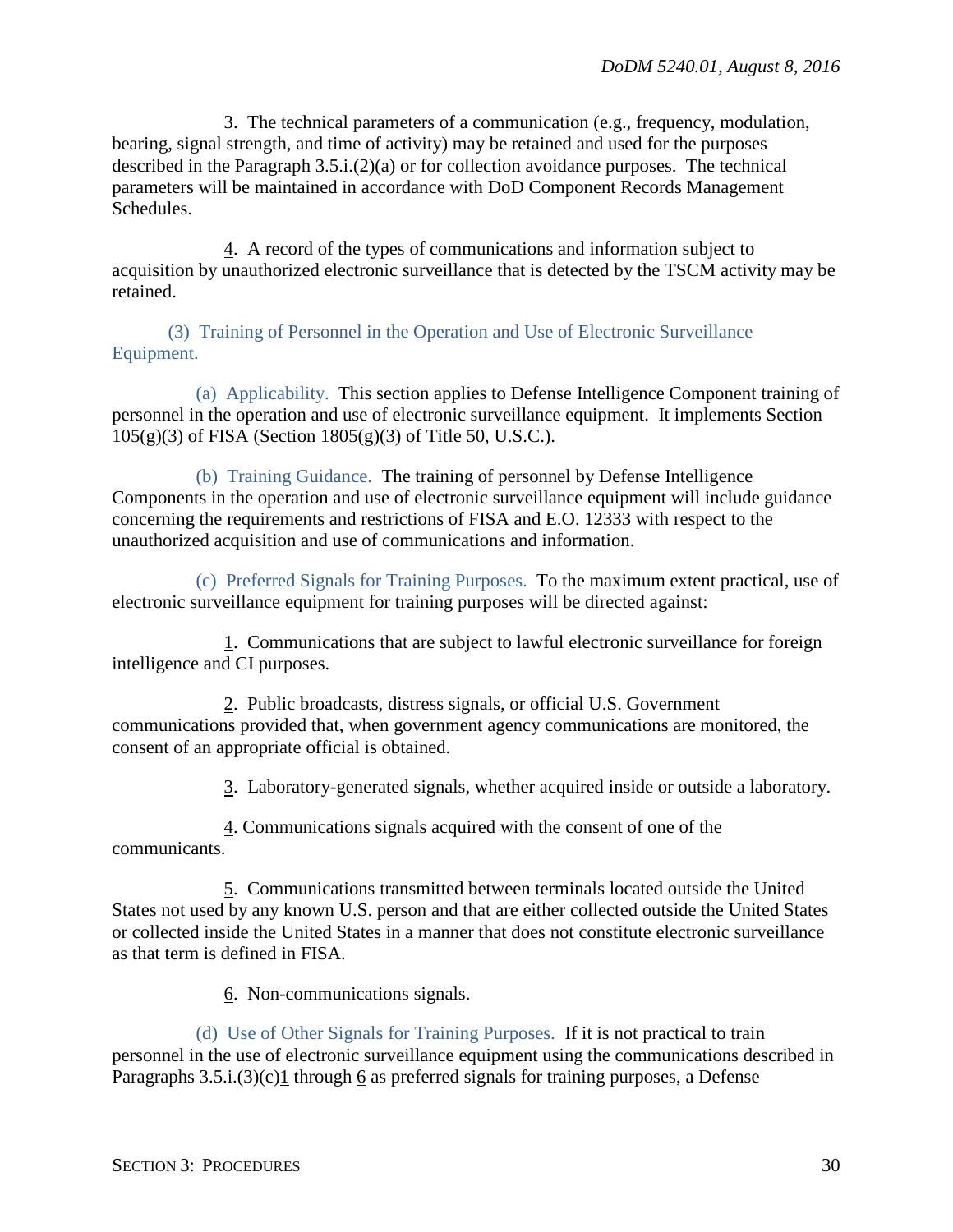3. The technical parameters of a communication (e.g., frequency, modulation, bearing, signal strength, and time of activity) may be retained and used for the purposes described in the Paragraph 3.5.i.(2)(a) or for collection avoidance purposes. The technical parameters will be maintained in accordance with DoD Component Records Management Schedules.

4. A record of the types of communications and information subject to acquisition by unauthorized electronic surveillance that is detected by the TSCM activity may be retained.

(3) Training of Personnel in the Operation and Use of Electronic Surveillance Equipment.

(a) Applicability. This section applies to Defense Intelligence Component training of personnel in the operation and use of electronic surveillance equipment. It implements Section 105(g)(3) of FISA (Section 1805(g)(3) of Title 50, U.S.C.).

(b) Training Guidance. The training of personnel by Defense Intelligence Components in the operation and use of electronic surveillance equipment will include guidance concerning the requirements and restrictions of FISA and E.O. 12333 with respect to the unauthorized acquisition and use of communications and information.

(c) Preferred Signals for Training Purposes. To the maximum extent practical, use of electronic surveillance equipment for training purposes will be directed against:

1. Communications that are subject to lawful electronic surveillance for foreign intelligence and CI purposes.

2. Public broadcasts, distress signals, or official U.S. Government communications provided that, when government agency communications are monitored, the consent of an appropriate official is obtained.

3. Laboratory-generated signals, whether acquired inside or outside a laboratory.

4. Communications signals acquired with the consent of one of the communicants.

5. Communications transmitted between terminals located outside the United States not used by any known U.S. person and that are either collected outside the United States or collected inside the United States in a manner that does not constitute electronic surveillance as that term is defined in FISA.

6. Non-communications signals.

(d) Use of Other Signals for Training Purposes. If it is not practical to train personnel in the use of electronic surveillance equipment using the communications described in Paragraphs  $3.5.i.(3)(c)1$  through 6 as preferred signals for training purposes, a Defense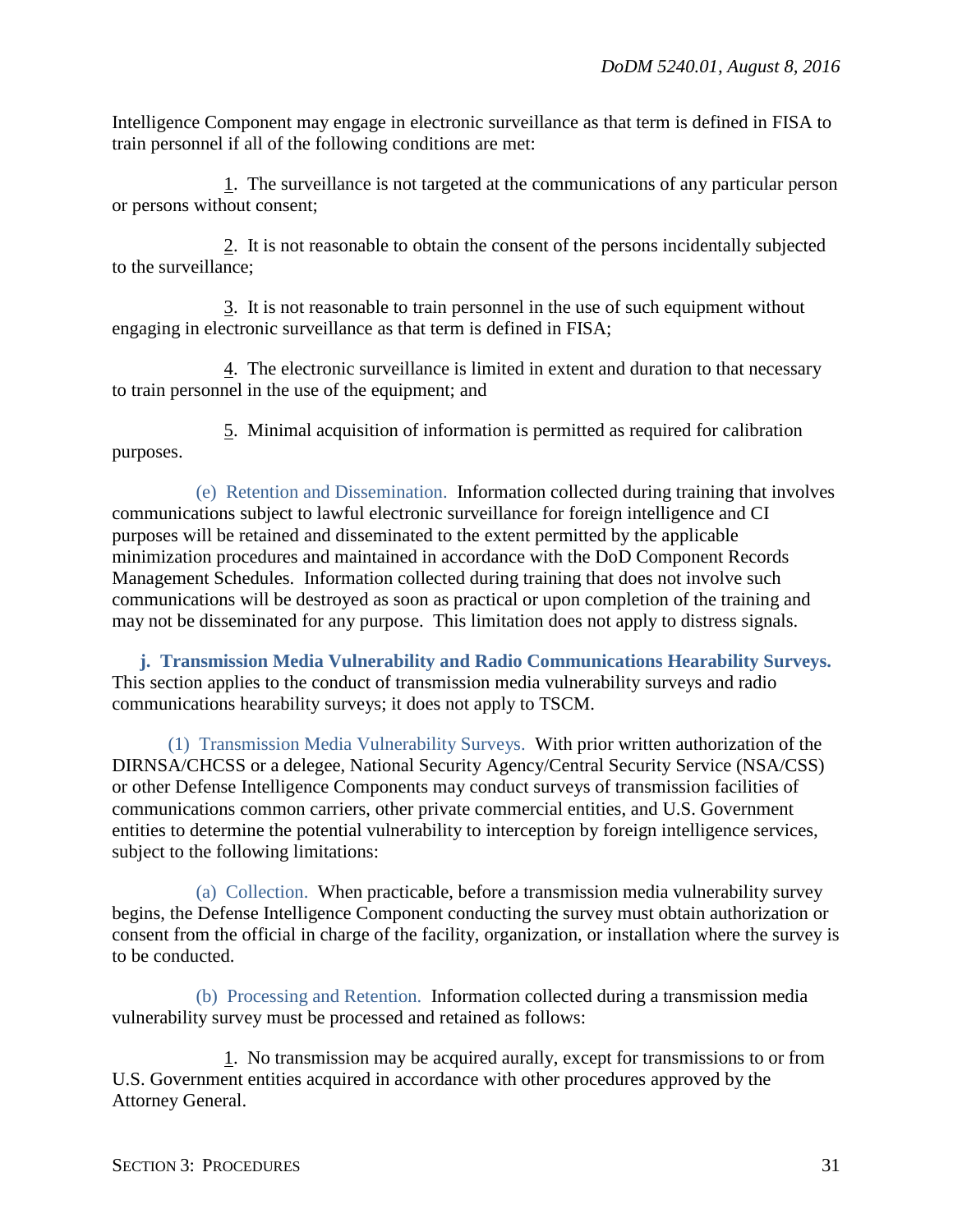Intelligence Component may engage in electronic surveillance as that term is defined in FISA to train personnel if all of the following conditions are met:

1. The surveillance is not targeted at the communications of any particular person or persons without consent;

2. It is not reasonable to obtain the consent of the persons incidentally subjected to the surveillance;

3. It is not reasonable to train personnel in the use of such equipment without engaging in electronic surveillance as that term is defined in FISA;

4. The electronic surveillance is limited in extent and duration to that necessary to train personnel in the use of the equipment; and

5. Minimal acquisition of information is permitted as required for calibration purposes.

(e) Retention and Dissemination. Information collected during training that involves communications subject to lawful electronic surveillance for foreign intelligence and CI purposes will be retained and disseminated to the extent permitted by the applicable minimization procedures and maintained in accordance with the DoD Component Records Management Schedules. Information collected during training that does not involve such communications will be destroyed as soon as practical or upon completion of the training and may not be disseminated for any purpose. This limitation does not apply to distress signals.

<span id="page-30-0"></span>**j. Transmission Media Vulnerability and Radio Communications Hearability Surveys.** This section applies to the conduct of transmission media vulnerability surveys and radio communications hearability surveys; it does not apply to TSCM.

(1) Transmission Media Vulnerability Surveys. With prior written authorization of the DIRNSA/CHCSS or a delegee, National Security Agency/Central Security Service (NSA/CSS) or other Defense Intelligence Components may conduct surveys of transmission facilities of communications common carriers, other private commercial entities, and U.S. Government entities to determine the potential vulnerability to interception by foreign intelligence services, subject to the following limitations:

(a) Collection. When practicable, before a transmission media vulnerability survey begins, the Defense Intelligence Component conducting the survey must obtain authorization or consent from the official in charge of the facility, organization, or installation where the survey is to be conducted.

(b) Processing and Retention. Information collected during a transmission media vulnerability survey must be processed and retained as follows:

1. No transmission may be acquired aurally, except for transmissions to or from U.S. Government entities acquired in accordance with other procedures approved by the Attorney General.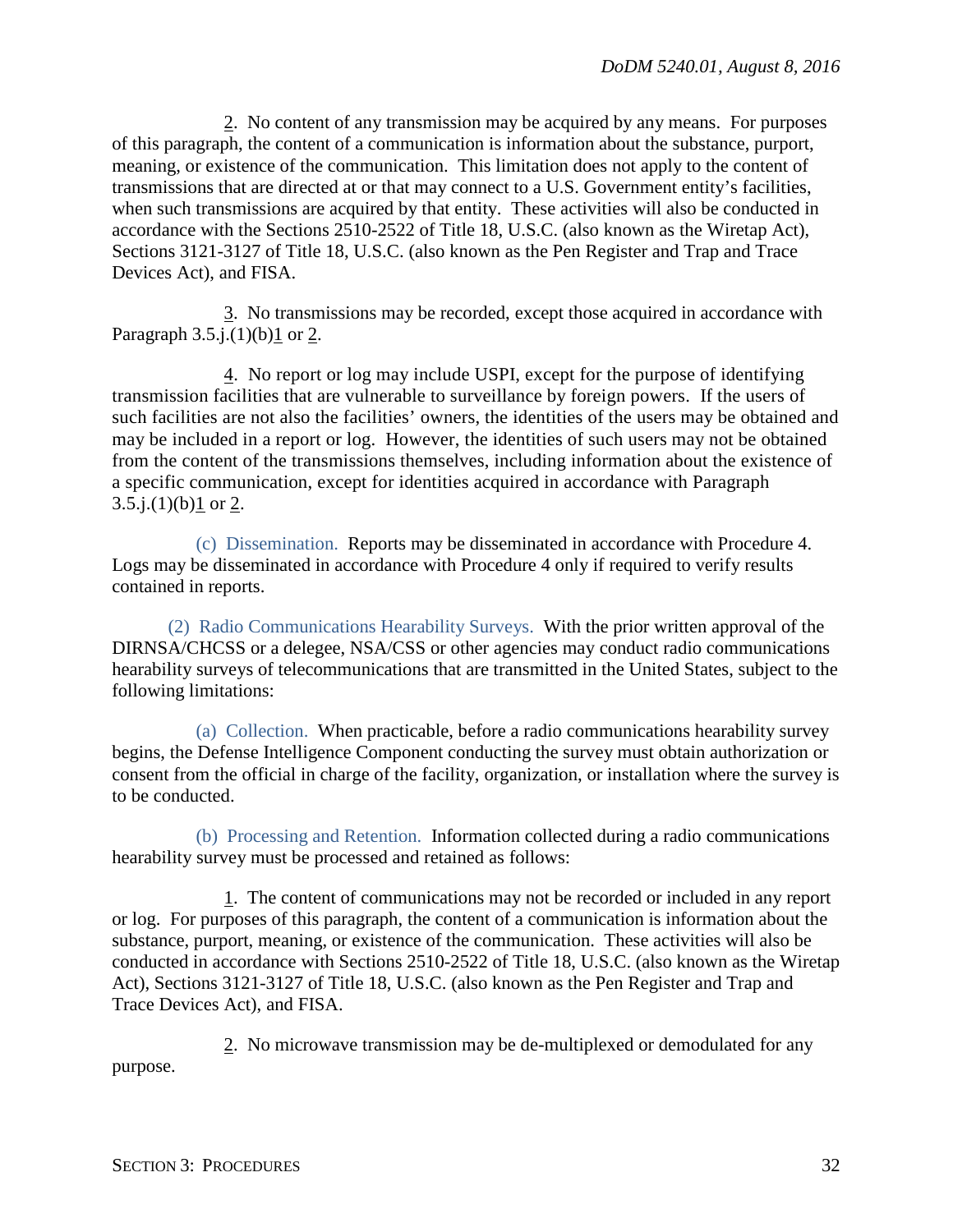2. No content of any transmission may be acquired by any means. For purposes of this paragraph, the content of a communication is information about the substance, purport, meaning, or existence of the communication. This limitation does not apply to the content of transmissions that are directed at or that may connect to a U.S. Government entity's facilities, when such transmissions are acquired by that entity. These activities will also be conducted in accordance with the Sections 2510-2522 of Title 18, U.S.C. (also known as the Wiretap Act), Sections 3121-3127 of Title 18, U.S.C. (also known as the Pen Register and Trap and Trace Devices Act), and FISA.

3. No transmissions may be recorded, except those acquired in accordance with Paragraph  $3.5.i.(1)(b)1$  or 2.

4. No report or log may include USPI, except for the purpose of identifying transmission facilities that are vulnerable to surveillance by foreign powers. If the users of such facilities are not also the facilities' owners, the identities of the users may be obtained and may be included in a report or log. However, the identities of such users may not be obtained from the content of the transmissions themselves, including information about the existence of a specific communication, except for identities acquired in accordance with Paragraph 3.5.j. $(1)(b)1$  or 2.

(c) Dissemination. Reports may be disseminated in accordance with Procedure 4. Logs may be disseminated in accordance with Procedure 4 only if required to verify results contained in reports.

(2) Radio Communications Hearability Surveys. With the prior written approval of the DIRNSA/CHCSS or a delegee, NSA/CSS or other agencies may conduct radio communications hearability surveys of telecommunications that are transmitted in the United States, subject to the following limitations:

(a) Collection. When practicable, before a radio communications hearability survey begins, the Defense Intelligence Component conducting the survey must obtain authorization or consent from the official in charge of the facility, organization, or installation where the survey is to be conducted.

(b) Processing and Retention. Information collected during a radio communications hearability survey must be processed and retained as follows:

1. The content of communications may not be recorded or included in any report or log. For purposes of this paragraph, the content of a communication is information about the substance, purport, meaning, or existence of the communication. These activities will also be conducted in accordance with Sections 2510-2522 of Title 18, U.S.C. (also known as the Wiretap Act), Sections 3121-3127 of Title 18, U.S.C. (also known as the Pen Register and Trap and Trace Devices Act), and FISA.

2. No microwave transmission may be de-multiplexed or demodulated for any purpose.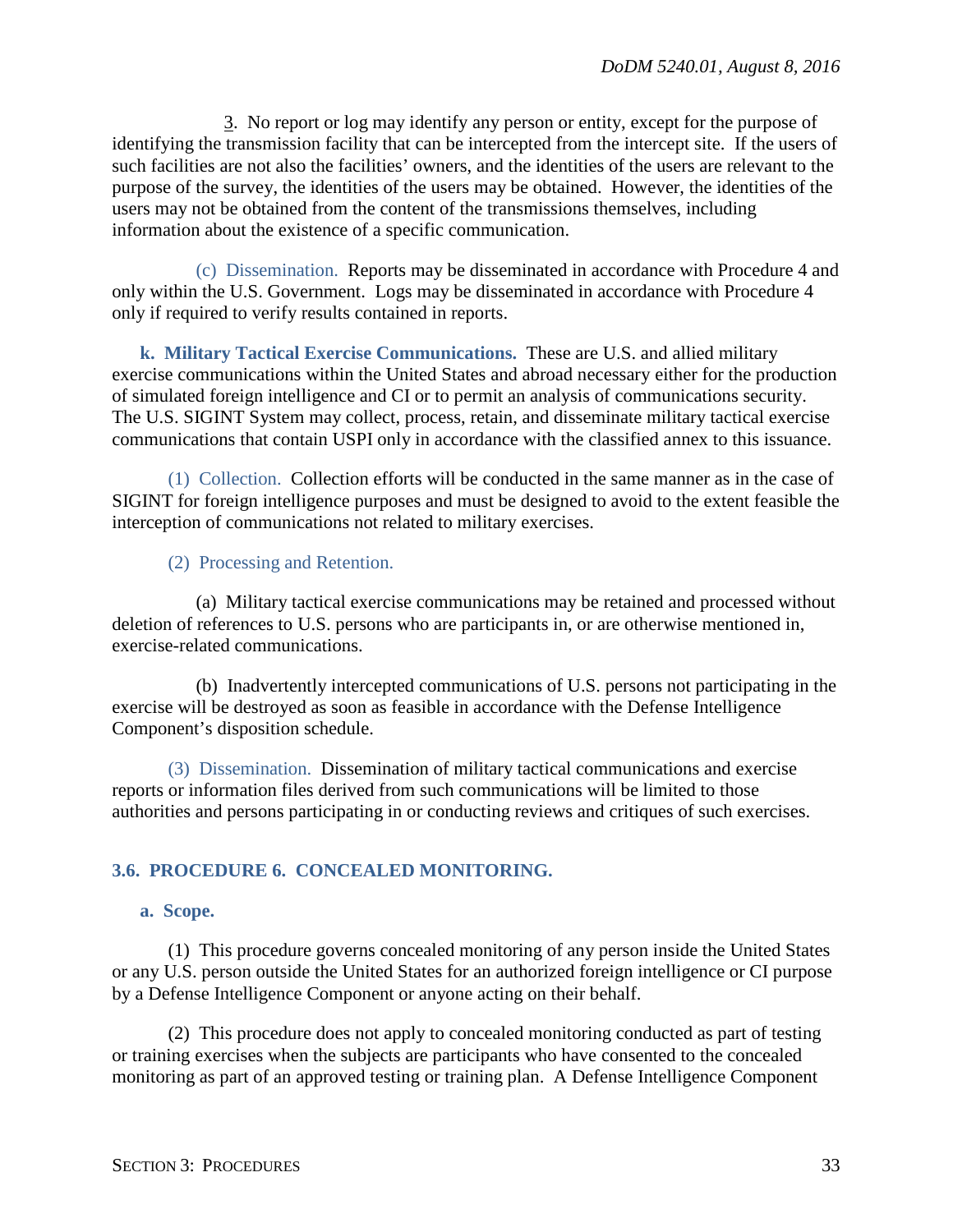3. No report or log may identify any person or entity, except for the purpose of identifying the transmission facility that can be intercepted from the intercept site. If the users of such facilities are not also the facilities' owners, and the identities of the users are relevant to the purpose of the survey, the identities of the users may be obtained. However, the identities of the users may not be obtained from the content of the transmissions themselves, including information about the existence of a specific communication.

(c) Dissemination. Reports may be disseminated in accordance with Procedure 4 and only within the U.S. Government. Logs may be disseminated in accordance with Procedure 4 only if required to verify results contained in reports.

<span id="page-32-0"></span>**k. Military Tactical Exercise Communications.** These are U.S. and allied military exercise communications within the United States and abroad necessary either for the production of simulated foreign intelligence and CI or to permit an analysis of communications security. The U.S. SIGINT System may collect, process, retain, and disseminate military tactical exercise communications that contain USPI only in accordance with the classified annex to this issuance.

(1) Collection. Collection efforts will be conducted in the same manner as in the case of SIGINT for foreign intelligence purposes and must be designed to avoid to the extent feasible the interception of communications not related to military exercises.

## (2) Processing and Retention.

(a) Military tactical exercise communications may be retained and processed without deletion of references to U.S. persons who are participants in, or are otherwise mentioned in, exercise-related communications.

(b) Inadvertently intercepted communications of U.S. persons not participating in the exercise will be destroyed as soon as feasible in accordance with the Defense Intelligence Component's disposition schedule.

(3) Dissemination. Dissemination of military tactical communications and exercise reports or information files derived from such communications will be limited to those authorities and persons participating in or conducting reviews and critiques of such exercises.

## <span id="page-32-1"></span>**3.6. PROCEDURE 6. CONCEALED MONITORING.**

#### <span id="page-32-2"></span>**a. Scope.**

(1) This procedure governs concealed monitoring of any person inside the United States or any U.S. person outside the United States for an authorized foreign intelligence or CI purpose by a Defense Intelligence Component or anyone acting on their behalf.

(2) This procedure does not apply to concealed monitoring conducted as part of testing or training exercises when the subjects are participants who have consented to the concealed monitoring as part of an approved testing or training plan. A Defense Intelligence Component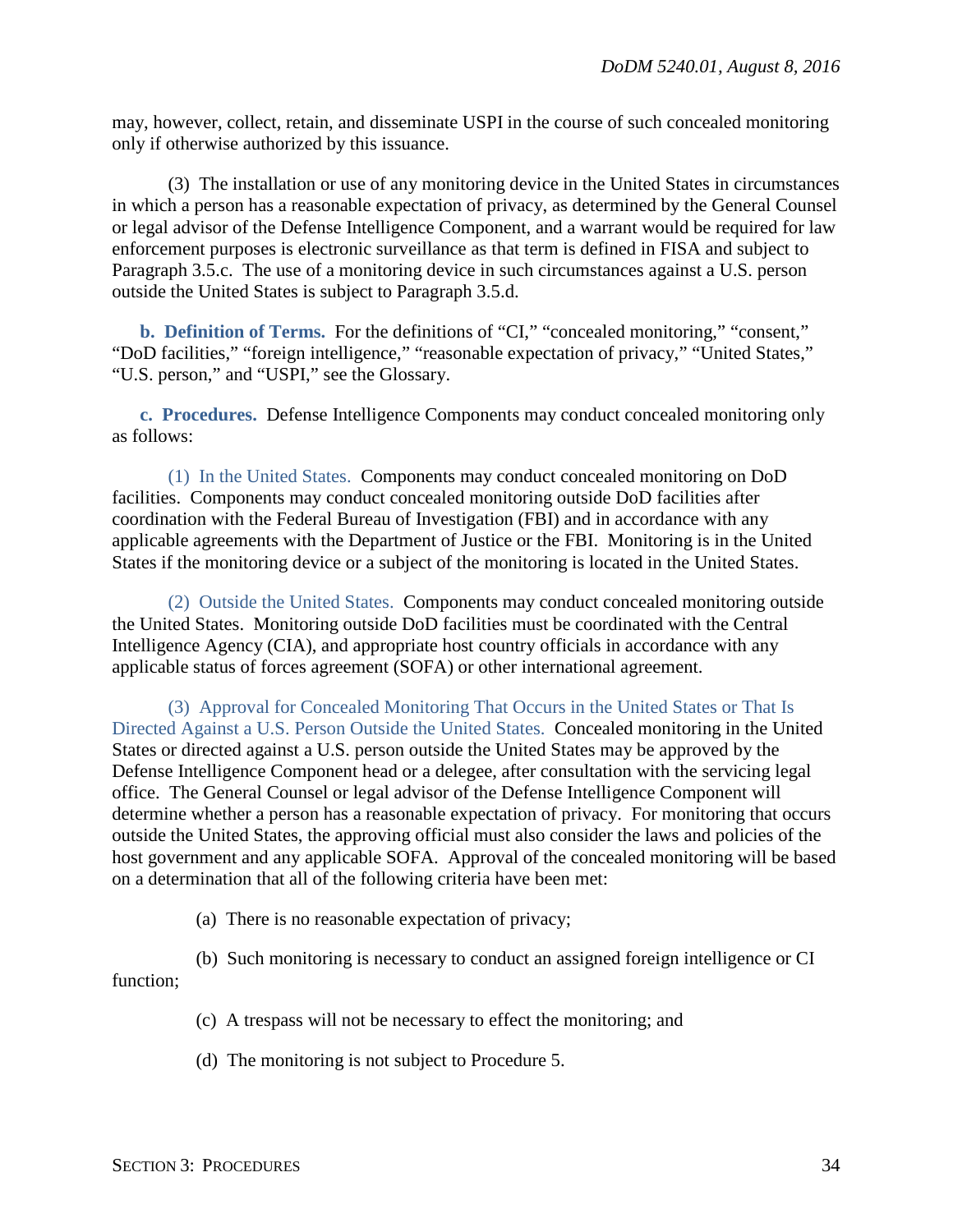may, however, collect, retain, and disseminate USPI in the course of such concealed monitoring only if otherwise authorized by this issuance.

(3) The installation or use of any monitoring device in the United States in circumstances in which a person has a reasonable expectation of privacy, as determined by the General Counsel or legal advisor of the Defense Intelligence Component, and a warrant would be required for law enforcement purposes is electronic surveillance as that term is defined in FISA and subject to Paragraph 3.5.c. The use of a monitoring device in such circumstances against a U.S. person outside the United States is subject to Paragraph 3.5.d.

<span id="page-33-0"></span>**b. Definition of Terms.** For the definitions of "CI," "concealed monitoring," "consent," "DoD facilities," "foreign intelligence," "reasonable expectation of privacy," "United States," "U.S. person," and "USPI," see the Glossary.

<span id="page-33-1"></span>**c. Procedures.** Defense Intelligence Components may conduct concealed monitoring only as follows:

(1) In the United States. Components may conduct concealed monitoring on DoD facilities. Components may conduct concealed monitoring outside DoD facilities after coordination with the Federal Bureau of Investigation (FBI) and in accordance with any applicable agreements with the Department of Justice or the FBI. Monitoring is in the United States if the monitoring device or a subject of the monitoring is located in the United States.

(2) Outside the United States. Components may conduct concealed monitoring outside the United States. Monitoring outside DoD facilities must be coordinated with the Central Intelligence Agency (CIA), and appropriate host country officials in accordance with any applicable status of forces agreement (SOFA) or other international agreement.

(3) Approval for Concealed Monitoring That Occurs in the United States or That Is Directed Against a U.S. Person Outside the United States. Concealed monitoring in the United States or directed against a U.S. person outside the United States may be approved by the Defense Intelligence Component head or a delegee, after consultation with the servicing legal office. The General Counsel or legal advisor of the Defense Intelligence Component will determine whether a person has a reasonable expectation of privacy. For monitoring that occurs outside the United States, the approving official must also consider the laws and policies of the host government and any applicable SOFA. Approval of the concealed monitoring will be based on a determination that all of the following criteria have been met:

(a) There is no reasonable expectation of privacy;

(b) Such monitoring is necessary to conduct an assigned foreign intelligence or CI

function;

- (c) A trespass will not be necessary to effect the monitoring; and
- (d) The monitoring is not subject to Procedure 5.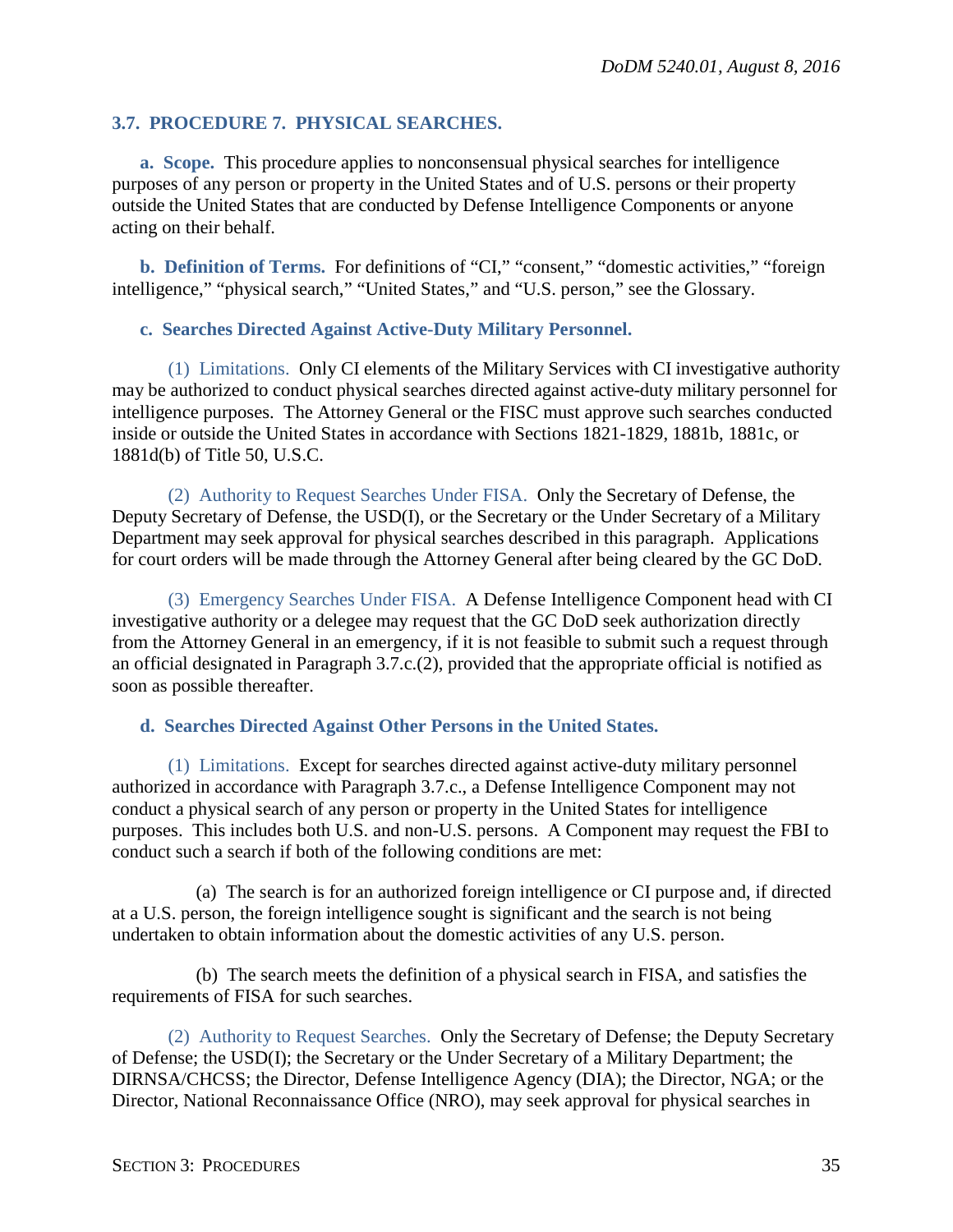## <span id="page-34-0"></span>**3.7. PROCEDURE 7. PHYSICAL SEARCHES.**

<span id="page-34-1"></span>**a. Scope.** This procedure applies to nonconsensual physical searches for intelligence purposes of any person or property in the United States and of U.S. persons or their property outside the United States that are conducted by Defense Intelligence Components or anyone acting on their behalf.

<span id="page-34-2"></span>**b. Definition of Terms.** For definitions of "CI," "consent," "domestic activities," "foreign intelligence," "physical search," "United States," and "U.S. person," see the Glossary.

#### <span id="page-34-3"></span>**c. Searches Directed Against Active-Duty Military Personnel.**

(1) Limitations. Only CI elements of the Military Services with CI investigative authority may be authorized to conduct physical searches directed against active-duty military personnel for intelligence purposes. The Attorney General or the FISC must approve such searches conducted inside or outside the United States in accordance with Sections 1821-1829, 1881b, 1881c, or 1881d(b) of Title 50, U.S.C.

(2) Authority to Request Searches Under FISA. Only the Secretary of Defense, the Deputy Secretary of Defense, the USD(I), or the Secretary or the Under Secretary of a Military Department may seek approval for physical searches described in this paragraph. Applications for court orders will be made through the Attorney General after being cleared by the GC DoD.

(3) Emergency Searches Under FISA. A Defense Intelligence Component head with CI investigative authority or a delegee may request that the GC DoD seek authorization directly from the Attorney General in an emergency, if it is not feasible to submit such a request through an official designated in Paragraph 3.7.c.(2), provided that the appropriate official is notified as soon as possible thereafter.

#### <span id="page-34-4"></span>**d. Searches Directed Against Other Persons in the United States.**

(1) Limitations. Except for searches directed against active-duty military personnel authorized in accordance with Paragraph 3.7.c., a Defense Intelligence Component may not conduct a physical search of any person or property in the United States for intelligence purposes. This includes both U.S. and non-U.S. persons. A Component may request the FBI to conduct such a search if both of the following conditions are met:

(a) The search is for an authorized foreign intelligence or CI purpose and, if directed at a U.S. person, the foreign intelligence sought is significant and the search is not being undertaken to obtain information about the domestic activities of any U.S. person.

(b) The search meets the definition of a physical search in FISA, and satisfies the requirements of FISA for such searches.

(2) Authority to Request Searches. Only the Secretary of Defense; the Deputy Secretary of Defense; the USD(I); the Secretary or the Under Secretary of a Military Department; the DIRNSA/CHCSS; the Director, Defense Intelligence Agency (DIA); the Director, NGA; or the Director, National Reconnaissance Office (NRO), may seek approval for physical searches in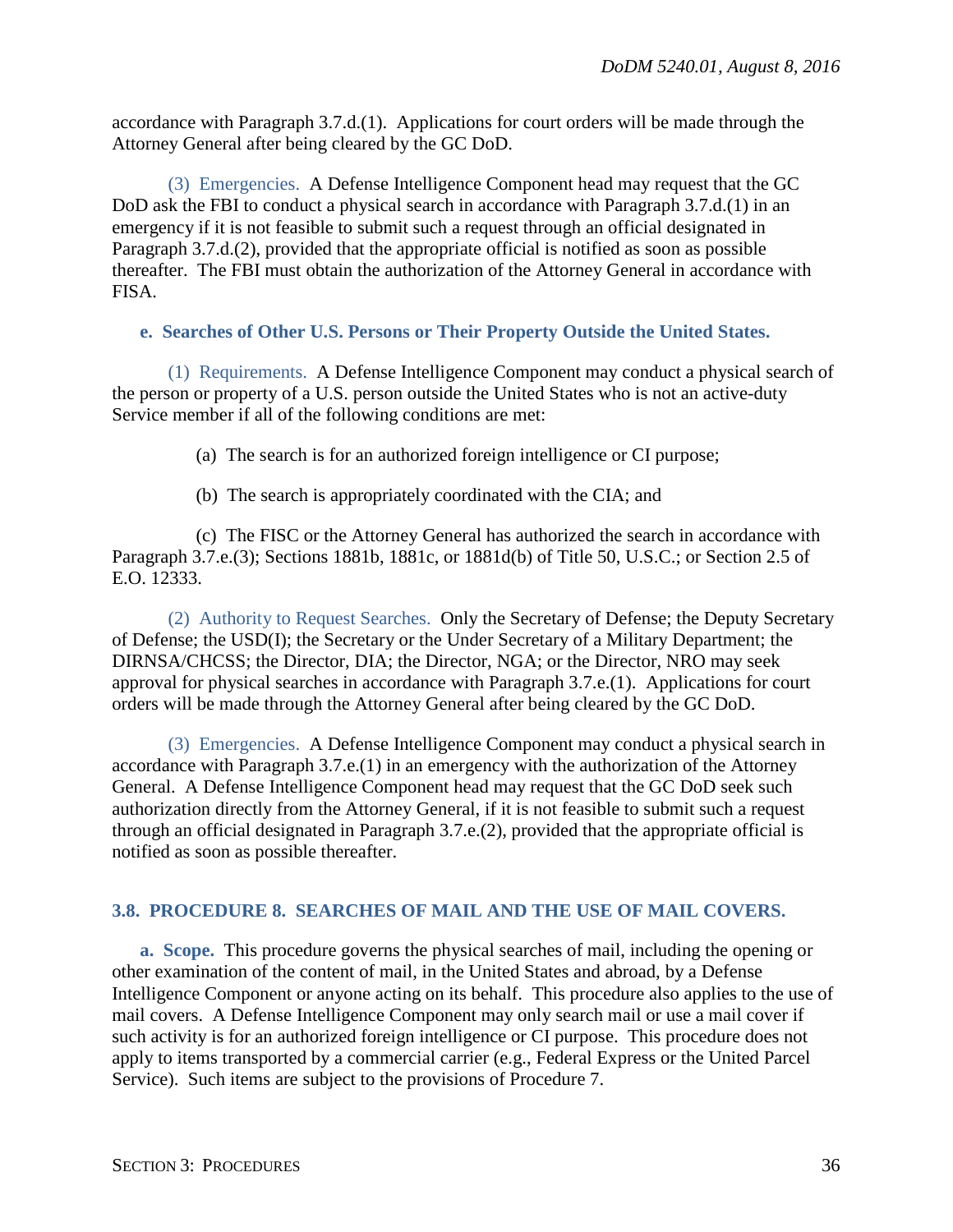accordance with Paragraph 3.7.d.(1). Applications for court orders will be made through the Attorney General after being cleared by the GC DoD.

(3) Emergencies. A Defense Intelligence Component head may request that the GC DoD ask the FBI to conduct a physical search in accordance with Paragraph 3.7.d.(1) in an emergency if it is not feasible to submit such a request through an official designated in Paragraph 3.7.d.(2), provided that the appropriate official is notified as soon as possible thereafter. The FBI must obtain the authorization of the Attorney General in accordance with FISA.

## <span id="page-35-0"></span>**e. Searches of Other U.S. Persons or Their Property Outside the United States.**

(1) Requirements. A Defense Intelligence Component may conduct a physical search of the person or property of a U.S. person outside the United States who is not an active-duty Service member if all of the following conditions are met:

(a) The search is for an authorized foreign intelligence or CI purpose;

(b) The search is appropriately coordinated with the CIA; and

(c) The FISC or the Attorney General has authorized the search in accordance with Paragraph 3.7.e.(3); Sections 1881b, 1881c, or 1881d(b) of Title 50, U.S.C.; or Section 2.5 of E.O. 12333.

(2) Authority to Request Searches. Only the Secretary of Defense; the Deputy Secretary of Defense; the USD(I); the Secretary or the Under Secretary of a Military Department; the DIRNSA/CHCSS; the Director, DIA; the Director, NGA; or the Director, NRO may seek approval for physical searches in accordance with Paragraph 3.7.e.(1). Applications for court orders will be made through the Attorney General after being cleared by the GC DoD.

(3) Emergencies. A Defense Intelligence Component may conduct a physical search in accordance with Paragraph 3.7.e.(1) in an emergency with the authorization of the Attorney General. A Defense Intelligence Component head may request that the GC DoD seek such authorization directly from the Attorney General, if it is not feasible to submit such a request through an official designated in Paragraph 3.7.e.(2), provided that the appropriate official is notified as soon as possible thereafter.

## <span id="page-35-1"></span>**3.8. PROCEDURE 8. SEARCHES OF MAIL AND THE USE OF MAIL COVERS.**

<span id="page-35-2"></span>**a. Scope.** This procedure governs the physical searches of mail, including the opening or other examination of the content of mail, in the United States and abroad, by a Defense Intelligence Component or anyone acting on its behalf. This procedure also applies to the use of mail covers. A Defense Intelligence Component may only search mail or use a mail cover if such activity is for an authorized foreign intelligence or CI purpose. This procedure does not apply to items transported by a commercial carrier (e.g., Federal Express or the United Parcel Service). Such items are subject to the provisions of Procedure 7.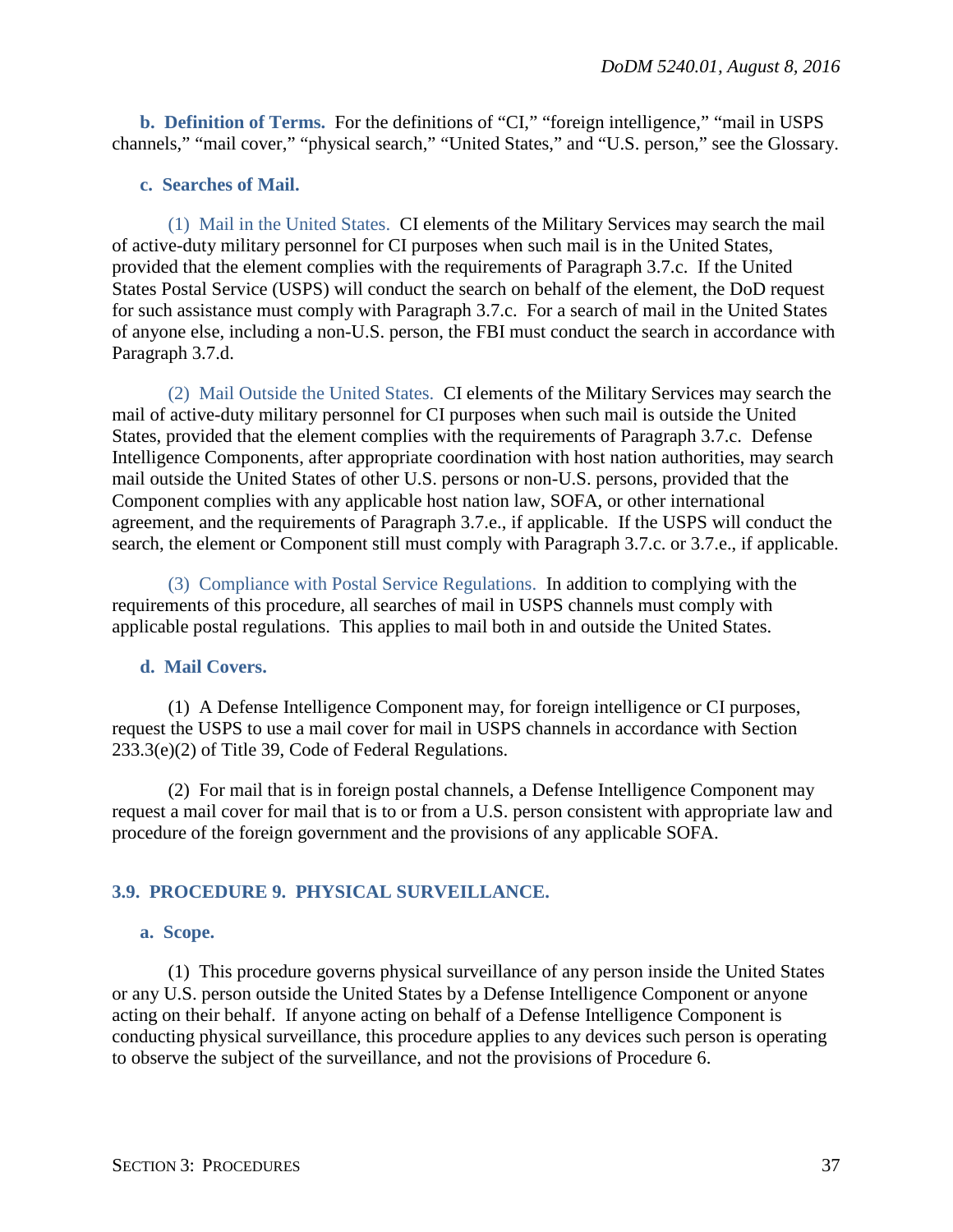<span id="page-36-0"></span>**b. Definition of Terms.** For the definitions of "CI," "foreign intelligence," "mail in USPS channels," "mail cover," "physical search," "United States," and "U.S. person," see the Glossary.

#### <span id="page-36-1"></span>**c. Searches of Mail.**

(1) Mail in the United States. CI elements of the Military Services may search the mail of active-duty military personnel for CI purposes when such mail is in the United States, provided that the element complies with the requirements of Paragraph 3.7.c. If the United States Postal Service (USPS) will conduct the search on behalf of the element, the DoD request for such assistance must comply with Paragraph 3.7.c. For a search of mail in the United States of anyone else, including a non-U.S. person, the FBI must conduct the search in accordance with Paragraph 3.7.d.

(2) Mail Outside the United States. CI elements of the Military Services may search the mail of active-duty military personnel for CI purposes when such mail is outside the United States, provided that the element complies with the requirements of Paragraph 3.7.c. Defense Intelligence Components, after appropriate coordination with host nation authorities, may search mail outside the United States of other U.S. persons or non-U.S. persons, provided that the Component complies with any applicable host nation law, SOFA, or other international agreement, and the requirements of Paragraph 3.7.e., if applicable. If the USPS will conduct the search, the element or Component still must comply with Paragraph 3.7.c. or 3.7.e., if applicable.

(3) Compliance with Postal Service Regulations. In addition to complying with the requirements of this procedure, all searches of mail in USPS channels must comply with applicable postal regulations. This applies to mail both in and outside the United States.

## <span id="page-36-2"></span>**d. Mail Covers.**

(1) A Defense Intelligence Component may, for foreign intelligence or CI purposes, request the USPS to use a mail cover for mail in USPS channels in accordance with Section 233.3(e)(2) of Title 39, Code of Federal Regulations.

(2) For mail that is in foreign postal channels, a Defense Intelligence Component may request a mail cover for mail that is to or from a U.S. person consistent with appropriate law and procedure of the foreign government and the provisions of any applicable SOFA.

## <span id="page-36-3"></span>**3.9. PROCEDURE 9. PHYSICAL SURVEILLANCE.**

#### <span id="page-36-4"></span>**a. Scope.**

(1) This procedure governs physical surveillance of any person inside the United States or any U.S. person outside the United States by a Defense Intelligence Component or anyone acting on their behalf. If anyone acting on behalf of a Defense Intelligence Component is conducting physical surveillance, this procedure applies to any devices such person is operating to observe the subject of the surveillance, and not the provisions of Procedure 6.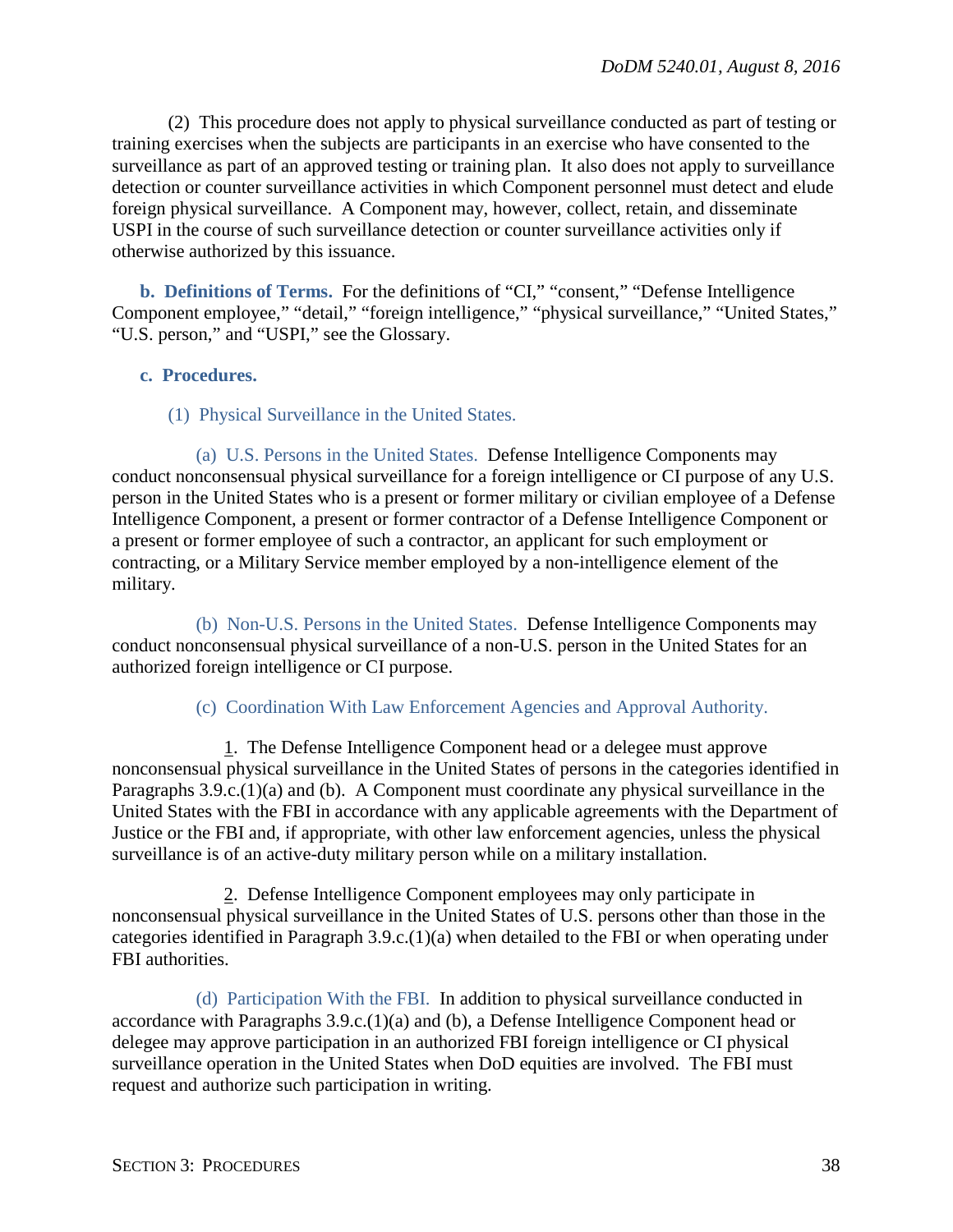(2) This procedure does not apply to physical surveillance conducted as part of testing or training exercises when the subjects are participants in an exercise who have consented to the surveillance as part of an approved testing or training plan. It also does not apply to surveillance detection or counter surveillance activities in which Component personnel must detect and elude foreign physical surveillance. A Component may, however, collect, retain, and disseminate USPI in the course of such surveillance detection or counter surveillance activities only if otherwise authorized by this issuance.

<span id="page-37-0"></span>**b. Definitions of Terms.** For the definitions of "CI," "consent," "Defense Intelligence Component employee," "detail," "foreign intelligence," "physical surveillance," "United States," "U.S. person," and "USPI," see the Glossary.

#### <span id="page-37-1"></span>**c. Procedures.**

## (1) Physical Surveillance in the United States.

(a) U.S. Persons in the United States. Defense Intelligence Components may conduct nonconsensual physical surveillance for a foreign intelligence or CI purpose of any U.S. person in the United States who is a present or former military or civilian employee of a Defense Intelligence Component, a present or former contractor of a Defense Intelligence Component or a present or former employee of such a contractor, an applicant for such employment or contracting, or a Military Service member employed by a non-intelligence element of the military.

(b) Non-U.S. Persons in the United States. Defense Intelligence Components may conduct nonconsensual physical surveillance of a non-U.S. person in the United States for an authorized foreign intelligence or CI purpose.

#### (c) Coordination With Law Enforcement Agencies and Approval Authority.

1. The Defense Intelligence Component head or a delegee must approve nonconsensual physical surveillance in the United States of persons in the categories identified in Paragraphs 3.9.c.(1)(a) and (b). A Component must coordinate any physical surveillance in the United States with the FBI in accordance with any applicable agreements with the Department of Justice or the FBI and, if appropriate, with other law enforcement agencies, unless the physical surveillance is of an active-duty military person while on a military installation.

2. Defense Intelligence Component employees may only participate in nonconsensual physical surveillance in the United States of U.S. persons other than those in the categories identified in Paragraph 3.9.c.(1)(a) when detailed to the FBI or when operating under FBI authorities.

(d) Participation With the FBI. In addition to physical surveillance conducted in accordance with Paragraphs 3.9.c.(1)(a) and (b), a Defense Intelligence Component head or delegee may approve participation in an authorized FBI foreign intelligence or CI physical surveillance operation in the United States when DoD equities are involved. The FBI must request and authorize such participation in writing.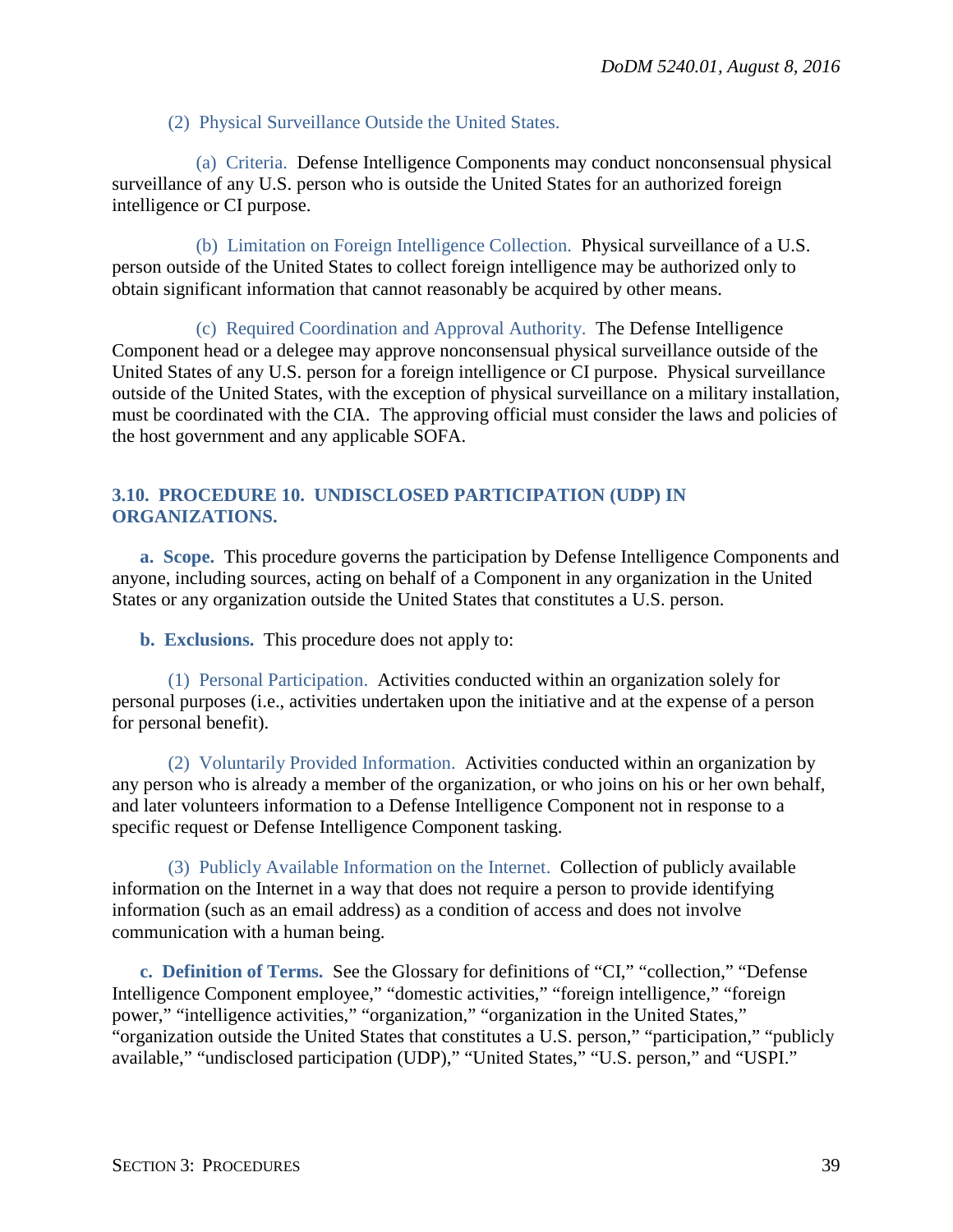#### (2) Physical Surveillance Outside the United States.

(a) Criteria. Defense Intelligence Components may conduct nonconsensual physical surveillance of any U.S. person who is outside the United States for an authorized foreign intelligence or CI purpose.

(b) Limitation on Foreign Intelligence Collection. Physical surveillance of a U.S. person outside of the United States to collect foreign intelligence may be authorized only to obtain significant information that cannot reasonably be acquired by other means.

(c) Required Coordination and Approval Authority. The Defense Intelligence Component head or a delegee may approve nonconsensual physical surveillance outside of the United States of any U.S. person for a foreign intelligence or CI purpose. Physical surveillance outside of the United States, with the exception of physical surveillance on a military installation, must be coordinated with the CIA. The approving official must consider the laws and policies of the host government and any applicable SOFA.

## <span id="page-38-0"></span>**3.10. PROCEDURE 10. UNDISCLOSED PARTICIPATION (UDP) IN ORGANIZATIONS.**

<span id="page-38-1"></span>**a. Scope.** This procedure governs the participation by Defense Intelligence Components and anyone, including sources, acting on behalf of a Component in any organization in the United States or any organization outside the United States that constitutes a U.S. person.

<span id="page-38-2"></span>**b. Exclusions.** This procedure does not apply to:

(1) Personal Participation. Activities conducted within an organization solely for personal purposes (i.e., activities undertaken upon the initiative and at the expense of a person for personal benefit).

(2) Voluntarily Provided Information. Activities conducted within an organization by any person who is already a member of the organization, or who joins on his or her own behalf, and later volunteers information to a Defense Intelligence Component not in response to a specific request or Defense Intelligence Component tasking.

(3) Publicly Available Information on the Internet. Collection of publicly available information on the Internet in a way that does not require a person to provide identifying information (such as an email address) as a condition of access and does not involve communication with a human being.

<span id="page-38-3"></span>**c. Definition of Terms.** See the Glossary for definitions of "CI," "collection," "Defense Intelligence Component employee," "domestic activities," "foreign intelligence," "foreign power," "intelligence activities," "organization," "organization in the United States," "organization outside the United States that constitutes a U.S. person," "participation," "publicly available," "undisclosed participation (UDP)," "United States," "U.S. person," and "USPI."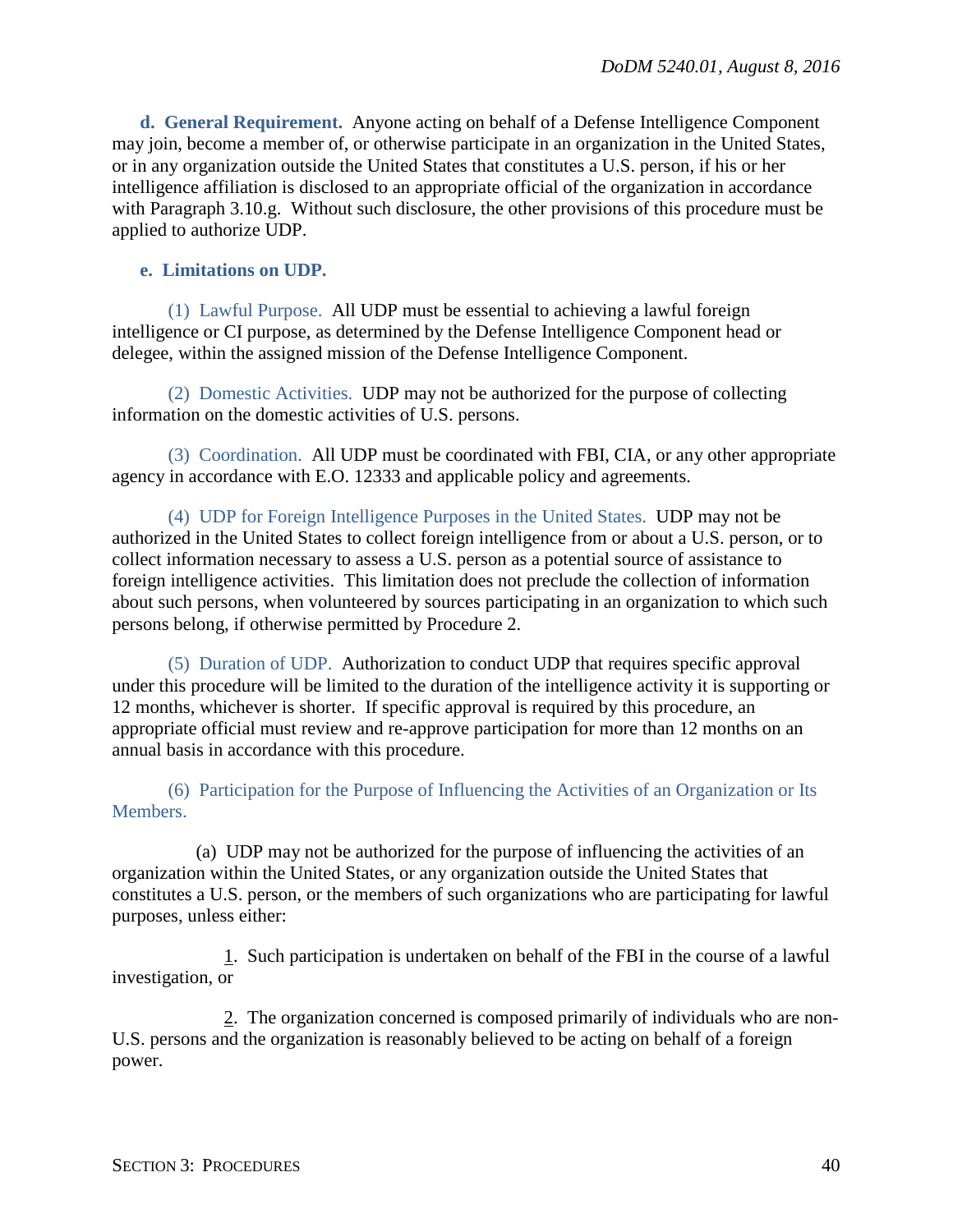<span id="page-39-0"></span>**d. General Requirement.** Anyone acting on behalf of a Defense Intelligence Component may join, become a member of, or otherwise participate in an organization in the United States, or in any organization outside the United States that constitutes a U.S. person, if his or her intelligence affiliation is disclosed to an appropriate official of the organization in accordance with Paragraph 3.10.g. Without such disclosure, the other provisions of this procedure must be applied to authorize UDP.

#### <span id="page-39-1"></span>**e. Limitations on UDP.**

(1) Lawful Purpose. All UDP must be essential to achieving a lawful foreign intelligence or CI purpose, as determined by the Defense Intelligence Component head or delegee, within the assigned mission of the Defense Intelligence Component.

(2) Domestic Activities. UDP may not be authorized for the purpose of collecting information on the domestic activities of U.S. persons.

(3) Coordination. All UDP must be coordinated with FBI, CIA, or any other appropriate agency in accordance with E.O. 12333 and applicable policy and agreements.

(4) UDP for Foreign Intelligence Purposes in the United States. UDP may not be authorized in the United States to collect foreign intelligence from or about a U.S. person, or to collect information necessary to assess a U.S. person as a potential source of assistance to foreign intelligence activities. This limitation does not preclude the collection of information about such persons, when volunteered by sources participating in an organization to which such persons belong, if otherwise permitted by Procedure 2.

(5) Duration of UDP. Authorization to conduct UDP that requires specific approval under this procedure will be limited to the duration of the intelligence activity it is supporting or 12 months, whichever is shorter. If specific approval is required by this procedure, an appropriate official must review and re-approve participation for more than 12 months on an annual basis in accordance with this procedure.

(6) Participation for the Purpose of Influencing the Activities of an Organization or Its Members.

(a) UDP may not be authorized for the purpose of influencing the activities of an organization within the United States, or any organization outside the United States that constitutes a U.S. person, or the members of such organizations who are participating for lawful purposes, unless either:

1. Such participation is undertaken on behalf of the FBI in the course of a lawful investigation, or

2. The organization concerned is composed primarily of individuals who are non-U.S. persons and the organization is reasonably believed to be acting on behalf of a foreign power.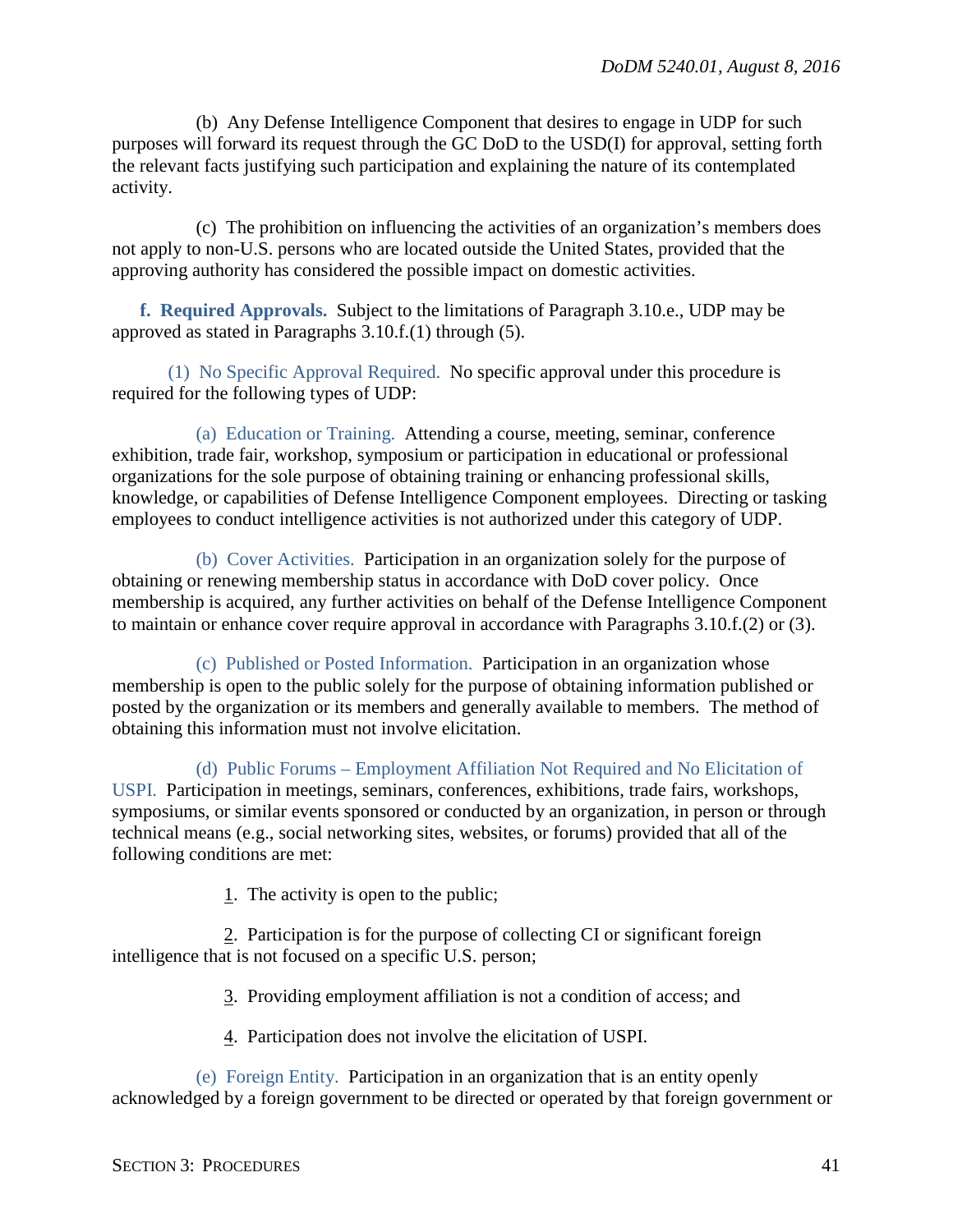(b) Any Defense Intelligence Component that desires to engage in UDP for such purposes will forward its request through the GC DoD to the USD(I) for approval, setting forth the relevant facts justifying such participation and explaining the nature of its contemplated activity.

(c) The prohibition on influencing the activities of an organization's members does not apply to non-U.S. persons who are located outside the United States, provided that the approving authority has considered the possible impact on domestic activities.

<span id="page-40-0"></span>**f. Required Approvals.** Subject to the limitations of Paragraph 3.10.e., UDP may be approved as stated in Paragraphs 3.10.f.(1) through (5).

(1) No Specific Approval Required. No specific approval under this procedure is required for the following types of UDP:

(a) Education or Training. Attending a course, meeting, seminar, conference exhibition, trade fair, workshop, symposium or participation in educational or professional organizations for the sole purpose of obtaining training or enhancing professional skills, knowledge, or capabilities of Defense Intelligence Component employees. Directing or tasking employees to conduct intelligence activities is not authorized under this category of UDP.

(b) Cover Activities. Participation in an organization solely for the purpose of obtaining or renewing membership status in accordance with DoD cover policy. Once membership is acquired, any further activities on behalf of the Defense Intelligence Component to maintain or enhance cover require approval in accordance with Paragraphs 3.10.f.(2) or (3).

(c) Published or Posted Information. Participation in an organization whose membership is open to the public solely for the purpose of obtaining information published or posted by the organization or its members and generally available to members. The method of obtaining this information must not involve elicitation.

(d) Public Forums – Employment Affiliation Not Required and No Elicitation of USPI. Participation in meetings, seminars, conferences, exhibitions, trade fairs, workshops, symposiums, or similar events sponsored or conducted by an organization, in person or through technical means (e.g., social networking sites, websites, or forums) provided that all of the following conditions are met:

1. The activity is open to the public;

2. Participation is for the purpose of collecting CI or significant foreign intelligence that is not focused on a specific U.S. person;

3. Providing employment affiliation is not a condition of access; and

4. Participation does not involve the elicitation of USPI.

(e) Foreign Entity. Participation in an organization that is an entity openly acknowledged by a foreign government to be directed or operated by that foreign government or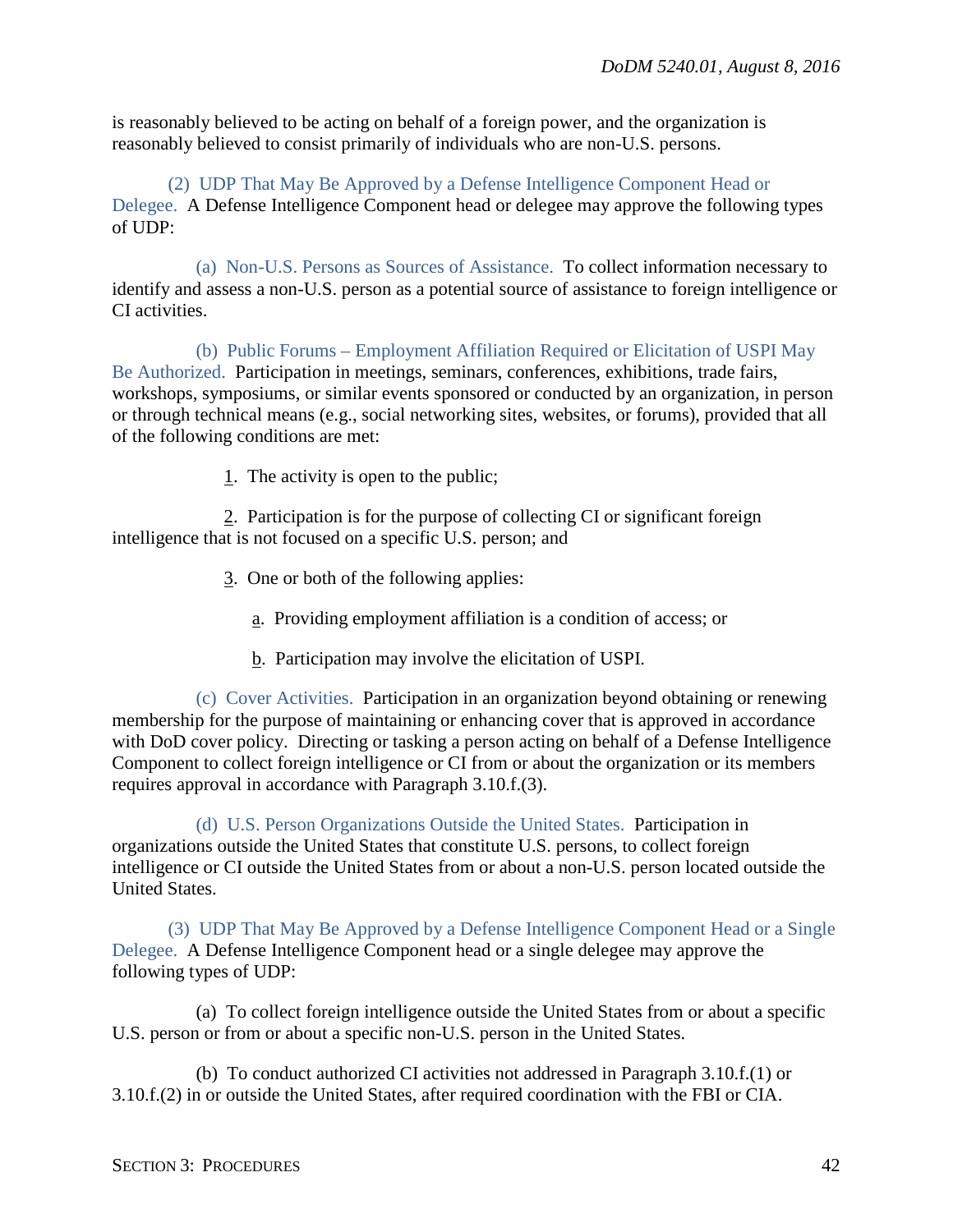is reasonably believed to be acting on behalf of a foreign power, and the organization is reasonably believed to consist primarily of individuals who are non-U.S. persons.

(2) UDP That May Be Approved by a Defense Intelligence Component Head or Delegee. A Defense Intelligence Component head or delegee may approve the following types of UDP:

(a) Non-U.S. Persons as Sources of Assistance. To collect information necessary to identify and assess a non-U.S. person as a potential source of assistance to foreign intelligence or CI activities.

(b) Public Forums – Employment Affiliation Required or Elicitation of USPI May Be Authorized. Participation in meetings, seminars, conferences, exhibitions, trade fairs, workshops, symposiums, or similar events sponsored or conducted by an organization, in person or through technical means (e.g., social networking sites, websites, or forums), provided that all of the following conditions are met:

1. The activity is open to the public;

2. Participation is for the purpose of collecting CI or significant foreign intelligence that is not focused on a specific U.S. person; and

- 3. One or both of the following applies:
	- a. Providing employment affiliation is a condition of access; or
	- b. Participation may involve the elicitation of USPI.

(c) Cover Activities. Participation in an organization beyond obtaining or renewing membership for the purpose of maintaining or enhancing cover that is approved in accordance with DoD cover policy. Directing or tasking a person acting on behalf of a Defense Intelligence Component to collect foreign intelligence or CI from or about the organization or its members requires approval in accordance with Paragraph 3.10.f.(3).

(d) U.S. Person Organizations Outside the United States. Participation in organizations outside the United States that constitute U.S. persons, to collect foreign intelligence or CI outside the United States from or about a non-U.S. person located outside the United States.

(3) UDP That May Be Approved by a Defense Intelligence Component Head or a Single Delegee. A Defense Intelligence Component head or a single delegee may approve the following types of UDP:

(a) To collect foreign intelligence outside the United States from or about a specific U.S. person or from or about a specific non-U.S. person in the United States.

(b) To conduct authorized CI activities not addressed in Paragraph 3.10.f.(1) or 3.10.f.(2) in or outside the United States, after required coordination with the FBI or CIA.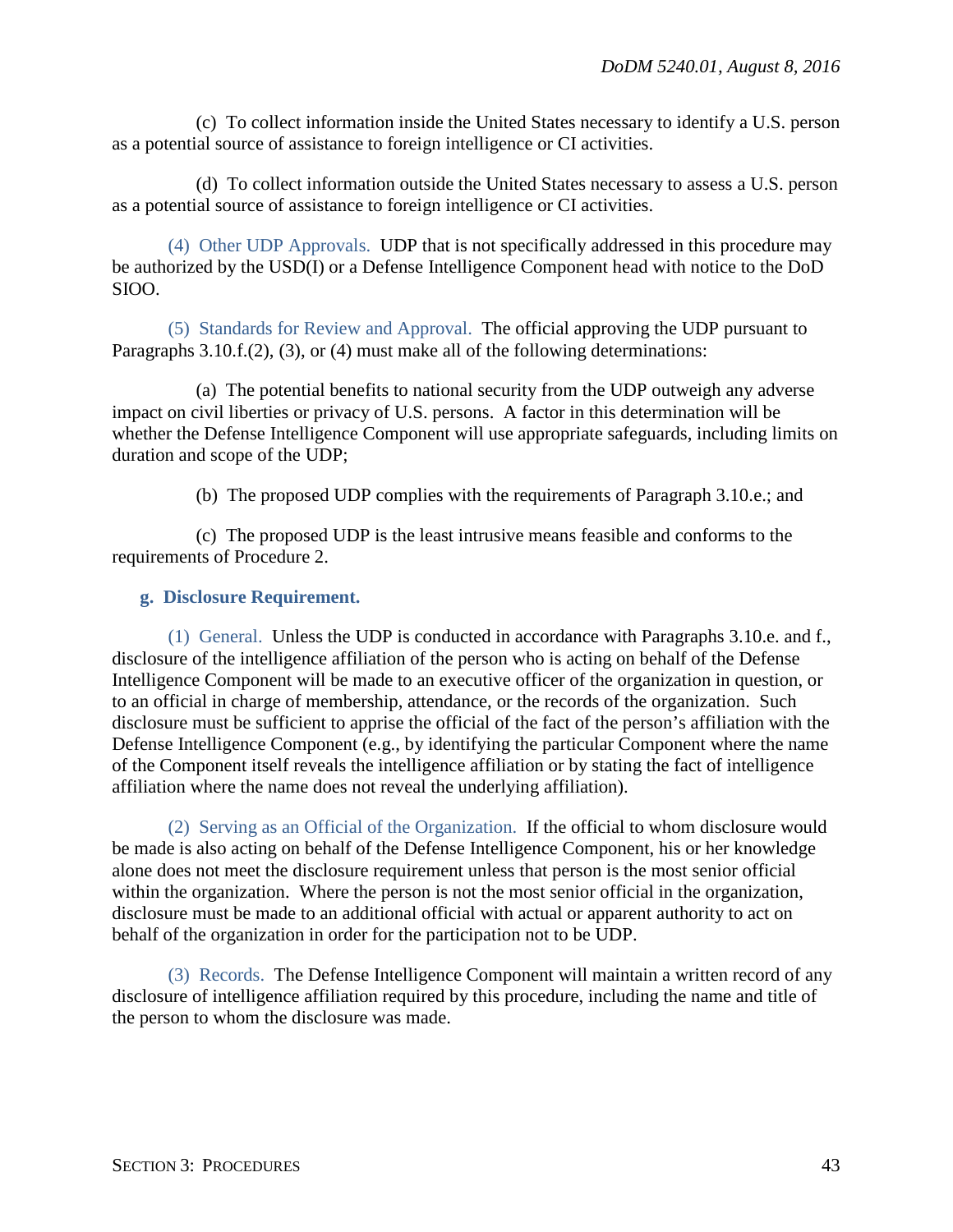(c) To collect information inside the United States necessary to identify a U.S. person as a potential source of assistance to foreign intelligence or CI activities.

(d) To collect information outside the United States necessary to assess a U.S. person as a potential source of assistance to foreign intelligence or CI activities.

(4) Other UDP Approvals. UDP that is not specifically addressed in this procedure may be authorized by the USD(I) or a Defense Intelligence Component head with notice to the DoD SIOO.

(5) Standards for Review and Approval. The official approving the UDP pursuant to Paragraphs 3.10.f.(2), (3), or (4) must make all of the following determinations:

(a) The potential benefits to national security from the UDP outweigh any adverse impact on civil liberties or privacy of U.S. persons. A factor in this determination will be whether the Defense Intelligence Component will use appropriate safeguards, including limits on duration and scope of the UDP;

(b) The proposed UDP complies with the requirements of Paragraph 3.10.e.; and

(c) The proposed UDP is the least intrusive means feasible and conforms to the requirements of Procedure 2.

#### <span id="page-42-0"></span>**g. Disclosure Requirement.**

(1) General. Unless the UDP is conducted in accordance with Paragraphs 3.10.e. and f., disclosure of the intelligence affiliation of the person who is acting on behalf of the Defense Intelligence Component will be made to an executive officer of the organization in question, or to an official in charge of membership, attendance, or the records of the organization. Such disclosure must be sufficient to apprise the official of the fact of the person's affiliation with the Defense Intelligence Component (e.g., by identifying the particular Component where the name of the Component itself reveals the intelligence affiliation or by stating the fact of intelligence affiliation where the name does not reveal the underlying affiliation).

(2) Serving as an Official of the Organization. If the official to whom disclosure would be made is also acting on behalf of the Defense Intelligence Component, his or her knowledge alone does not meet the disclosure requirement unless that person is the most senior official within the organization. Where the person is not the most senior official in the organization, disclosure must be made to an additional official with actual or apparent authority to act on behalf of the organization in order for the participation not to be UDP.

(3) Records. The Defense Intelligence Component will maintain a written record of any disclosure of intelligence affiliation required by this procedure, including the name and title of the person to whom the disclosure was made.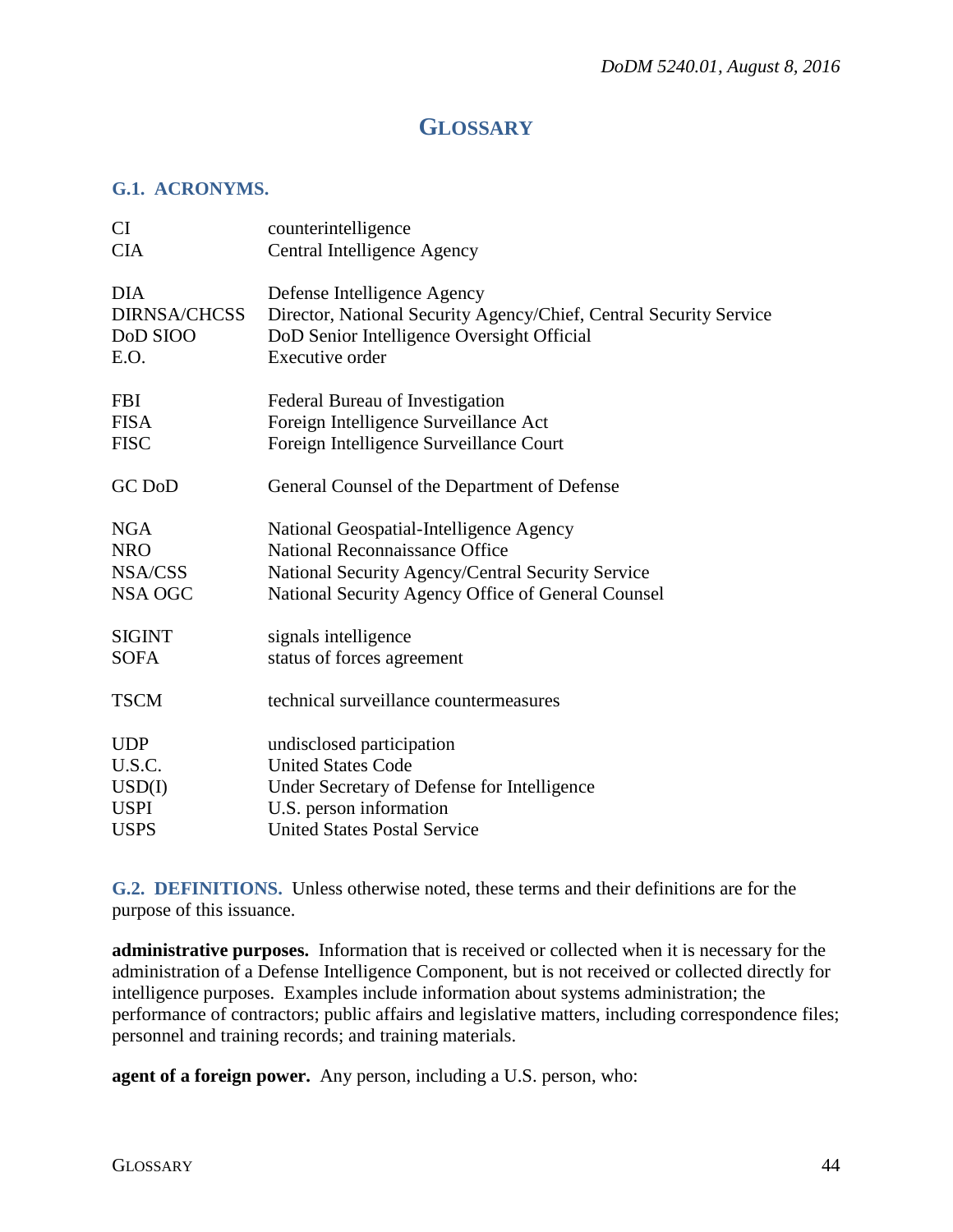# **GLOSSARY**

## <span id="page-43-1"></span><span id="page-43-0"></span>**G.1. ACRONYMS.**

| CI                  | counterintelligence                                                |
|---------------------|--------------------------------------------------------------------|
| <b>CIA</b>          | Central Intelligence Agency                                        |
| <b>DIA</b>          | Defense Intelligence Agency                                        |
| <b>DIRNSA/CHCSS</b> | Director, National Security Agency/Chief, Central Security Service |
| DoD SIOO            | DoD Senior Intelligence Oversight Official                         |
| E.O.                | Executive order                                                    |
| <b>FBI</b>          | Federal Bureau of Investigation                                    |
| <b>FISA</b>         | Foreign Intelligence Surveillance Act                              |
| <b>FISC</b>         | Foreign Intelligence Surveillance Court                            |
| GC DoD              | General Counsel of the Department of Defense                       |
| <b>NGA</b>          | National Geospatial-Intelligence Agency                            |
| <b>NRO</b>          | National Reconnaissance Office                                     |
| NSA/CSS             | National Security Agency/Central Security Service                  |
| <b>NSA OGC</b>      | National Security Agency Office of General Counsel                 |
| <b>SIGINT</b>       | signals intelligence                                               |
| <b>SOFA</b>         | status of forces agreement                                         |
| <b>TSCM</b>         | technical surveillance countermeasures                             |
| <b>UDP</b>          | undisclosed participation                                          |
| U.S.C.              | <b>United States Code</b>                                          |
| USD(I)              | Under Secretary of Defense for Intelligence                        |
| <b>USPI</b>         | U.S. person information                                            |
| <b>USPS</b>         | <b>United States Postal Service</b>                                |

<span id="page-43-2"></span>**G.2. DEFINITIONS.** Unless otherwise noted, these terms and their definitions are for the purpose of this issuance.

**administrative purposes.** Information that is received or collected when it is necessary for the administration of a Defense Intelligence Component, but is not received or collected directly for intelligence purposes. Examples include information about systems administration; the performance of contractors; public affairs and legislative matters, including correspondence files; personnel and training records; and training materials.

**agent of a foreign power.** Any person, including a U.S. person, who: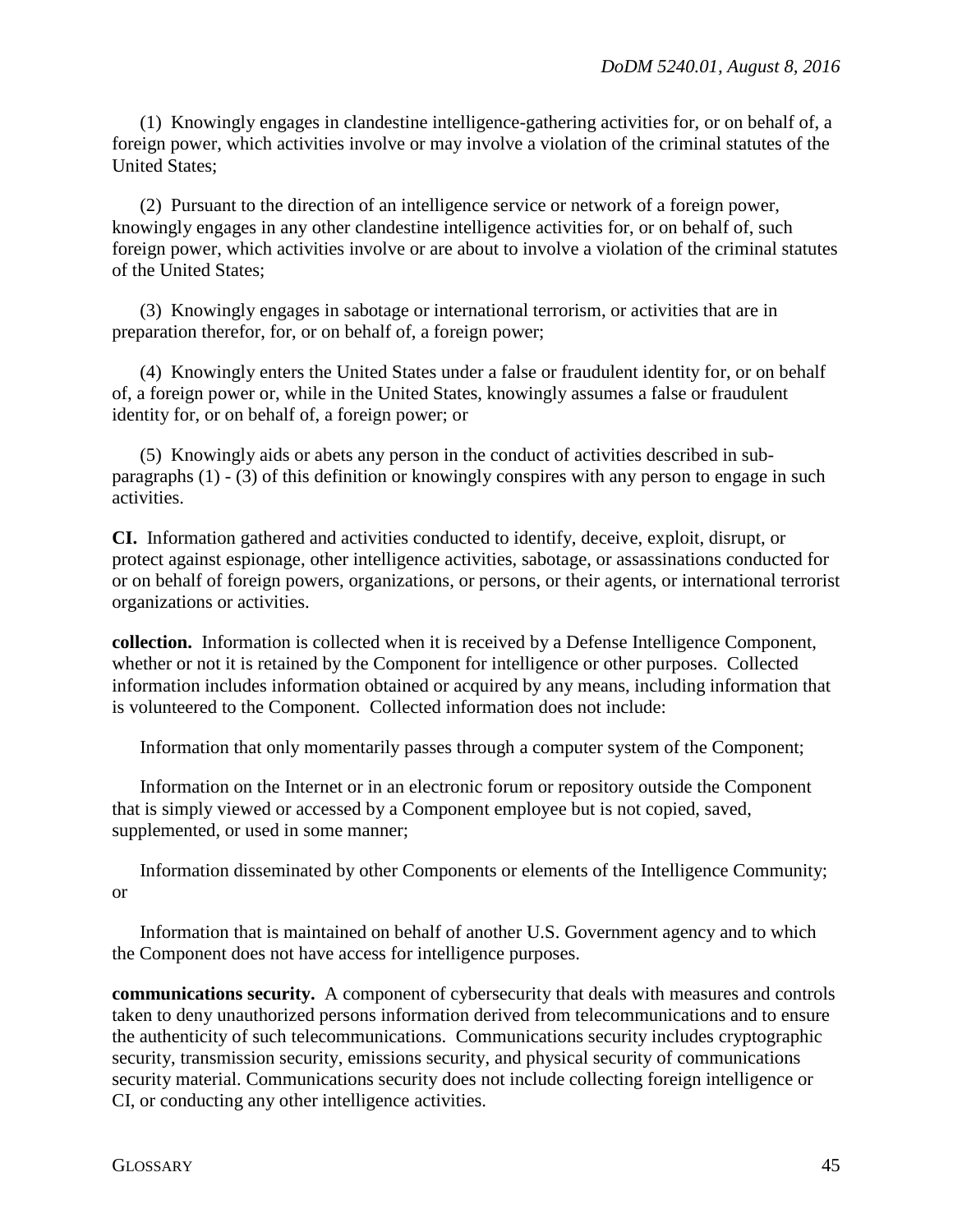(1) Knowingly engages in clandestine intelligence-gathering activities for, or on behalf of, a foreign power, which activities involve or may involve a violation of the criminal statutes of the United States;

(2) Pursuant to the direction of an intelligence service or network of a foreign power, knowingly engages in any other clandestine intelligence activities for, or on behalf of, such foreign power, which activities involve or are about to involve a violation of the criminal statutes of the United States;

(3) Knowingly engages in sabotage or international terrorism, or activities that are in preparation therefor, for, or on behalf of, a foreign power;

(4) Knowingly enters the United States under a false or fraudulent identity for, or on behalf of, a foreign power or, while in the United States, knowingly assumes a false or fraudulent identity for, or on behalf of, a foreign power; or

(5) Knowingly aids or abets any person in the conduct of activities described in subparagraphs (1) - (3) of this definition or knowingly conspires with any person to engage in such activities.

**CI.** Information gathered and activities conducted to identify, deceive, exploit, disrupt, or protect against espionage, other intelligence activities, sabotage, or assassinations conducted for or on behalf of foreign powers, organizations, or persons, or their agents, or international terrorist organizations or activities.

**collection.** Information is collected when it is received by a Defense Intelligence Component, whether or not it is retained by the Component for intelligence or other purposes. Collected information includes information obtained or acquired by any means, including information that is volunteered to the Component. Collected information does not include:

Information that only momentarily passes through a computer system of the Component;

Information on the Internet or in an electronic forum or repository outside the Component that is simply viewed or accessed by a Component employee but is not copied, saved, supplemented, or used in some manner;

Information disseminated by other Components or elements of the Intelligence Community; or

Information that is maintained on behalf of another U.S. Government agency and to which the Component does not have access for intelligence purposes.

**communications security.** A component of cybersecurity that deals with measures and controls taken to deny unauthorized persons information derived from telecommunications and to ensure the authenticity of such telecommunications. Communications security includes cryptographic security, transmission security, emissions security, and physical security of communications security material. Communications security does not include collecting foreign intelligence or CI, or conducting any other intelligence activities.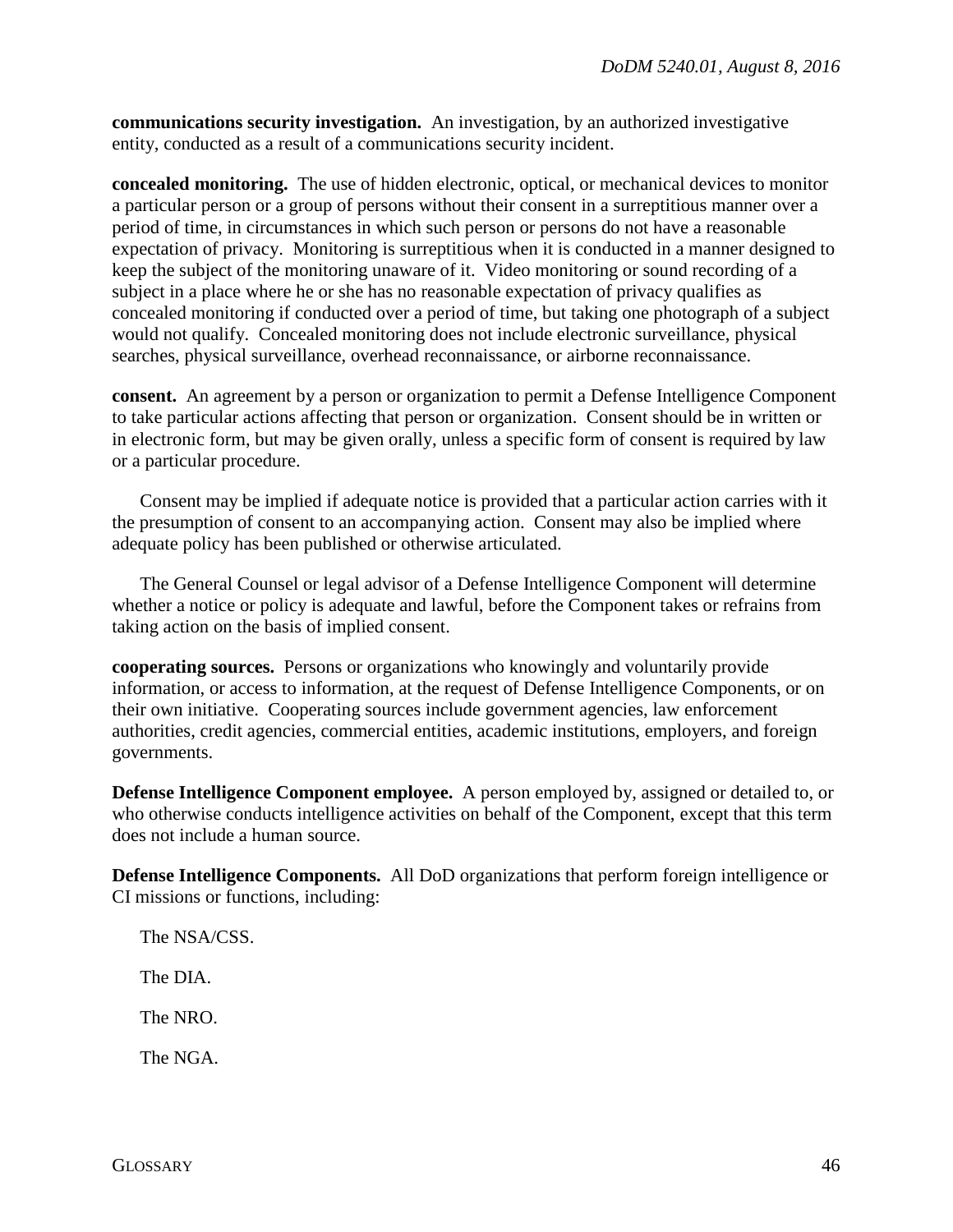**communications security investigation.** An investigation, by an authorized investigative entity, conducted as a result of a communications security incident.

**concealed monitoring.** The use of hidden electronic, optical, or mechanical devices to monitor a particular person or a group of persons without their consent in a surreptitious manner over a period of time, in circumstances in which such person or persons do not have a reasonable expectation of privacy. Monitoring is surreptitious when it is conducted in a manner designed to keep the subject of the monitoring unaware of it. Video monitoring or sound recording of a subject in a place where he or she has no reasonable expectation of privacy qualifies as concealed monitoring if conducted over a period of time, but taking one photograph of a subject would not qualify. Concealed monitoring does not include electronic surveillance, physical searches, physical surveillance, overhead reconnaissance, or airborne reconnaissance.

**consent.** An agreement by a person or organization to permit a Defense Intelligence Component to take particular actions affecting that person or organization. Consent should be in written or in electronic form, but may be given orally, unless a specific form of consent is required by law or a particular procedure.

Consent may be implied if adequate notice is provided that a particular action carries with it the presumption of consent to an accompanying action. Consent may also be implied where adequate policy has been published or otherwise articulated.

The General Counsel or legal advisor of a Defense Intelligence Component will determine whether a notice or policy is adequate and lawful, before the Component takes or refrains from taking action on the basis of implied consent.

**cooperating sources.** Persons or organizations who knowingly and voluntarily provide information, or access to information, at the request of Defense Intelligence Components, or on their own initiative. Cooperating sources include government agencies, law enforcement authorities, credit agencies, commercial entities, academic institutions, employers, and foreign governments.

**Defense Intelligence Component employee.** A person employed by, assigned or detailed to, or who otherwise conducts intelligence activities on behalf of the Component, except that this term does not include a human source.

**Defense Intelligence Components.** All DoD organizations that perform foreign intelligence or CI missions or functions, including:

The NSA/CSS. The DIA. The NRO. The NGA.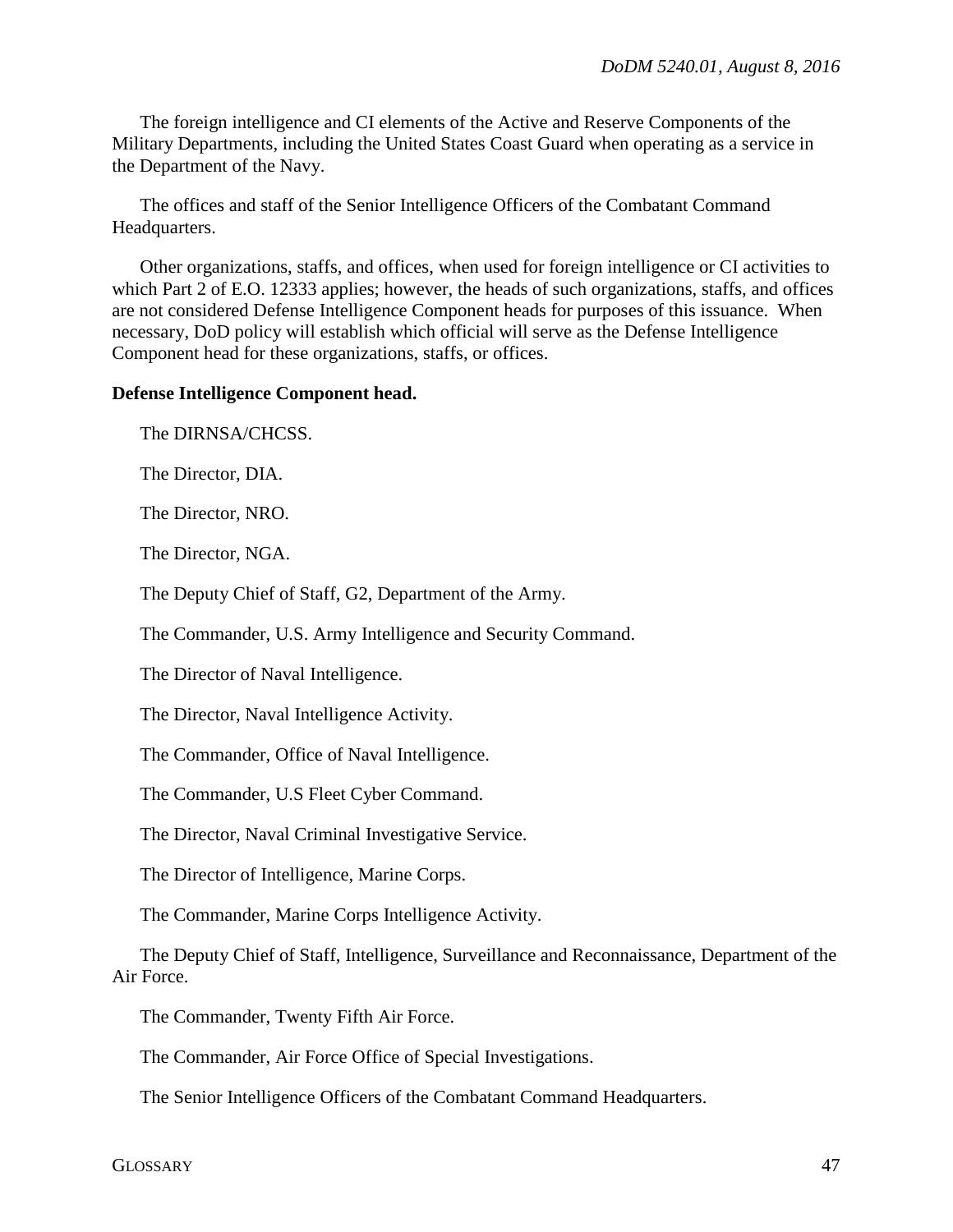The foreign intelligence and CI elements of the Active and Reserve Components of the Military Departments, including the United States Coast Guard when operating as a service in the Department of the Navy.

The offices and staff of the Senior Intelligence Officers of the Combatant Command Headquarters.

Other organizations, staffs, and offices, when used for foreign intelligence or CI activities to which Part 2 of E.O. 12333 applies; however, the heads of such organizations, staffs, and offices are not considered Defense Intelligence Component heads for purposes of this issuance. When necessary, DoD policy will establish which official will serve as the Defense Intelligence Component head for these organizations, staffs, or offices.

#### **Defense Intelligence Component head.**

The DIRNSA/CHCSS.

The Director, DIA.

The Director, NRO.

The Director, NGA.

The Deputy Chief of Staff, G2, Department of the Army.

The Commander, U.S. Army Intelligence and Security Command.

The Director of Naval Intelligence.

The Director, Naval Intelligence Activity.

The Commander, Office of Naval Intelligence.

The Commander, U.S Fleet Cyber Command.

The Director, Naval Criminal Investigative Service.

The Director of Intelligence, Marine Corps.

The Commander, Marine Corps Intelligence Activity.

The Deputy Chief of Staff, Intelligence, Surveillance and Reconnaissance, Department of the Air Force.

The Commander, Twenty Fifth Air Force.

The Commander, Air Force Office of Special Investigations.

The Senior Intelligence Officers of the Combatant Command Headquarters.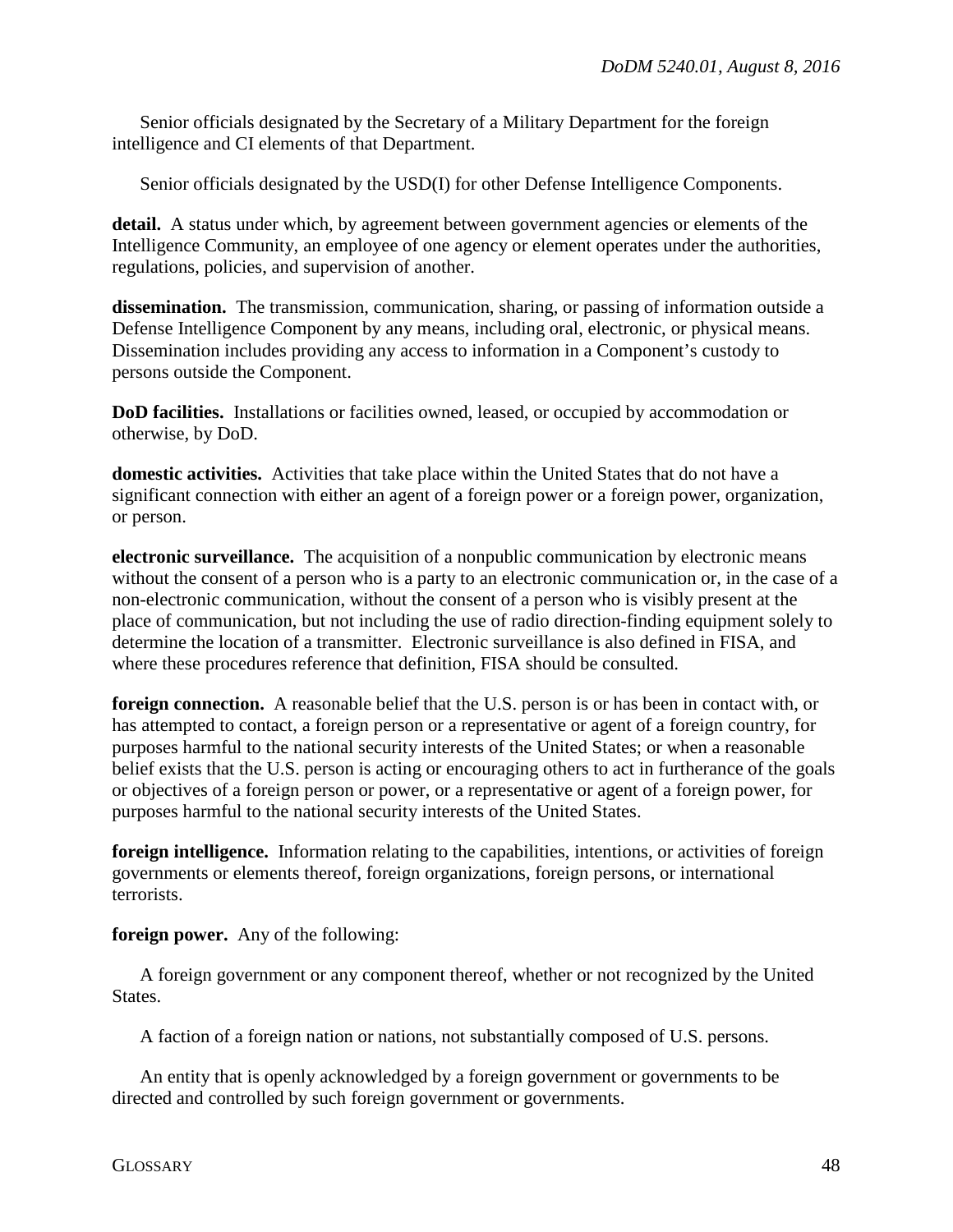Senior officials designated by the Secretary of a Military Department for the foreign intelligence and CI elements of that Department.

Senior officials designated by the USD(I) for other Defense Intelligence Components.

detail. A status under which, by agreement between government agencies or elements of the Intelligence Community, an employee of one agency or element operates under the authorities, regulations, policies, and supervision of another.

**dissemination.** The transmission, communication, sharing, or passing of information outside a Defense Intelligence Component by any means, including oral, electronic, or physical means. Dissemination includes providing any access to information in a Component's custody to persons outside the Component.

**DoD facilities.** Installations or facilities owned, leased, or occupied by accommodation or otherwise, by DoD.

**domestic activities.** Activities that take place within the United States that do not have a significant connection with either an agent of a foreign power or a foreign power, organization, or person.

**electronic surveillance.** The acquisition of a nonpublic communication by electronic means without the consent of a person who is a party to an electronic communication or, in the case of a non-electronic communication, without the consent of a person who is visibly present at the place of communication, but not including the use of radio direction-finding equipment solely to determine the location of a transmitter. Electronic surveillance is also defined in FISA, and where these procedures reference that definition, FISA should be consulted.

**foreign connection.** A reasonable belief that the U.S. person is or has been in contact with, or has attempted to contact, a foreign person or a representative or agent of a foreign country, for purposes harmful to the national security interests of the United States; or when a reasonable belief exists that the U.S. person is acting or encouraging others to act in furtherance of the goals or objectives of a foreign person or power, or a representative or agent of a foreign power, for purposes harmful to the national security interests of the United States.

**foreign intelligence.** Information relating to the capabilities, intentions, or activities of foreign governments or elements thereof, foreign organizations, foreign persons, or international terrorists.

**foreign power.** Any of the following:

A foreign government or any component thereof, whether or not recognized by the United States.

A faction of a foreign nation or nations, not substantially composed of U.S. persons.

An entity that is openly acknowledged by a foreign government or governments to be directed and controlled by such foreign government or governments.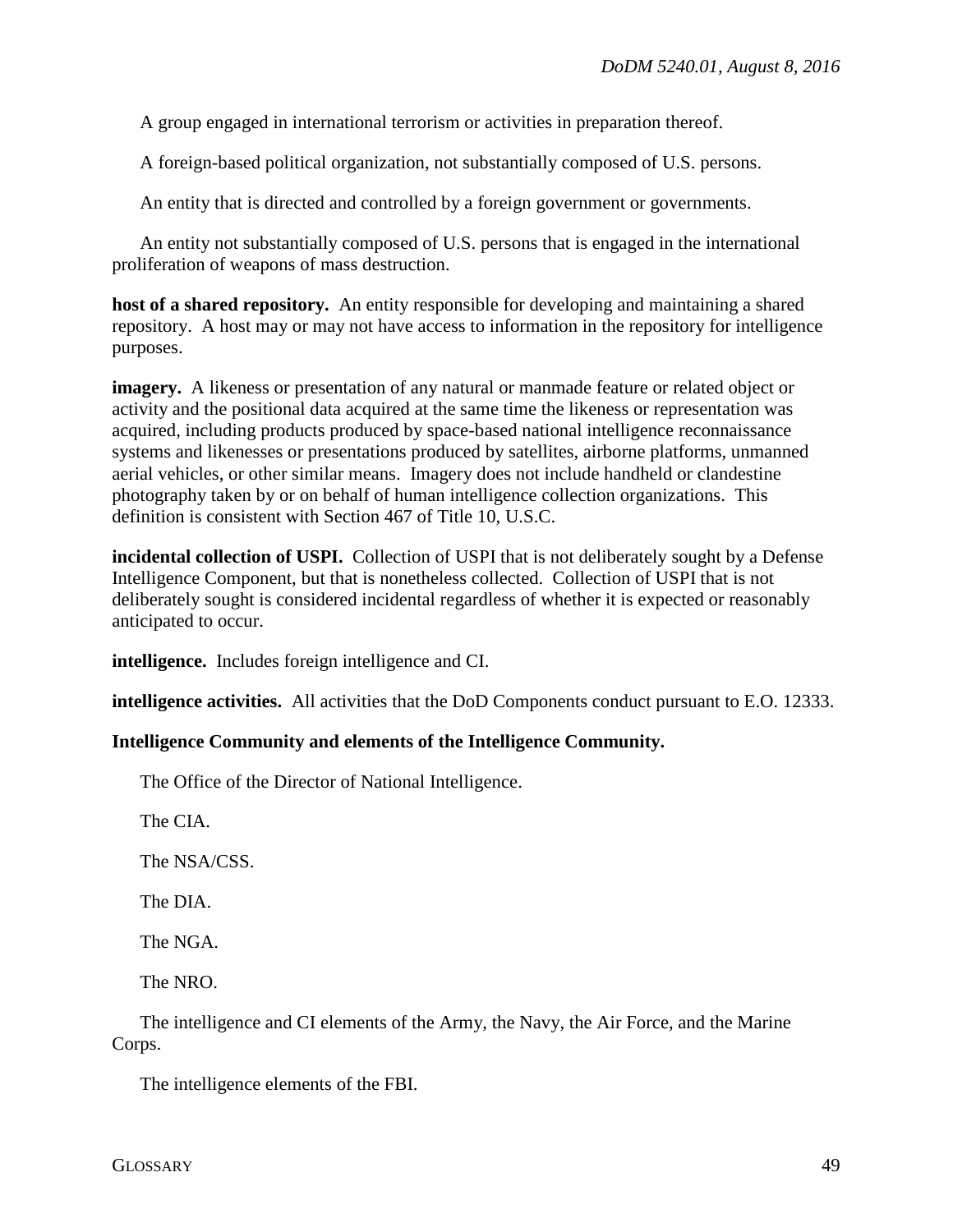A group engaged in international terrorism or activities in preparation thereof.

A foreign-based political organization, not substantially composed of U.S. persons.

An entity that is directed and controlled by a foreign government or governments.

An entity not substantially composed of U.S. persons that is engaged in the international proliferation of weapons of mass destruction.

**host of a shared repository.** An entity responsible for developing and maintaining a shared repository. A host may or may not have access to information in the repository for intelligence purposes.

**imagery.** A likeness or presentation of any natural or manmade feature or related object or activity and the positional data acquired at the same time the likeness or representation was acquired, including products produced by space-based national intelligence reconnaissance systems and likenesses or presentations produced by satellites, airborne platforms, unmanned aerial vehicles, or other similar means. Imagery does not include handheld or clandestine photography taken by or on behalf of human intelligence collection organizations. This definition is consistent with Section 467 of Title 10, U.S.C.

**incidental collection of USPI.** Collection of USPI that is not deliberately sought by a Defense Intelligence Component, but that is nonetheless collected. Collection of USPI that is not deliberately sought is considered incidental regardless of whether it is expected or reasonably anticipated to occur.

**intelligence.** Includes foreign intelligence and CI.

**intelligence activities.** All activities that the DoD Components conduct pursuant to E.O. 12333.

#### **Intelligence Community and elements of the Intelligence Community.**

The Office of the Director of National Intelligence.

The CIA.

The NSA/CSS.

The DIA.

The NGA.

The NRO.

The intelligence and CI elements of the Army, the Navy, the Air Force, and the Marine Corps.

The intelligence elements of the FBI.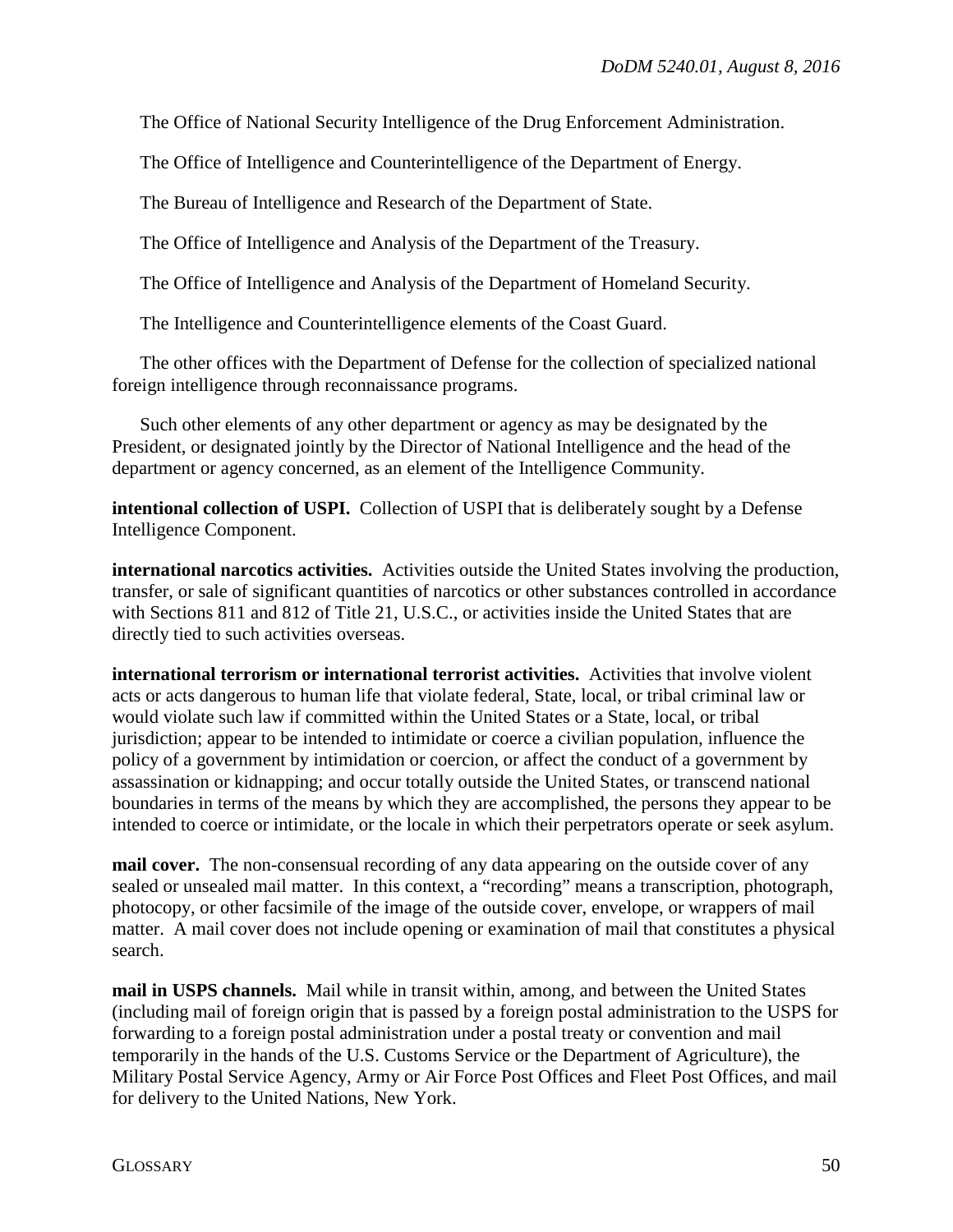The Office of National Security Intelligence of the Drug Enforcement Administration.

The Office of Intelligence and Counterintelligence of the Department of Energy.

The Bureau of Intelligence and Research of the Department of State.

The Office of Intelligence and Analysis of the Department of the Treasury.

The Office of Intelligence and Analysis of the Department of Homeland Security.

The Intelligence and Counterintelligence elements of the Coast Guard.

The other offices with the Department of Defense for the collection of specialized national foreign intelligence through reconnaissance programs.

Such other elements of any other department or agency as may be designated by the President, or designated jointly by the Director of National Intelligence and the head of the department or agency concerned, as an element of the Intelligence Community.

**intentional collection of USPI.** Collection of USPI that is deliberately sought by a Defense Intelligence Component.

**international narcotics activities.** Activities outside the United States involving the production, transfer, or sale of significant quantities of narcotics or other substances controlled in accordance with Sections 811 and 812 of Title 21, U.S.C., or activities inside the United States that are directly tied to such activities overseas.

**international terrorism or international terrorist activities.** Activities that involve violent acts or acts dangerous to human life that violate federal, State, local, or tribal criminal law or would violate such law if committed within the United States or a State, local, or tribal jurisdiction; appear to be intended to intimidate or coerce a civilian population, influence the policy of a government by intimidation or coercion, or affect the conduct of a government by assassination or kidnapping; and occur totally outside the United States, or transcend national boundaries in terms of the means by which they are accomplished, the persons they appear to be intended to coerce or intimidate, or the locale in which their perpetrators operate or seek asylum.

**mail cover.** The non-consensual recording of any data appearing on the outside cover of any sealed or unsealed mail matter. In this context, a "recording" means a transcription, photograph, photocopy, or other facsimile of the image of the outside cover, envelope, or wrappers of mail matter. A mail cover does not include opening or examination of mail that constitutes a physical search.

**mail in USPS channels.** Mail while in transit within, among, and between the United States (including mail of foreign origin that is passed by a foreign postal administration to the USPS for forwarding to a foreign postal administration under a postal treaty or convention and mail temporarily in the hands of the U.S. Customs Service or the Department of Agriculture), the Military Postal Service Agency, Army or Air Force Post Offices and Fleet Post Offices, and mail for delivery to the United Nations, New York.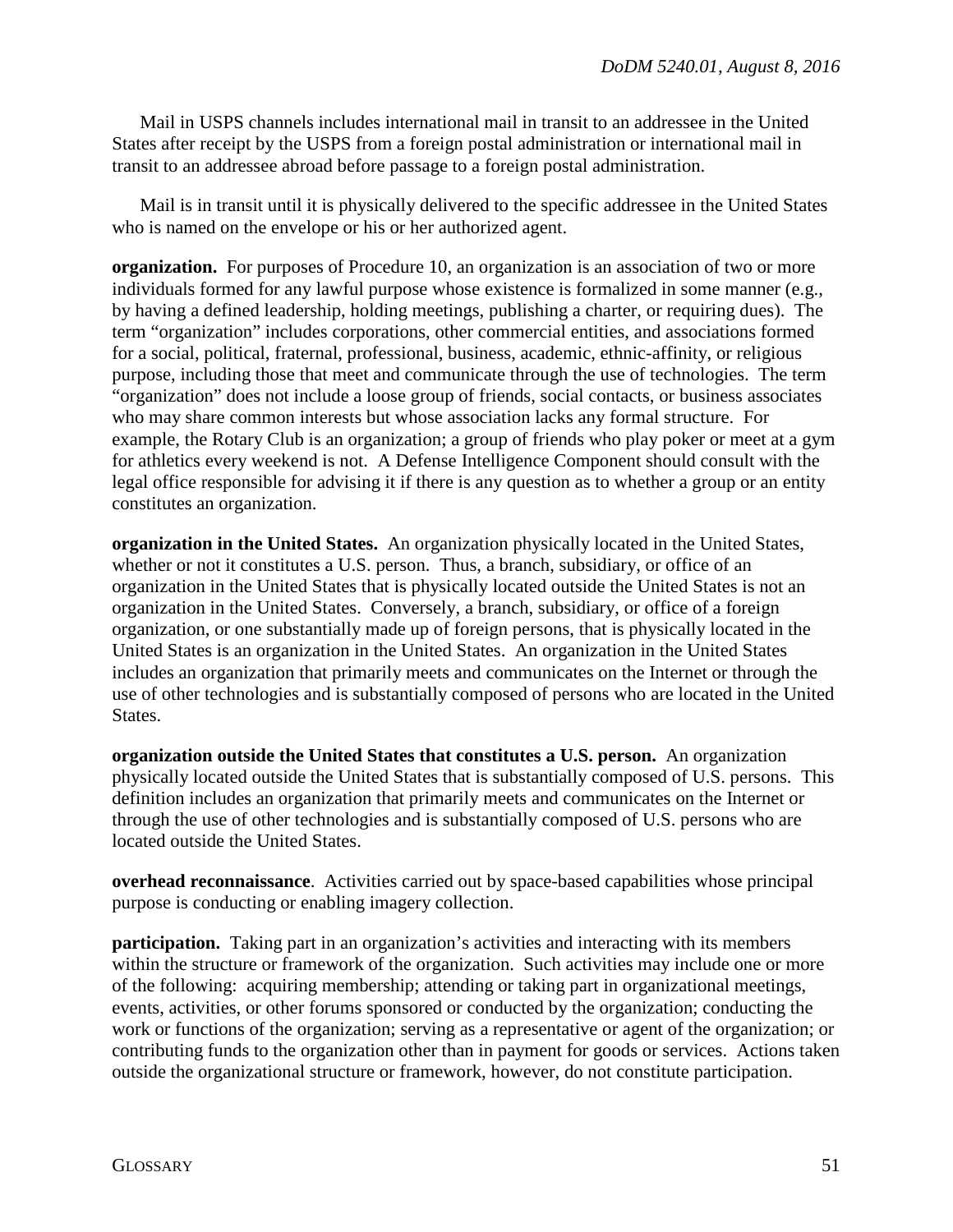Mail in USPS channels includes international mail in transit to an addressee in the United States after receipt by the USPS from a foreign postal administration or international mail in transit to an addressee abroad before passage to a foreign postal administration.

Mail is in transit until it is physically delivered to the specific addressee in the United States who is named on the envelope or his or her authorized agent.

**organization.** For purposes of Procedure 10, an organization is an association of two or more individuals formed for any lawful purpose whose existence is formalized in some manner (e.g., by having a defined leadership, holding meetings, publishing a charter, or requiring dues). The term "organization" includes corporations, other commercial entities, and associations formed for a social, political, fraternal, professional, business, academic, ethnic-affinity, or religious purpose, including those that meet and communicate through the use of technologies. The term "organization" does not include a loose group of friends, social contacts, or business associates who may share common interests but whose association lacks any formal structure. For example, the Rotary Club is an organization; a group of friends who play poker or meet at a gym for athletics every weekend is not. A Defense Intelligence Component should consult with the legal office responsible for advising it if there is any question as to whether a group or an entity constitutes an organization.

**organization in the United States.** An organization physically located in the United States, whether or not it constitutes a U.S. person. Thus, a branch, subsidiary, or office of an organization in the United States that is physically located outside the United States is not an organization in the United States. Conversely, a branch, subsidiary, or office of a foreign organization, or one substantially made up of foreign persons, that is physically located in the United States is an organization in the United States. An organization in the United States includes an organization that primarily meets and communicates on the Internet or through the use of other technologies and is substantially composed of persons who are located in the United States.

**organization outside the United States that constitutes a U.S. person.** An organization physically located outside the United States that is substantially composed of U.S. persons. This definition includes an organization that primarily meets and communicates on the Internet or through the use of other technologies and is substantially composed of U.S. persons who are located outside the United States.

**overhead reconnaissance**. Activities carried out by space-based capabilities whose principal purpose is conducting or enabling imagery collection.

**participation.** Taking part in an organization's activities and interacting with its members within the structure or framework of the organization. Such activities may include one or more of the following: acquiring membership; attending or taking part in organizational meetings, events, activities, or other forums sponsored or conducted by the organization; conducting the work or functions of the organization; serving as a representative or agent of the organization; or contributing funds to the organization other than in payment for goods or services. Actions taken outside the organizational structure or framework, however, do not constitute participation.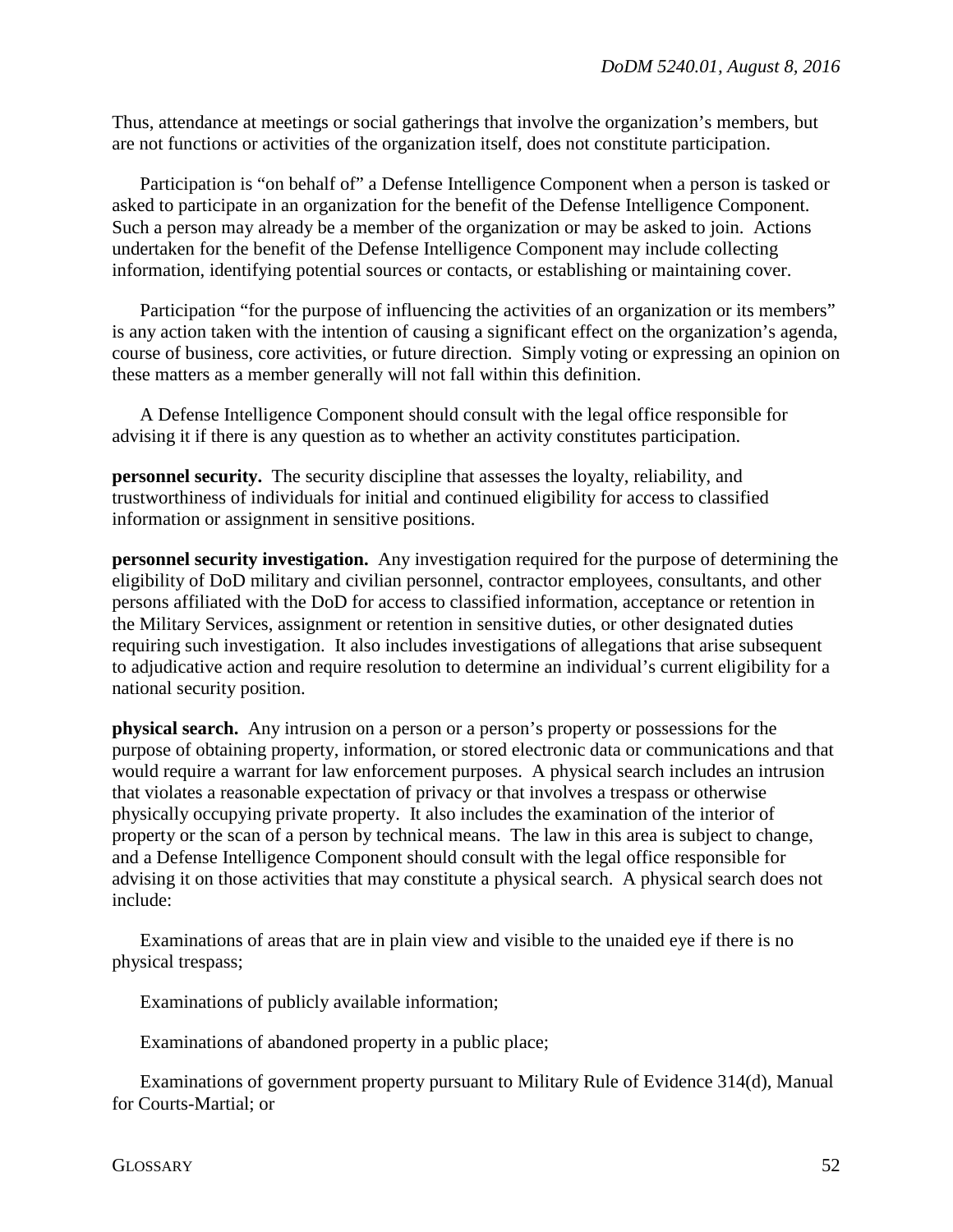Thus, attendance at meetings or social gatherings that involve the organization's members, but are not functions or activities of the organization itself, does not constitute participation.

Participation is "on behalf of" a Defense Intelligence Component when a person is tasked or asked to participate in an organization for the benefit of the Defense Intelligence Component. Such a person may already be a member of the organization or may be asked to join. Actions undertaken for the benefit of the Defense Intelligence Component may include collecting information, identifying potential sources or contacts, or establishing or maintaining cover.

Participation "for the purpose of influencing the activities of an organization or its members" is any action taken with the intention of causing a significant effect on the organization's agenda, course of business, core activities, or future direction. Simply voting or expressing an opinion on these matters as a member generally will not fall within this definition.

A Defense Intelligence Component should consult with the legal office responsible for advising it if there is any question as to whether an activity constitutes participation.

**personnel security.** The security discipline that assesses the loyalty, reliability, and trustworthiness of individuals for initial and continued eligibility for access to classified information or assignment in sensitive positions.

**personnel security investigation.** Any investigation required for the purpose of determining the eligibility of DoD military and civilian personnel, contractor employees, consultants, and other persons affiliated with the DoD for access to classified information, acceptance or retention in the Military Services, assignment or retention in sensitive duties, or other designated duties requiring such investigation. It also includes investigations of allegations that arise subsequent to adjudicative action and require resolution to determine an individual's current eligibility for a national security position.

**physical search.** Any intrusion on a person or a person's property or possessions for the purpose of obtaining property, information, or stored electronic data or communications and that would require a warrant for law enforcement purposes. A physical search includes an intrusion that violates a reasonable expectation of privacy or that involves a trespass or otherwise physically occupying private property. It also includes the examination of the interior of property or the scan of a person by technical means. The law in this area is subject to change, and a Defense Intelligence Component should consult with the legal office responsible for advising it on those activities that may constitute a physical search. A physical search does not include:

Examinations of areas that are in plain view and visible to the unaided eye if there is no physical trespass;

Examinations of publicly available information;

Examinations of abandoned property in a public place;

Examinations of government property pursuant to Military Rule of Evidence 314(d), Manual for Courts-Martial; or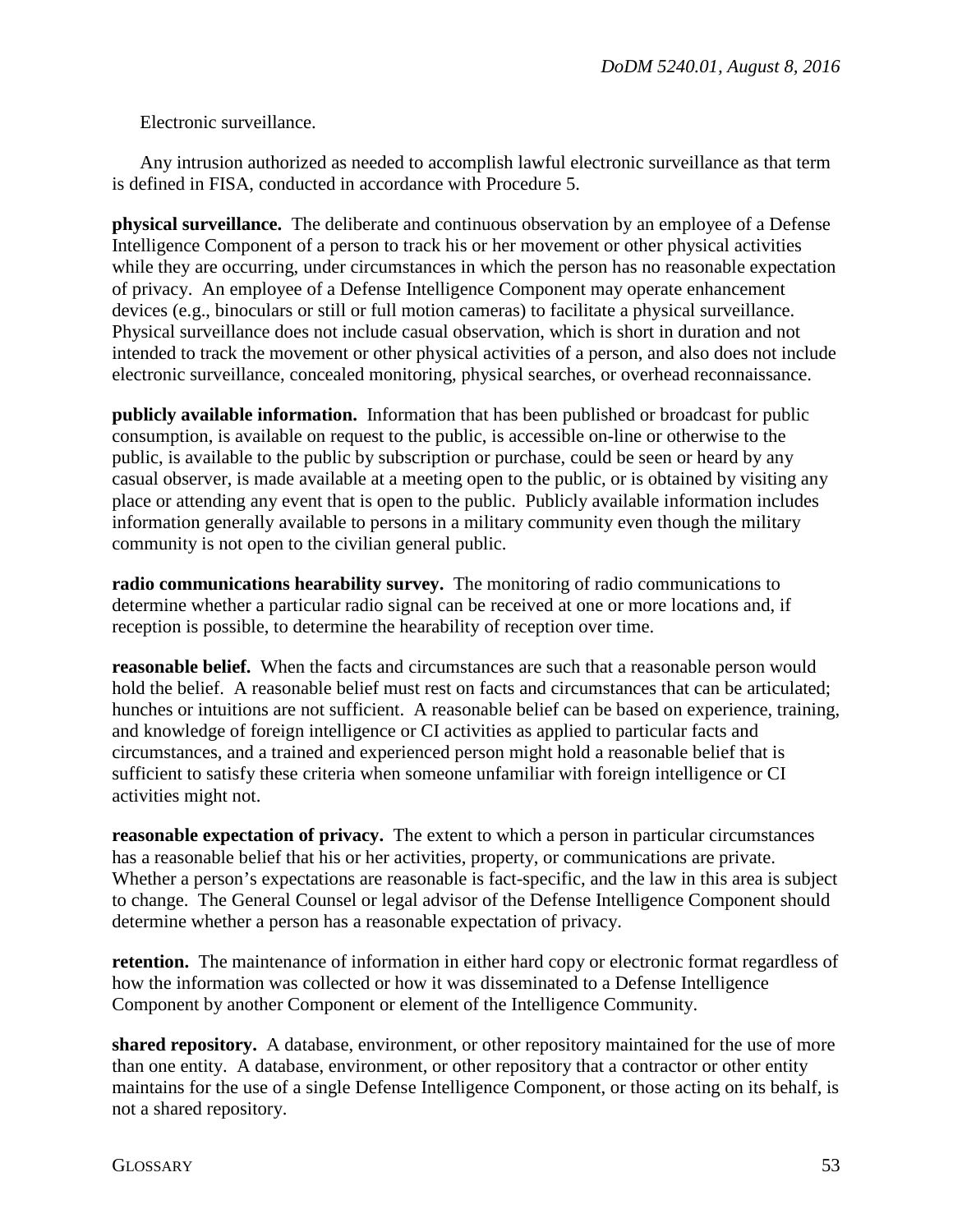Electronic surveillance.

Any intrusion authorized as needed to accomplish lawful electronic surveillance as that term is defined in FISA, conducted in accordance with Procedure 5.

**physical surveillance.** The deliberate and continuous observation by an employee of a Defense Intelligence Component of a person to track his or her movement or other physical activities while they are occurring, under circumstances in which the person has no reasonable expectation of privacy. An employee of a Defense Intelligence Component may operate enhancement devices (e.g., binoculars or still or full motion cameras) to facilitate a physical surveillance. Physical surveillance does not include casual observation, which is short in duration and not intended to track the movement or other physical activities of a person, and also does not include electronic surveillance, concealed monitoring, physical searches, or overhead reconnaissance.

**publicly available information.** Information that has been published or broadcast for public consumption, is available on request to the public, is accessible on-line or otherwise to the public, is available to the public by subscription or purchase, could be seen or heard by any casual observer, is made available at a meeting open to the public, or is obtained by visiting any place or attending any event that is open to the public. Publicly available information includes information generally available to persons in a military community even though the military community is not open to the civilian general public.

**radio communications hearability survey.** The monitoring of radio communications to determine whether a particular radio signal can be received at one or more locations and, if reception is possible, to determine the hearability of reception over time.

**reasonable belief.** When the facts and circumstances are such that a reasonable person would hold the belief. A reasonable belief must rest on facts and circumstances that can be articulated; hunches or intuitions are not sufficient. A reasonable belief can be based on experience, training, and knowledge of foreign intelligence or CI activities as applied to particular facts and circumstances, and a trained and experienced person might hold a reasonable belief that is sufficient to satisfy these criteria when someone unfamiliar with foreign intelligence or CI activities might not.

**reasonable expectation of privacy.** The extent to which a person in particular circumstances has a reasonable belief that his or her activities, property, or communications are private. Whether a person's expectations are reasonable is fact-specific, and the law in this area is subject to change. The General Counsel or legal advisor of the Defense Intelligence Component should determine whether a person has a reasonable expectation of privacy.

**retention.** The maintenance of information in either hard copy or electronic format regardless of how the information was collected or how it was disseminated to a Defense Intelligence Component by another Component or element of the Intelligence Community.

**shared repository.** A database, environment, or other repository maintained for the use of more than one entity. A database, environment, or other repository that a contractor or other entity maintains for the use of a single Defense Intelligence Component, or those acting on its behalf, is not a shared repository.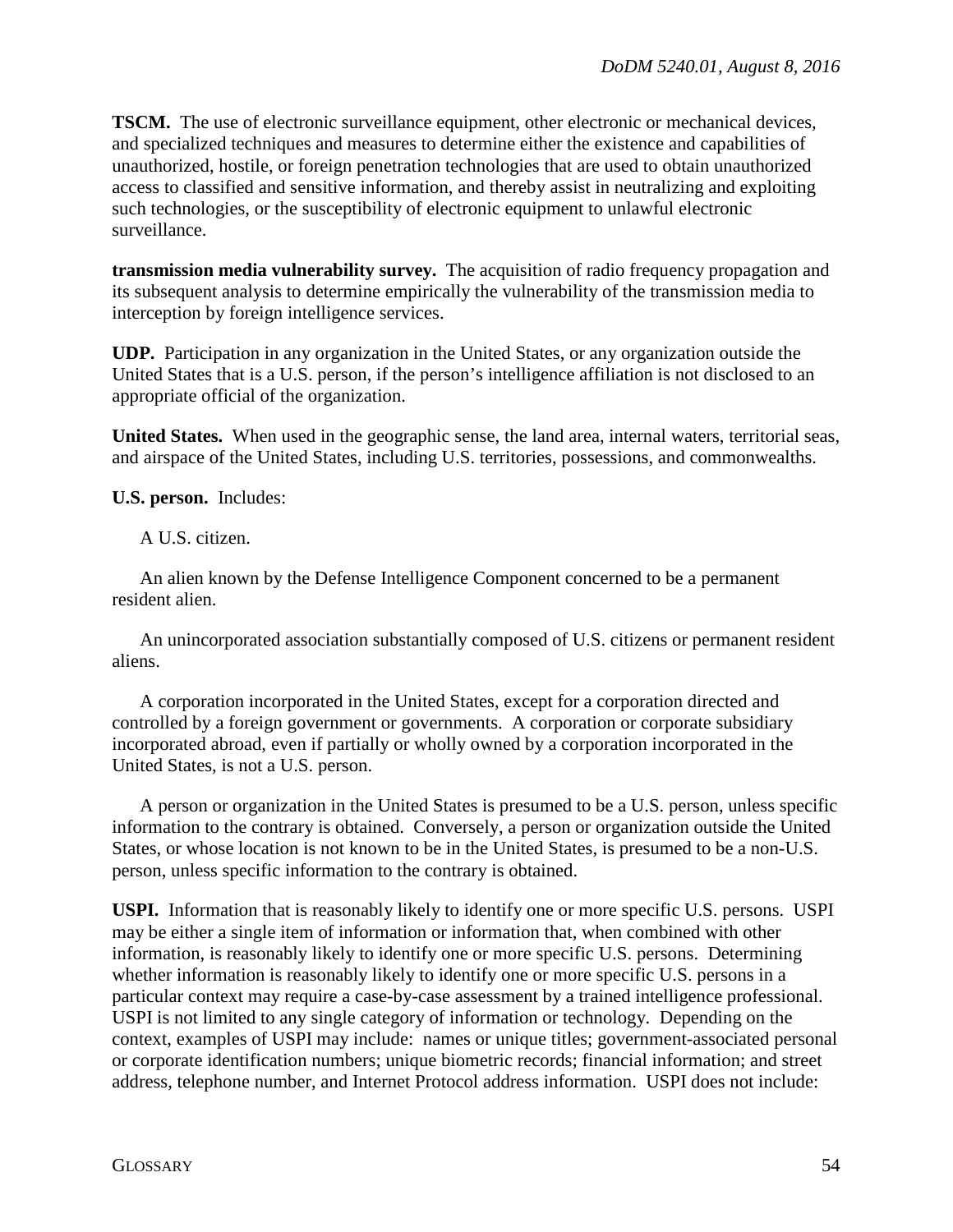**TSCM.** The use of electronic surveillance equipment, other electronic or mechanical devices, and specialized techniques and measures to determine either the existence and capabilities of unauthorized, hostile, or foreign penetration technologies that are used to obtain unauthorized access to classified and sensitive information, and thereby assist in neutralizing and exploiting such technologies, or the susceptibility of electronic equipment to unlawful electronic surveillance.

**transmission media vulnerability survey.** The acquisition of radio frequency propagation and its subsequent analysis to determine empirically the vulnerability of the transmission media to interception by foreign intelligence services.

**UDP.** Participation in any organization in the United States, or any organization outside the United States that is a U.S. person, if the person's intelligence affiliation is not disclosed to an appropriate official of the organization.

**United States.** When used in the geographic sense, the land area, internal waters, territorial seas, and airspace of the United States, including U.S. territories, possessions, and commonwealths.

**U.S. person.** Includes:

A U.S. citizen.

An alien known by the Defense Intelligence Component concerned to be a permanent resident alien.

An unincorporated association substantially composed of U.S. citizens or permanent resident aliens.

A corporation incorporated in the United States, except for a corporation directed and controlled by a foreign government or governments. A corporation or corporate subsidiary incorporated abroad, even if partially or wholly owned by a corporation incorporated in the United States, is not a U.S. person.

A person or organization in the United States is presumed to be a U.S. person, unless specific information to the contrary is obtained. Conversely, a person or organization outside the United States, or whose location is not known to be in the United States, is presumed to be a non-U.S. person, unless specific information to the contrary is obtained.

**USPI.** Information that is reasonably likely to identify one or more specific U.S. persons. USPI may be either a single item of information or information that, when combined with other information, is reasonably likely to identify one or more specific U.S. persons. Determining whether information is reasonably likely to identify one or more specific U.S. persons in a particular context may require a case-by-case assessment by a trained intelligence professional. USPI is not limited to any single category of information or technology. Depending on the context, examples of USPI may include: names or unique titles; government-associated personal or corporate identification numbers; unique biometric records; financial information; and street address, telephone number, and Internet Protocol address information. USPI does not include: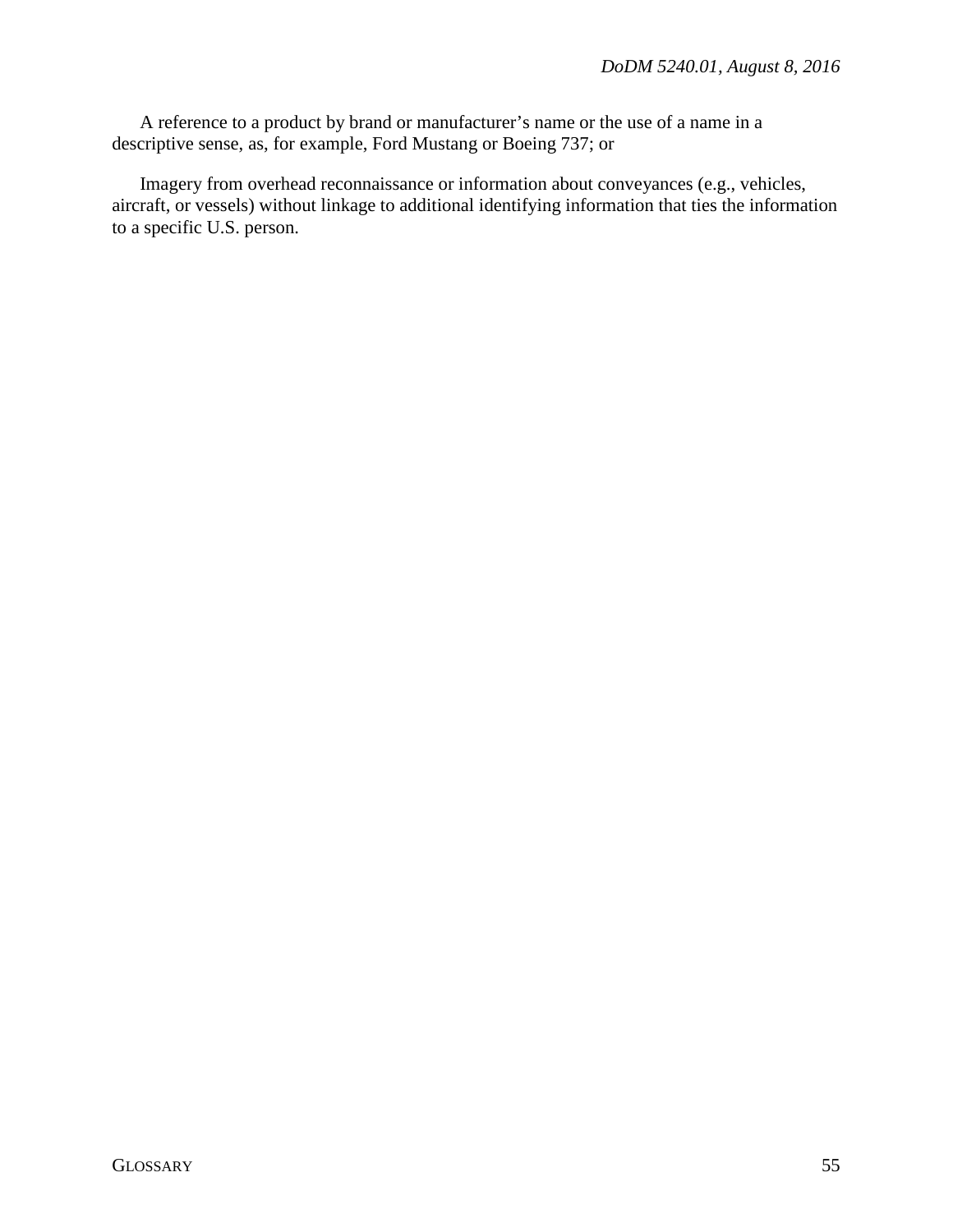A reference to a product by brand or manufacturer's name or the use of a name in a descriptive sense, as, for example, Ford Mustang or Boeing 737; or

Imagery from overhead reconnaissance or information about conveyances (e.g., vehicles, aircraft, or vessels) without linkage to additional identifying information that ties the information to a specific U.S. person.